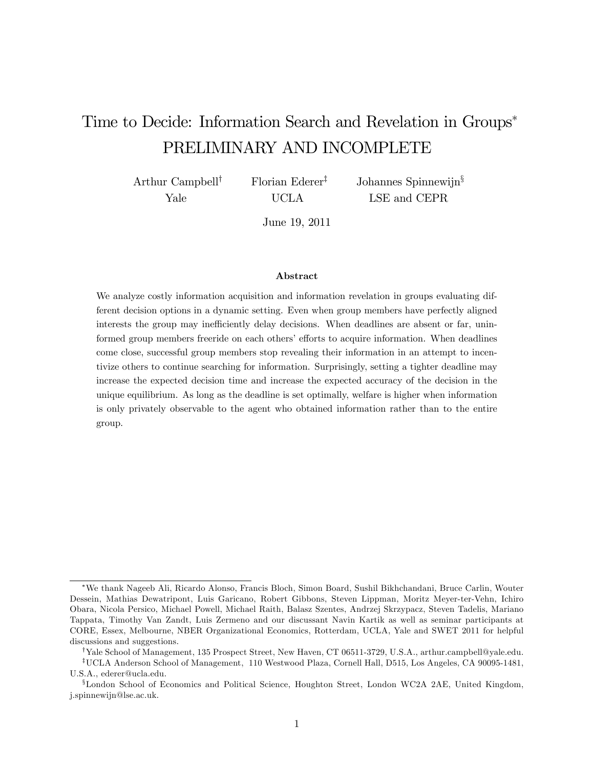# Time to Decide: Information Search and Revelation in Groups PRELIMINARY AND INCOMPLETE

Arthur Campbell<sup>†</sup> Yale

Florian Ederer<sup>‡</sup> UCLA

Johannes Spinnewijn $\S$ LSE and CEPR

June 19, 2011

#### Abstract

We analyze costly information acquisition and information revelation in groups evaluating different decision options in a dynamic setting. Even when group members have perfectly aligned interests the group may inefficiently delay decisions. When deadlines are absent or far, uninformed group members freeride on each others' efforts to acquire information. When deadlines come close, successful group members stop revealing their information in an attempt to incentivize others to continue searching for information. Surprisingly, setting a tighter deadline may increase the expected decision time and increase the expected accuracy of the decision in the unique equilibrium. As long as the deadline is set optimally, welfare is higher when information is only privately observable to the agent who obtained information rather than to the entire group.

We thank Nageeb Ali, Ricardo Alonso, Francis Bloch, Simon Board, Sushil Bikhchandani, Bruce Carlin, Wouter Dessein, Mathias Dewatripont, Luis Garicano, Robert Gibbons, Steven Lippman, Moritz Meyer-ter-Vehn, Ichiro Obara, Nicola Persico, Michael Powell, Michael Raith, Balasz Szentes, Andrzej Skrzypacz, Steven Tadelis, Mariano Tappata, Timothy Van Zandt, Luis Zermeno and our discussant Navin Kartik as well as seminar participants at CORE, Essex, Melbourne, NBER Organizational Economics, Rotterdam, UCLA, Yale and SWET 2011 for helpful discussions and suggestions.

<sup>&</sup>lt;sup>†</sup>Yale School of Management, 135 Prospect Street, New Haven, CT 06511-3729, U.S.A., arthur.campbell@yale.edu. <sup>T</sup>UCLA Anderson School of Management, 110 Westwood Plaza, Cornell Hall, D515, Los Angeles, CA 90095-1481, U.S.A., ederer@ucla.edu.

<sup>&</sup>lt;sup>§</sup>London School of Economics and Political Science, Houghton Street, London WC2A 2AE, United Kingdom, j.spinnewijn@lse.ac.uk.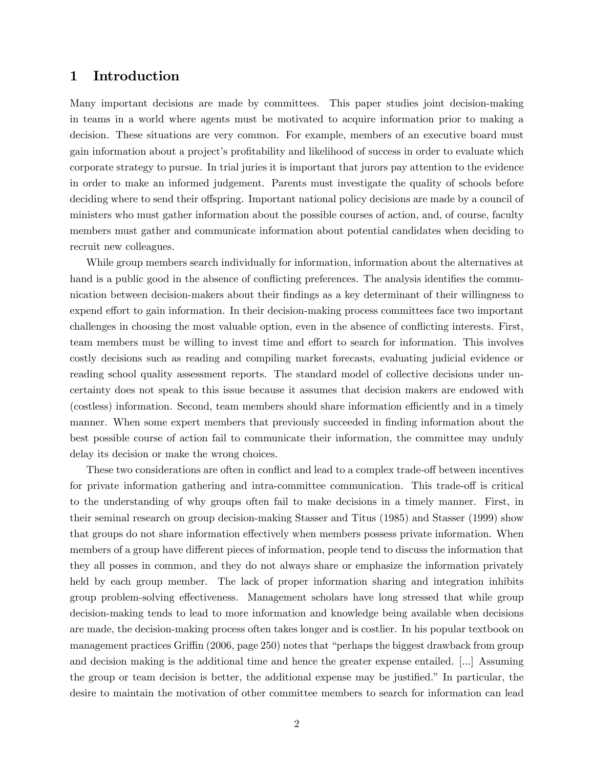## 1 Introduction

Many important decisions are made by committees. This paper studies joint decision-making in teams in a world where agents must be motivated to acquire information prior to making a decision. These situations are very common. For example, members of an executive board must gain information about a project's profitability and likelihood of success in order to evaluate which corporate strategy to pursue. In trial juries it is important that jurors pay attention to the evidence in order to make an informed judgement. Parents must investigate the quality of schools before deciding where to send their offspring. Important national policy decisions are made by a council of ministers who must gather information about the possible courses of action, and, of course, faculty members must gather and communicate information about potential candidates when deciding to recruit new colleagues.

While group members search individually for information, information about the alternatives at hand is a public good in the absence of conflicting preferences. The analysis identifies the communication between decision-makers about their findings as a key determinant of their willingness to expend effort to gain information. In their decision-making process committees face two important challenges in choosing the most valuable option, even in the absence of conflicting interests. First, team members must be willing to invest time and effort to search for information. This involves costly decisions such as reading and compiling market forecasts, evaluating judicial evidence or reading school quality assessment reports. The standard model of collective decisions under uncertainty does not speak to this issue because it assumes that decision makers are endowed with (costless) information. Second, team members should share information efficiently and in a timely manner. When some expert members that previously succeeded in finding information about the best possible course of action fail to communicate their information, the committee may unduly delay its decision or make the wrong choices.

These two considerations are often in conflict and lead to a complex trade-off between incentives for private information gathering and intra-committee communication. This trade-off is critical to the understanding of why groups often fail to make decisions in a timely manner. First, in their seminal research on group decision-making Stasser and Titus (1985) and Stasser (1999) show that groups do not share information effectively when members possess private information. When members of a group have different pieces of information, people tend to discuss the information that they all posses in common, and they do not always share or emphasize the information privately held by each group member. The lack of proper information sharing and integration inhibits group problem-solving effectiveness. Management scholars have long stressed that while group decision-making tends to lead to more information and knowledge being available when decisions are made, the decision-making process often takes longer and is costlier. In his popular textbook on management practices Griffin (2006, page 250) notes that "perhaps the biggest drawback from group and decision making is the additional time and hence the greater expense entailed. [...] Assuming the group or team decision is better, the additional expense may be justified." In particular, the desire to maintain the motivation of other committee members to search for information can lead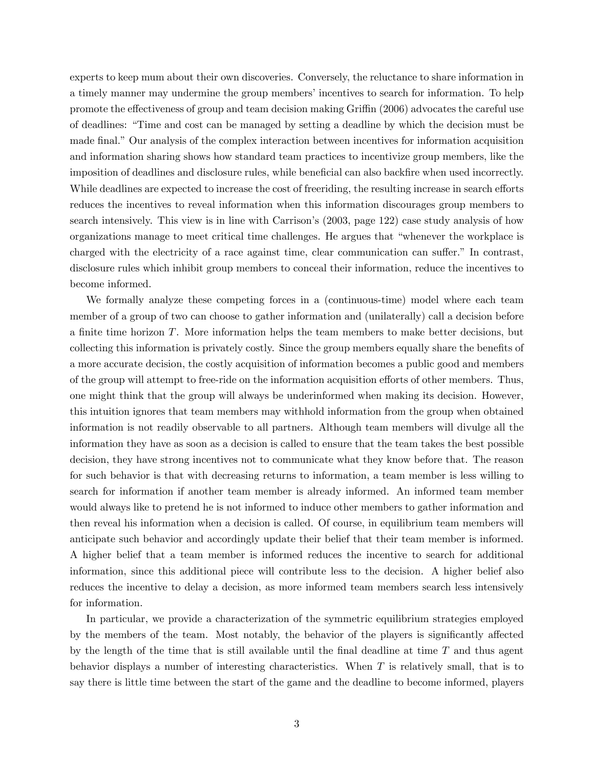experts to keep mum about their own discoveries. Conversely, the reluctance to share information in a timely manner may undermine the group members' incentives to search for information. To help promote the effectiveness of group and team decision making Griffin (2006) advocates the careful use of deadlines: ìTime and cost can be managed by setting a deadline by which the decision must be made final." Our analysis of the complex interaction between incentives for information acquisition and information sharing shows how standard team practices to incentivize group members, like the imposition of deadlines and disclosure rules, while beneficial can also backfire when used incorrectly. While deadlines are expected to increase the cost of freeriding, the resulting increase in search efforts reduces the incentives to reveal information when this information discourages group members to search intensively. This view is in line with Carrison's (2003, page 122) case study analysis of how organizations manage to meet critical time challenges. He argues that "whenever the workplace is charged with the electricity of a race against time, clear communication can suffer." In contrast, disclosure rules which inhibit group members to conceal their information, reduce the incentives to become informed.

We formally analyze these competing forces in a (continuous-time) model where each team member of a group of two can choose to gather information and (unilaterally) call a decision before a finite time horizon  $T$ . More information helps the team members to make better decisions, but collecting this information is privately costly. Since the group members equally share the benefits of a more accurate decision, the costly acquisition of information becomes a public good and members of the group will attempt to free-ride on the information acquisition efforts of other members. Thus, one might think that the group will always be underinformed when making its decision. However, this intuition ignores that team members may withhold information from the group when obtained information is not readily observable to all partners. Although team members will divulge all the information they have as soon as a decision is called to ensure that the team takes the best possible decision, they have strong incentives not to communicate what they know before that. The reason for such behavior is that with decreasing returns to information, a team member is less willing to search for information if another team member is already informed. An informed team member would always like to pretend he is not informed to induce other members to gather information and then reveal his information when a decision is called. Of course, in equilibrium team members will anticipate such behavior and accordingly update their belief that their team member is informed. A higher belief that a team member is informed reduces the incentive to search for additional information, since this additional piece will contribute less to the decision. A higher belief also reduces the incentive to delay a decision, as more informed team members search less intensively for information.

In particular, we provide a characterization of the symmetric equilibrium strategies employed by the members of the team. Most notably, the behavior of the players is significantly affected by the length of the time that is still available until the final deadline at time  $T$  and thus agent behavior displays a number of interesting characteristics. When T is relatively small, that is to say there is little time between the start of the game and the deadline to become informed, players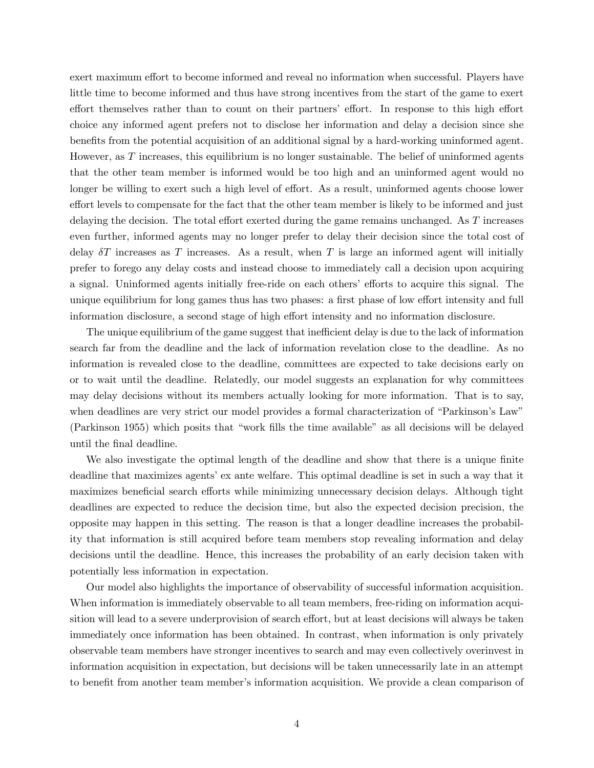exert maximum effort to become informed and reveal no information when successful. Players have little time to become informed and thus have strong incentives from the start of the game to exert effort themselves rather than to count on their partners' effort. In response to this high effort choice any informed agent prefers not to disclose her information and delay a decision since she benefits from the potential acquisition of an additional signal by a hard-working uninformed agent. However, as  $T$  increases, this equilibrium is no longer sustainable. The belief of uninformed agents that the other team member is informed would be too high and an uninformed agent would no longer be willing to exert such a high level of effort. As a result, uninformed agents choose lower effort levels to compensate for the fact that the other team member is likely to be informed and just delaying the decision. The total effort exerted during the game remains unchanged. As  $T$  increases even further, informed agents may no longer prefer to delay their decision since the total cost of delay  $\delta T$  increases as T increases. As a result, when T is large an informed agent will initially prefer to forego any delay costs and instead choose to immediately call a decision upon acquiring a signal. Uninformed agents initially free-ride on each others' efforts to acquire this signal. The unique equilibrium for long games thus has two phases: a first phase of low effort intensity and full information disclosure, a second stage of high effort intensity and no information disclosure.

The unique equilibrium of the game suggest that inefficient delay is due to the lack of information search far from the deadline and the lack of information revelation close to the deadline. As no information is revealed close to the deadline, committees are expected to take decisions early on or to wait until the deadline. Relatedly, our model suggests an explanation for why committees may delay decisions without its members actually looking for more information. That is to say, when deadlines are very strict our model provides a formal characterization of "Parkinson's Law" (Parkinson 1955) which posits that "work fills the time available" as all decisions will be delayed until the final deadline.

We also investigate the optimal length of the deadline and show that there is a unique finite deadline that maximizes agents' ex ante welfare. This optimal deadline is set in such a way that it maximizes beneficial search efforts while minimizing unnecessary decision delays. Although tight deadlines are expected to reduce the decision time, but also the expected decision precision, the opposite may happen in this setting. The reason is that a longer deadline increases the probability that information is still acquired before team members stop revealing information and delay decisions until the deadline. Hence, this increases the probability of an early decision taken with potentially less information in expectation.

Our model also highlights the importance of observability of successful information acquisition. When information is immediately observable to all team members, free-riding on information acquisition will lead to a severe underprovision of search effort, but at least decisions will always be taken immediately once information has been obtained. In contrast, when information is only privately observable team members have stronger incentives to search and may even collectively overinvest in information acquisition in expectation, but decisions will be taken unnecessarily late in an attempt to benefit from another team member's information acquisition. We provide a clean comparison of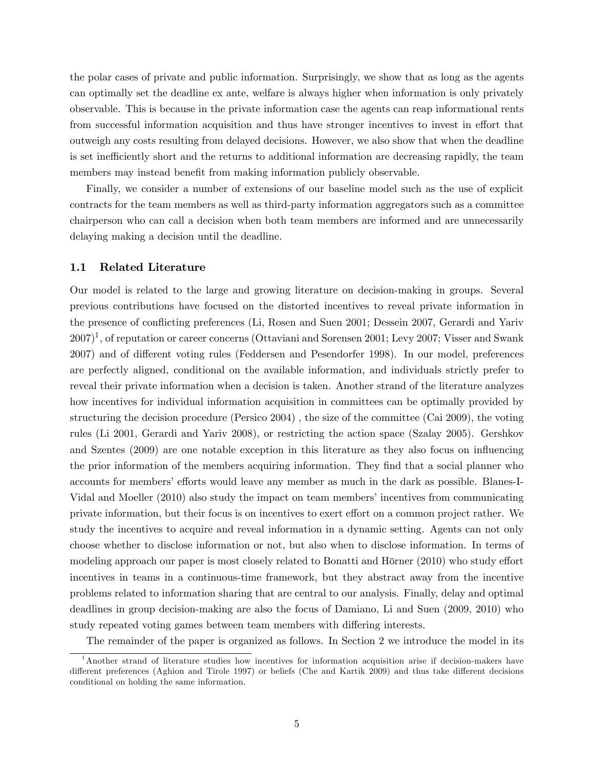the polar cases of private and public information. Surprisingly, we show that as long as the agents can optimally set the deadline ex ante, welfare is always higher when information is only privately observable. This is because in the private information case the agents can reap informational rents from successful information acquisition and thus have stronger incentives to invest in effort that outweigh any costs resulting from delayed decisions. However, we also show that when the deadline is set inefficiently short and the returns to additional information are decreasing rapidly, the team members may instead benefit from making information publicly observable.

Finally, we consider a number of extensions of our baseline model such as the use of explicit contracts for the team members as well as third-party information aggregators such as a committee chairperson who can call a decision when both team members are informed and are unnecessarily delaying making a decision until the deadline.

#### 1.1 Related Literature

Our model is related to the large and growing literature on decision-making in groups. Several previous contributions have focused on the distorted incentives to reveal private information in the presence of conflicting preferences (Li, Rosen and Suen 2001; Dessein 2007, Gerardi and Yariv  $(2007)^1$ , of reputation or career concerns (Ottaviani and Sorensen 2001; Levy 2007; Visser and Swank 2007) and of different voting rules (Feddersen and Pesendorfer 1998). In our model, preferences are perfectly aligned, conditional on the available information, and individuals strictly prefer to reveal their private information when a decision is taken. Another strand of the literature analyzes how incentives for individual information acquisition in committees can be optimally provided by structuring the decision procedure (Persico 2004) , the size of the committee (Cai 2009), the voting rules (Li 2001, Gerardi and Yariv 2008), or restricting the action space (Szalay 2005). Gershkov and Szentes (2009) are one notable exception in this literature as they also focus on influencing the prior information of the members acquiring information. They find that a social planner who accounts for members' efforts would leave any member as much in the dark as possible. Blanes-I-Vidal and Moeller (2010) also study the impact on team members' incentives from communicating private information, but their focus is on incentives to exert effort on a common project rather. We study the incentives to acquire and reveal information in a dynamic setting. Agents can not only choose whether to disclose information or not, but also when to disclose information. In terms of modeling approach our paper is most closely related to Bonatti and Hörner  $(2010)$  who study effort incentives in teams in a continuous-time framework, but they abstract away from the incentive problems related to information sharing that are central to our analysis. Finally, delay and optimal deadlines in group decision-making are also the focus of Damiano, Li and Suen (2009, 2010) who study repeated voting games between team members with differing interests.

The remainder of the paper is organized as follows. In Section 2 we introduce the model in its

<sup>&</sup>lt;sup>1</sup>Another strand of literature studies how incentives for information acquisition arise if decision-makers have different preferences (Aghion and Tirole 1997) or beliefs (Che and Kartik 2009) and thus take different decisions conditional on holding the same information.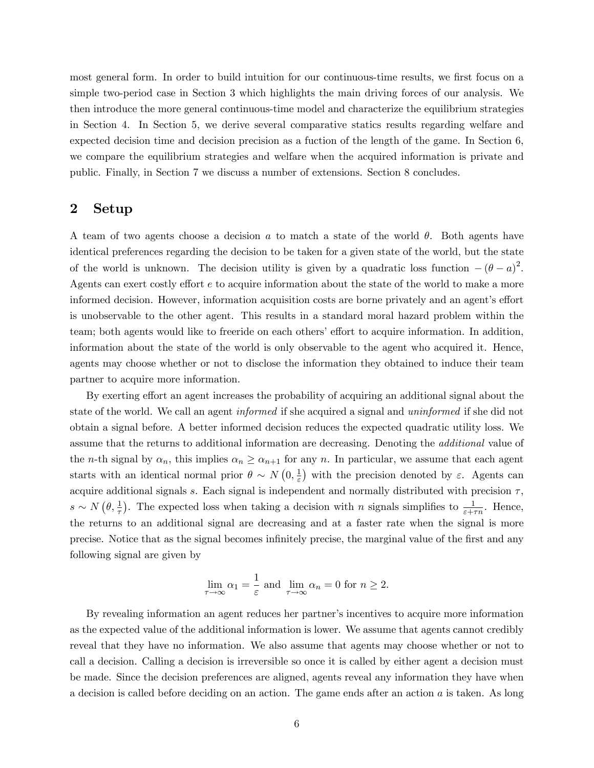most general form. In order to build intuition for our continuous-time results, we first focus on a simple two-period case in Section 3 which highlights the main driving forces of our analysis. We then introduce the more general continuous-time model and characterize the equilibrium strategies in Section 4. In Section 5, we derive several comparative statics results regarding welfare and expected decision time and decision precision as a fuction of the length of the game. In Section 6, we compare the equilibrium strategies and welfare when the acquired information is private and public. Finally, in Section 7 we discuss a number of extensions. Section 8 concludes.

### 2 Setup

A team of two agents choose a decision  $a$  to match a state of the world  $\theta$ . Both agents have identical preferences regarding the decision to be taken for a given state of the world, but the state of the world is unknown. The decision utility is given by a quadratic loss function  $-(\theta - a)^2$ . Agents can exert costly effort e to acquire information about the state of the world to make a more informed decision. However, information acquisition costs are borne privately and an agent's effort is unobservable to the other agent. This results in a standard moral hazard problem within the team; both agents would like to freeride on each others' effort to acquire information. In addition, information about the state of the world is only observable to the agent who acquired it. Hence, agents may choose whether or not to disclose the information they obtained to induce their team partner to acquire more information.

By exerting effort an agent increases the probability of acquiring an additional signal about the state of the world. We call an agent informed if she acquired a signal and uninformed if she did not obtain a signal before. A better informed decision reduces the expected quadratic utility loss. We assume that the returns to additional information are decreasing. Denoting the additional value of the *n*-th signal by  $\alpha_n$ , this implies  $\alpha_n \ge \alpha_{n+1}$  for any *n*. In particular, we assume that each agent starts with an identical normal prior  $\theta \sim N(0, \frac{1}{\varepsilon})$  $(\frac{1}{\varepsilon})$  with the precision denoted by  $\varepsilon$ . Agents can acquire additional signals s. Each signal is independent and normally distributed with precision  $\tau$ ,  $s \sim N(\theta, \frac{1}{\tau})$ . The expected loss when taking a decision with n signals simplifies to  $\frac{1}{\varepsilon + \tau n}$ . Hence, the returns to an additional signal are decreasing and at a faster rate when the signal is more precise. Notice that as the signal becomes infinitely precise, the marginal value of the first and any following signal are given by

$$
\lim_{\tau \to \infty} \alpha_1 = \frac{1}{\varepsilon} \text{ and } \lim_{\tau \to \infty} \alpha_n = 0 \text{ for } n \ge 2.
$$

By revealing information an agent reduces her partner's incentives to acquire more information as the expected value of the additional information is lower. We assume that agents cannot credibly reveal that they have no information. We also assume that agents may choose whether or not to call a decision. Calling a decision is irreversible so once it is called by either agent a decision must be made. Since the decision preferences are aligned, agents reveal any information they have when a decision is called before deciding on an action. The game ends after an action  $a$  is taken. As long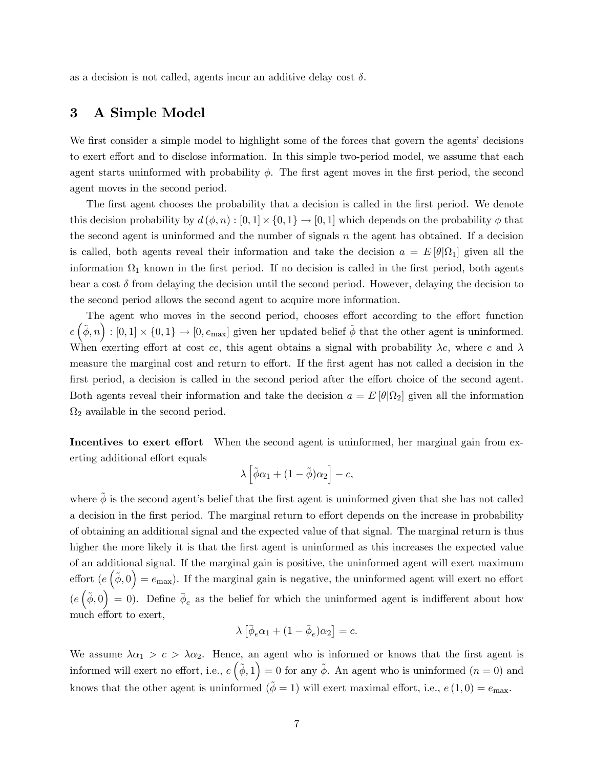as a decision is not called, agents incur an additive delay cost  $\delta$ .

# 3 A Simple Model

We first consider a simple model to highlight some of the forces that govern the agents' decisions to exert effort and to disclose information. In this simple two-period model, we assume that each agent starts uninformed with probability  $\phi$ . The first agent moves in the first period, the second agent moves in the second period.

The first agent chooses the probability that a decision is called in the first period. We denote this decision probability by  $d(\phi, n) : [0, 1] \times \{0, 1\} \to [0, 1]$  which depends on the probability  $\phi$  that the second agent is uninformed and the number of signals  $n$  the agent has obtained. If a decision is called, both agents reveal their information and take the decision  $a = E[\theta|\Omega_1]$  given all the information  $\Omega_1$  known in the first period. If no decision is called in the first period, both agents bear a cost  $\delta$  from delaying the decision until the second period. However, delaying the decision to the second period allows the second agent to acquire more information.

The agent who moves in the second period, chooses effort according to the effort function  $e\left(\tilde{\phi}, n\right) : [0, 1] \times \{0, 1\} \to [0, e_{\text{max}}]$  given her updated belief  $\tilde{\phi}$  that the other agent is uninformed. When exerting effort at cost ce, this agent obtains a signal with probability  $\lambda e$ , where c and  $\lambda$ measure the marginal cost and return to effort. If the first agent has not called a decision in the first period, a decision is called in the second period after the effort choice of the second agent. Both agents reveal their information and take the decision  $a = E[\theta|\Omega_2]$  given all the information  $\Omega_2$  available in the second period.

Incentives to exert effort When the second agent is uninformed, her marginal gain from exerting additional effort equals

$$
\lambda\left[\tilde{\phi}\alpha_1+(1-\tilde{\phi})\alpha_2\right]-c,
$$

where  $\tilde{\phi}$  is the second agent's belief that the first agent is uninformed given that she has not called a decision in the first period. The marginal return to effort depends on the increase in probability of obtaining an additional signal and the expected value of that signal. The marginal return is thus higher the more likely it is that the first agent is uninformed as this increases the expected value of an additional signal. If the marginal gain is positive, the uninformed agent will exert maximum effort  $(e(\tilde{\phi},0)) = e_{\text{max}}$ ). If the marginal gain is negative, the uninformed agent will exert no effort  $(e(\tilde{\phi},0)) = 0$ . Define  $\bar{\phi}_e$  as the belief for which the uninformed agent is indifferent about how much effort to exert,

$$
\lambda\left[\bar{\phi}_e\alpha_1+(1-\bar{\phi}_e)\alpha_2\right]=c.
$$

We assume  $\lambda \alpha_1 > c > \lambda \alpha_2$ . Hence, an agent who is informed or knows that the first agent is informed will exert no effort, i.e.,  $e\left(\tilde{\phi},1\right) = 0$  for any  $\tilde{\phi}$ . An agent who is uninformed  $(n = 0)$  and knows that the other agent is uninformed  $(\phi = 1)$  will exert maximal effort, i.e.,  $e(1,0) = e_{\text{max}}$ .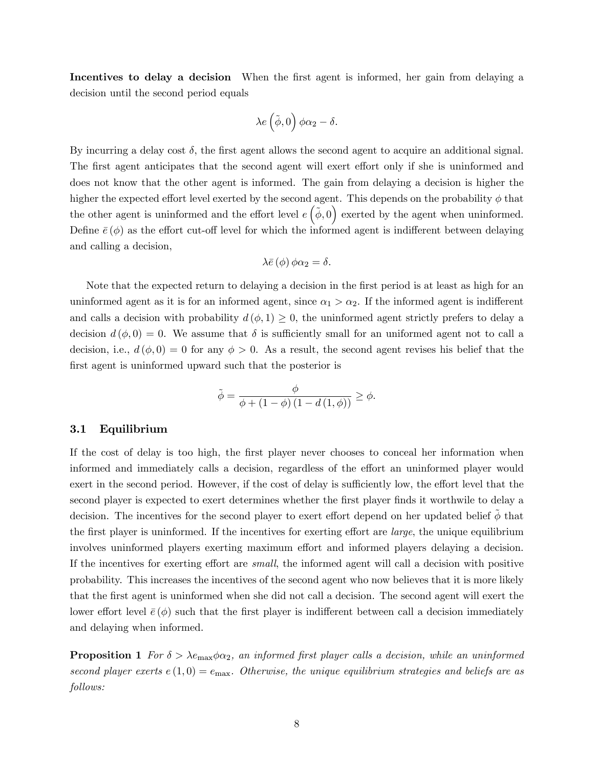Incentives to delay a decision When the first agent is informed, her gain from delaying a decision until the second period equals

$$
\lambda e\left(\tilde{\phi},0\right)\phi\alpha_2-\delta.
$$

By incurring a delay cost  $\delta$ , the first agent allows the second agent to acquire an additional signal. The first agent anticipates that the second agent will exert effort only if she is uninformed and does not know that the other agent is informed. The gain from delaying a decision is higher the higher the expected effort level exerted by the second agent. This depends on the probability  $\phi$  that the other agent is uninformed and the effort level  $e\left(\tilde{\phi},0\right)$  exerted by the agent when uninformed. Define  $\bar{e}(\phi)$  as the effort cut-off level for which the informed agent is indifferent between delaying and calling a decision,

$$
\lambda \bar{e} \left( \phi \right) \phi \alpha_2 = \delta.
$$

Note that the expected return to delaying a decision in the first period is at least as high for an uninformed agent as it is for an informed agent, since  $\alpha_1 > \alpha_2$ . If the informed agent is indifferent and calls a decision with probability  $d(\phi, 1) \geq 0$ , the uninformed agent strictly prefers to delay a decision  $d(\phi, 0) = 0$ . We assume that  $\delta$  is sufficiently small for an uniformed agent not to call a decision, i.e.,  $d(\phi, 0) = 0$  for any  $\phi > 0$ . As a result, the second agent revises his belief that the first agent is uninformed upward such that the posterior is

$$
\tilde{\phi} = \frac{\phi}{\phi + (1 - \phi)(1 - d(1, \phi))} \ge \phi.
$$

#### 3.1 Equilibrium

If the cost of delay is too high, the first player never chooses to conceal her information when informed and immediately calls a decision, regardless of the effort an uninformed player would exert in the second period. However, if the cost of delay is sufficiently low, the effort level that the second player is expected to exert determines whether the first player finds it worthwile to delay a decision. The incentives for the second player to exert effort depend on her updated belief  $\phi$  that the first player is uninformed. If the incentives for exerting effort are *large*, the unique equilibrium involves uninformed players exerting maximum effort and informed players delaying a decision. If the incentives for exerting effort are *small*, the informed agent will call a decision with positive probability. This increases the incentives of the second agent who now believes that it is more likely that the Örst agent is uninformed when she did not call a decision. The second agent will exert the lower effort level  $\bar{e}(\phi)$  such that the first player is indifferent between call a decision immediately and delaying when informed.

**Proposition 1** For  $\delta > \lambda e_{\text{max}} \phi \alpha_2$ , an informed first player calls a decision, while an uninformed second player exerts  $e(1,0) = e_{\text{max}}$ . Otherwise, the unique equilibrium strategies and beliefs are as follows: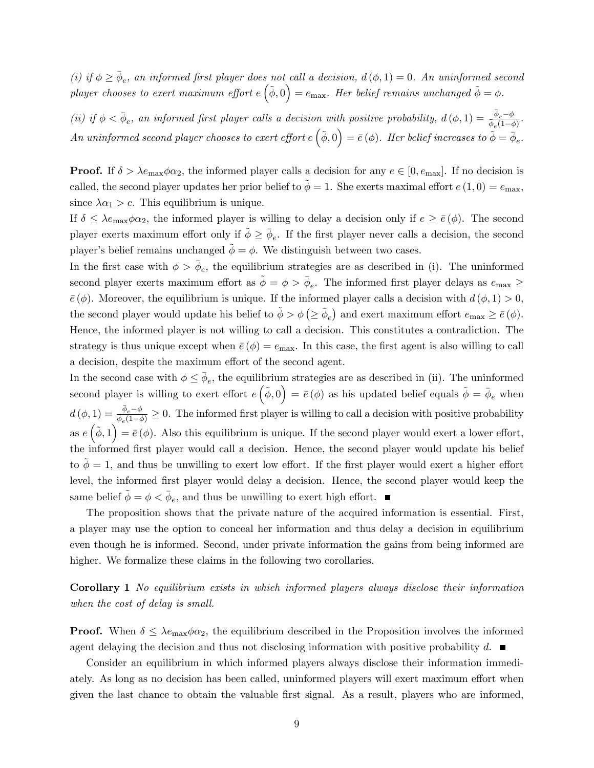(i) if  $\phi \ge \bar{\phi}_e$ , an informed first player does not call a decision,  $d(\phi, 1) = 0$ . An uninformed second player chooses to exert maximum effort  $e(\tilde{\phi},0) = e_{\text{max}}$ . Her belief remains unchanged  $\tilde{\phi} = \phi$ .

(ii) if  $\phi < \bar{\phi}_e$ , an informed first player calls a decision with positive probability,  $d(\phi, 1) = \frac{\bar{\phi}_e - \phi}{\phi_e(1-\phi)}$ .  $An\ uninformed\ second\ player\ chooses\ to\ exert\ effort\ e\left(\tilde{\phi},0\right)=\bar{e}\left(\phi\right). \ Here\ belief\ increases\ to\ \widetilde{\phi}=\bar{\phi}_{e}.$ 

**Proof.** If  $\delta > \lambda e_{\text{max}} \phi \alpha_2$ , the informed player calls a decision for any  $e \in [0, e_{\text{max}}]$ . If no decision is called, the second player updates her prior belief to  $\tilde{\phi} = 1$ . She exerts maximal effort  $e(1,0) = e_{\text{max}}$ , since  $\lambda \alpha_1 > c$ . This equilibrium is unique.

If  $\delta \leq \lambda e_{\text{max}} \phi \alpha_2$ , the informed player is willing to delay a decision only if  $e \geq \bar{e}(\phi)$ . The second player exerts maximum effort only if  $\tilde{\phi} \ge \bar{\phi}_e$ . If the first player never calls a decision, the second player's belief remains unchanged  $\tilde{\phi} = \phi$ . We distinguish between two cases.

In the first case with  $\phi > \bar{\phi}_e$ , the equilibrium strategies are as described in (i). The uninformed second player exerts maximum effort as  $\tilde{\phi} = \phi > \bar{\phi}_e$ . The informed first player delays as  $e_{\text{max}} \ge$  $\bar{e}(\phi)$ . Moreover, the equilibrium is unique. If the informed player calls a decision with  $d(\phi, 1) > 0$ , the second player would update his belief to  $\phi > \phi \left( \ge \bar{\phi}_e \right)$  and exert maximum effort  $e_{\text{max}} \ge \bar{e} \left( \phi \right)$ . Hence, the informed player is not willing to call a decision. This constitutes a contradiction. The strategy is thus unique except when  $\bar{e}(\phi) = e_{\text{max}}$ . In this case, the first agent is also willing to call a decision, despite the maximum effort of the second agent.

In the second case with  $\phi \leq \bar{\phi}_e$ , the equilibrium strategies are as described in (ii). The uninformed second player is willing to exert effort  $e(\tilde{\phi},0) = \bar{e}(\phi)$  as his updated belief equals  $\tilde{\phi} = \bar{\phi}_e$  when  $d(\phi, 1) = \frac{\bar{\phi}_e - \phi}{\phi_e(1-\phi)} \geq 0$ . The informed first player is willing to call a decision with positive probability as  $e(\tilde{\phi}, 1) = \bar{e}(\phi)$ . Also this equilibrium is unique. If the second player would exert a lower effort, the informed first player would call a decision. Hence, the second player would update his belief to  $\phi = 1$ , and thus be unwilling to exert low effort. If the first player would exert a higher effort level, the informed first player would delay a decision. Hence, the second player would keep the same belief  $\tilde{\phi} = \phi < \bar{\phi}_e$ , and thus be unwilling to exert high effort.

The proposition shows that the private nature of the acquired information is essential. First, a player may use the option to conceal her information and thus delay a decision in equilibrium even though he is informed. Second, under private information the gains from being informed are higher. We formalize these claims in the following two corollaries.

Corollary 1 No equilibrium exists in which informed players always disclose their information when the cost of delay is small.

**Proof.** When  $\delta \leq \lambda e_{\text{max}} \phi \alpha_2$ , the equilibrium described in the Proposition involves the informed agent delaying the decision and thus not disclosing information with positive probability d.  $\blacksquare$ 

Consider an equilibrium in which informed players always disclose their information immediately. As long as no decision has been called, uninformed players will exert maximum effort when given the last chance to obtain the valuable first signal. As a result, players who are informed,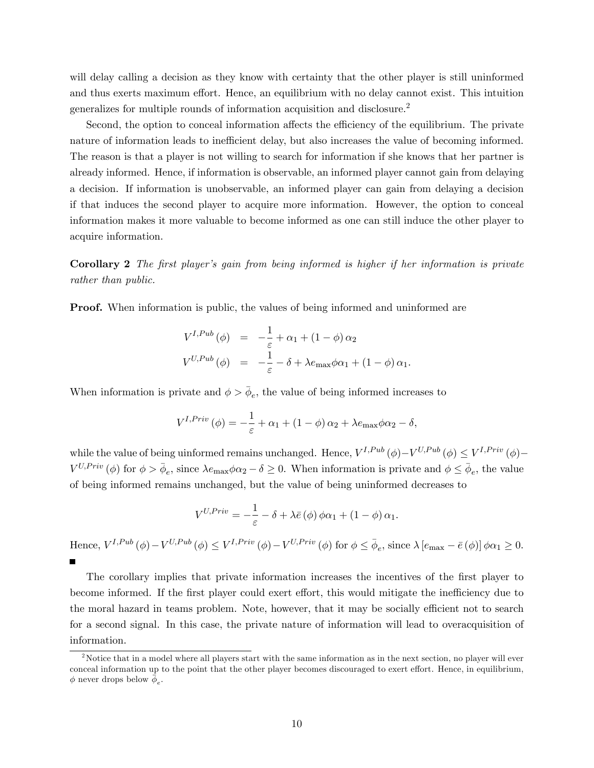will delay calling a decision as they know with certainty that the other player is still uninformed and thus exerts maximum effort. Hence, an equilibrium with no delay cannot exist. This intuition generalizes for multiple rounds of information acquisition and disclosure.<sup>2</sup>

Second, the option to conceal information affects the efficiency of the equilibrium. The private nature of information leads to inefficient delay, but also increases the value of becoming informed. The reason is that a player is not willing to search for information if she knows that her partner is already informed. Hence, if information is observable, an informed player cannot gain from delaying a decision. If information is unobservable, an informed player can gain from delaying a decision if that induces the second player to acquire more information. However, the option to conceal information makes it more valuable to become informed as one can still induce the other player to acquire information.

Corollary 2 The first player's gain from being informed is higher if her information is private rather than public.

**Proof.** When information is public, the values of being informed and uninformed are

$$
V^{I,Pub}(\phi) = -\frac{1}{\varepsilon} + \alpha_1 + (1 - \phi) \alpha_2
$$
  

$$
V^{U,Pub}(\phi) = -\frac{1}{\varepsilon} - \delta + \lambda e_{\max} \phi \alpha_1 + (1 - \phi) \alpha_1.
$$

When information is private and  $\phi > \bar{\phi}_e$ , the value of being informed increases to

$$
V^{I,Priv}(\phi) = -\frac{1}{\varepsilon} + \alpha_1 + (1 - \phi)\alpha_2 + \lambda e_{\max}\phi\alpha_2 - \delta,
$$

while the value of being uinformed remains unchanged. Hence,  $V^{I,Pub}(\phi) - V^{U,Pub}(\phi) \leq V^{I,Priv}(\phi) V^{U,Priv}(\phi)$  for  $\phi > \bar{\phi}_e$ , since  $\lambda e_{\max} \phi \alpha_2 - \delta \geq 0$ . When information is private and  $\phi \leq \bar{\phi}_e$ , the value of being informed remains unchanged, but the value of being uninformed decreases to

$$
V^{U,Priv} = -\frac{1}{\varepsilon} - \delta + \lambda \bar{e} \left( \phi \right) \phi \alpha_1 + (1 - \phi) \alpha_1.
$$

Hence,  $V^{I,Pub}(\phi) - V^{U,Pub}(\phi) \leq V^{I,Priv}(\phi) - V^{U,Priv}(\phi)$  for  $\phi \leq \bar{\phi}_e$ , since  $\lambda [e_{\max} - \bar{e}(\phi)] \phi \alpha_1 \geq 0$ .  $\blacksquare$ 

The corollary implies that private information increases the incentives of the first player to become informed. If the first player could exert effort, this would mitigate the inefficiency due to the moral hazard in teams problem. Note, however, that it may be socially efficient not to search for a second signal. In this case, the private nature of information will lead to overacquisition of information.

<sup>&</sup>lt;sup>2</sup>Notice that in a model where all players start with the same information as in the next section, no player will ever conceal information up to the point that the other player becomes discouraged to exert effort. Hence, in equilibrium,  $\phi$  never drops below  $\bar{\phi}_e$ .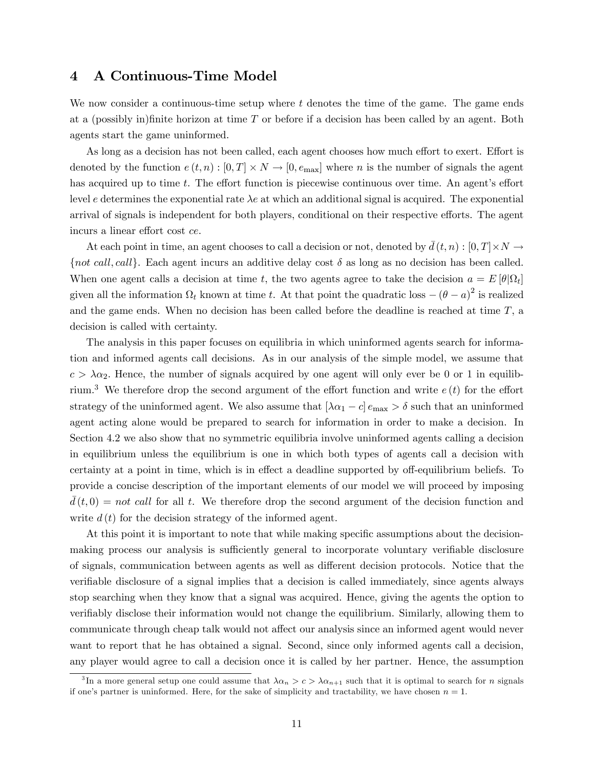## 4 A Continuous-Time Model

We now consider a continuous-time setup where t denotes the time of the game. The game ends at a (possibly in)finite horizon at time  $T$  or before if a decision has been called by an agent. Both agents start the game uninformed.

As long as a decision has not been called, each agent chooses how much effort to exert. Effort is denoted by the function  $e(t, n) : [0, T] \times N \to [0, e_{\text{max}}]$  where n is the number of signals the agent has acquired up to time t. The effort function is piecewise continuous over time. An agent's effort level e determines the exponential rate  $\lambda e$  at which an additional signal is acquired. The exponential arrival of signals is independent for both players, conditional on their respective efforts. The agent incurs a linear effort cost ce.

At each point in time, an agent chooses to call a decision or not, denoted by  $\bar{d}(t, n) : [0, T] \times N \to$ {not call, call}. Each agent incurs an additive delay cost  $\delta$  as long as no decision has been called. When one agent calls a decision at time t, the two agents agree to take the decision  $a = E[\theta|\Omega_t]$ given all the information  $\Omega_t$  known at time t. At that point the quadratic loss  $(\theta - a)^2$  is realized and the game ends. When no decision has been called before the deadline is reached at time  $T$ , a decision is called with certainty.

The analysis in this paper focuses on equilibria in which uninformed agents search for information and informed agents call decisions. As in our analysis of the simple model, we assume that  $c > \lambda \alpha_2$ . Hence, the number of signals acquired by one agent will only ever be 0 or 1 in equilibrium.<sup>3</sup> We therefore drop the second argument of the effort function and write  $e(t)$  for the effort strategy of the uninformed agent. We also assume that  $[\lambda \alpha_1 - c] e_{\text{max}} > \delta$  such that an uninformed agent acting alone would be prepared to search for information in order to make a decision. In Section 4.2 we also show that no symmetric equilibria involve uninformed agents calling a decision in equilibrium unless the equilibrium is one in which both types of agents call a decision with certainty at a point in time, which is in effect a deadline supported by off-equilibrium beliefs. To provide a concise description of the important elements of our model we will proceed by imposing  $d(t, 0) = not \, call \, for \, all \, t.$  We therefore drop the second argument of the decision function and write  $d(t)$  for the decision strategy of the informed agent.

At this point it is important to note that while making specific assumptions about the decisionmaking process our analysis is sufficiently general to incorporate voluntary verifiable disclosure of signals, communication between agents as well as different decision protocols. Notice that the verifiable disclosure of a signal implies that a decision is called immediately, since agents always stop searching when they know that a signal was acquired. Hence, giving the agents the option to verifiably disclose their information would not change the equilibrium. Similarly, allowing them to communicate through cheap talk would not affect our analysis since an informed agent would never want to report that he has obtained a signal. Second, since only informed agents call a decision, any player would agree to call a decision once it is called by her partner. Hence, the assumption

<sup>&</sup>lt;sup>3</sup>In a more general setup one could assume that  $\lambda \alpha_n > c > \lambda \alpha_{n+1}$  such that it is optimal to search for *n* signals if one's partner is uninformed. Here, for the sake of simplicity and tractability, we have chosen  $n = 1$ .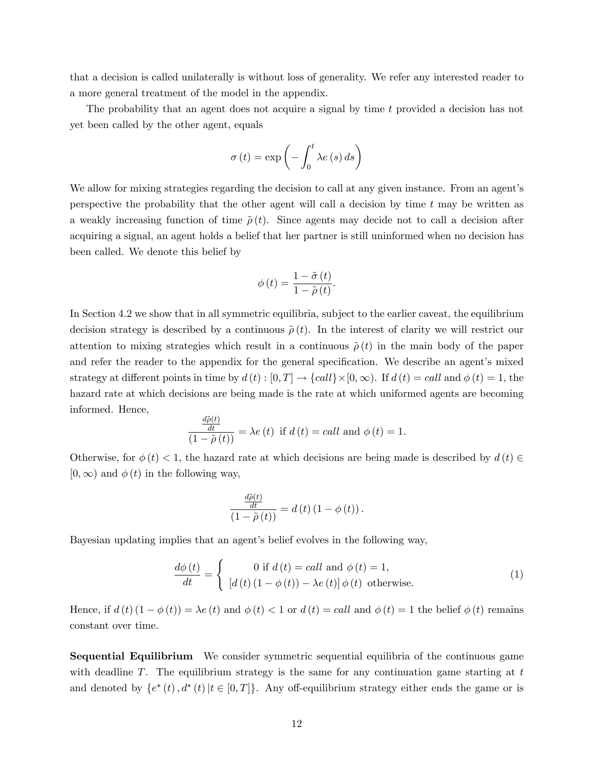that a decision is called unilaterally is without loss of generality. We refer any interested reader to a more general treatment of the model in the appendix.

The probability that an agent does not acquire a signal by time t provided a decision has not yet been called by the other agent, equals

$$
\sigma(t) = \exp\left(-\int_0^t \lambda e(s) \, ds\right)
$$

We allow for mixing strategies regarding the decision to call at any given instance. From an agent's perspective the probability that the other agent will call a decision by time t may be written as a weakly increasing function of time  $\tilde{\rho}(t)$ . Since agents may decide not to call a decision after acquiring a signal, an agent holds a belief that her partner is still uninformed when no decision has been called. We denote this belief by

$$
\phi(t) = \frac{1 - \tilde{\sigma}(t)}{1 - \tilde{\rho}(t)}.
$$

In Section 4.2 we show that in all symmetric equilibria, subject to the earlier caveat, the equilibrium decision strategy is described by a continuous  $\tilde{\rho}(t)$ . In the interest of clarity we will restrict our attention to mixing strategies which result in a continuous  $\tilde{\rho}(t)$  in the main body of the paper and refer the reader to the appendix for the general specification. We describe an agent's mixed strategy at different points in time by  $d(t) : [0, T] \to \{call\} \times [0, \infty)$ . If  $d(t) = call$  and  $\phi(t) = 1$ , the hazard rate at which decisions are being made is the rate at which uniformed agents are becoming informed. Hence,

$$
\frac{\frac{d\tilde{\rho}(t)}{dt}}{(1-\tilde{\rho}(t))} = \lambda e(t) \text{ if } d(t) = call \text{ and } \phi(t) = 1.
$$

Otherwise, for  $\phi(t) < 1$ , the hazard rate at which decisions are being made is described by  $d(t) \in$  $[0,\infty)$  and  $\phi(t)$  in the following way,

$$
\frac{\frac{d\tilde{\rho}(t)}{dt}}{\left(1-\tilde{\rho}\left(t\right)\right)}=d\left(t\right)\left(1-\phi\left(t\right)\right).
$$

Bayesian updating implies that an agent's belief evolves in the following way,

$$
\frac{d\phi(t)}{dt} = \begin{cases} 0 \text{ if } d(t) = call \text{ and } \phi(t) = 1, \\ \left[ d(t) \left( 1 - \phi(t) \right) - \lambda e(t) \right] \phi(t) \text{ otherwise.} \end{cases}
$$
\n(1)

Hence, if  $d(t)$   $(1 - \phi(t)) = \lambda e(t)$  and  $\phi(t) < 1$  or  $d(t) = \text{call}$  and  $\phi(t) = 1$  the belief  $\phi(t)$  remains constant over time.

Sequential Equilibrium We consider symmetric sequential equilibria of the continuous game with deadline  $T$ . The equilibrium strategy is the same for any continuation game starting at  $t$ and denoted by  $\{e^*(t), d^*(t) | t \in [0,T] \}$ . Any off-equilibrium strategy either ends the game or is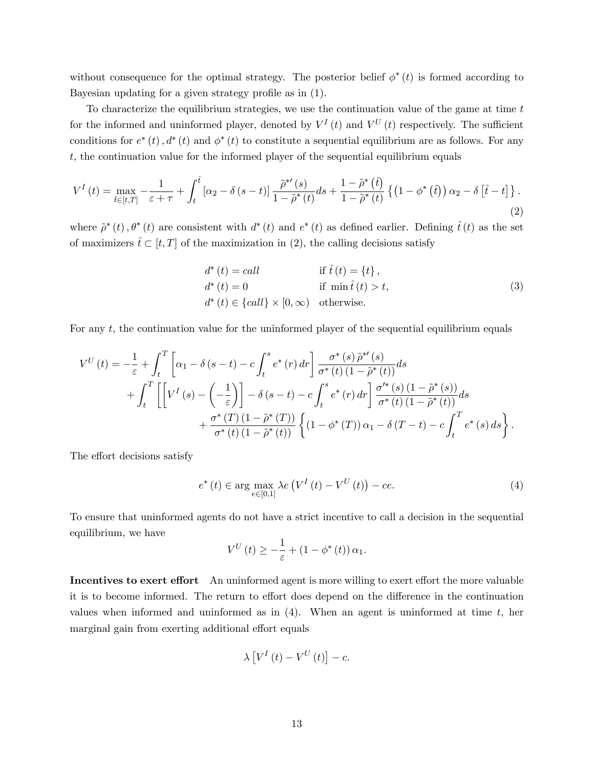without consequence for the optimal strategy. The posterior belief  $\phi^*(t)$  is formed according to Bayesian updating for a given strategy profile as in  $(1)$ .

To characterize the equilibrium strategies, we use the continuation value of the game at time  $t$ for the informed and uninformed player, denoted by  $V^I(t)$  and  $V^U(t)$  respectively. The sufficient conditions for  $e^*(t)$ ,  $d^*(t)$  and  $\phi^*(t)$  to constitute a sequential equilibrium are as follows. For any t, the continuation value for the informed player of the sequential equilibrium equals

$$
V^{I}(t) = \max_{\hat{t}\in[t,T]} -\frac{1}{\varepsilon+\tau} + \int_{t}^{\hat{t}} \left[\alpha_{2} - \delta\left(s-t\right)\right] \frac{\tilde{\rho}^{*'}(s)}{1-\tilde{\rho}^{*}(t)} ds + \frac{1-\tilde{\rho}^{*}\left(\hat{t}\right)}{1-\tilde{\rho}^{*}\left(t\right)} \left\{\left(1-\phi^{*}\left(\hat{t}\right)\right)\alpha_{2} - \delta\left[\hat{t}-t\right]\right\}.\tag{2}
$$

where  $\tilde{\rho}^*(t), \theta^*(t)$  are consistent with  $d^*(t)$  and  $e^*(t)$  as defined earlier. Defining  $\hat{t}(t)$  as the set of maximizers  $\hat{t} \subset [t, T]$  of the maximization in (2), the calling decisions satisfy

d (t) = call if <sup>t</sup>^(t) = <sup>f</sup>t<sup>g</sup> , d (t) = 0 if min t^(t) > t, d (t) 2 fcallg - [0;1) otherwise: (3)

For any t, the continuation value for the uninformed player of the sequential equilibrium equals

$$
V^{U}(t) = -\frac{1}{\varepsilon} + \int_{t}^{T} \left[ \alpha_{1} - \delta(s - t) - c \int_{t}^{s} e^{*}(r) dr \right] \frac{\sigma^{*}(s) \tilde{\rho}^{*'}(s)}{\sigma^{*}(t) (1 - \tilde{\rho}^{*}(t))} ds + \int_{t}^{T} \left[ \left[ V^{I}(s) - \left( -\frac{1}{\varepsilon} \right) \right] - \delta(s - t) - c \int_{t}^{s} e^{*}(r) dr \right] \frac{\sigma^{*}(s) (1 - \tilde{\rho}^{*}(s))}{\sigma^{*}(t) (1 - \tilde{\rho}^{*}(t))} ds + \frac{\sigma^{*}(T) (1 - \tilde{\rho}^{*}(T))}{\sigma^{*}(t) (1 - \tilde{\rho}^{*}(t))} \left\{ (1 - \phi^{*}(T)) \alpha_{1} - \delta(T - t) - c \int_{t}^{T} e^{*}(s) ds \right\}.
$$

The effort decisions satisfy

$$
e^*(t) \in \arg\max_{e \in [0,1]} \lambda e\left(V^I\left(t\right) - V^U\left(t\right)\right) - ce. \tag{4}
$$

To ensure that uninformed agents do not have a strict incentive to call a decision in the sequential equilibrium, we have

$$
V^{U}\left(t\right) \geq -\frac{1}{\varepsilon} + \left(1 - \phi^{*}\left(t\right)\right)\alpha_{1}.
$$

Incentives to exert effort An uninformed agent is more willing to exert effort the more valuable it is to become informed. The return to effort does depend on the difference in the continuation values when informed and uninformed as in  $(4)$ . When an agent is uninformed at time t, her marginal gain from exerting additional effort equals

$$
\lambda \left[ V^{I}\left( t\right) -V^{U}\left( t\right) \right] -c.
$$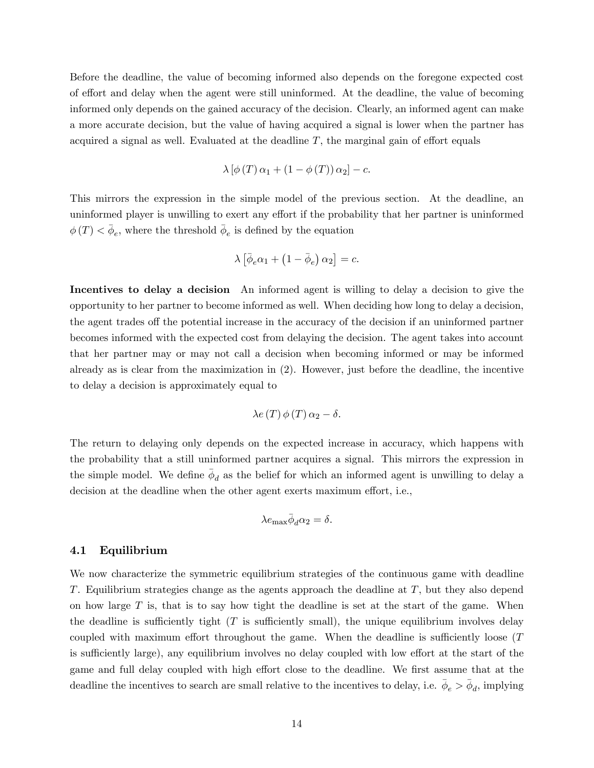Before the deadline, the value of becoming informed also depends on the foregone expected cost of effort and delay when the agent were still uninformed. At the deadline, the value of becoming informed only depends on the gained accuracy of the decision. Clearly, an informed agent can make a more accurate decision, but the value of having acquired a signal is lower when the partner has acquired a signal as well. Evaluated at the deadline  $T$ , the marginal gain of effort equals

$$
\lambda \left[ \phi \left( T \right) \alpha_1 + \left( 1 - \phi \left( T \right) \right) \alpha_2 \right] - c.
$$

This mirrors the expression in the simple model of the previous section. At the deadline, an uninformed player is unwilling to exert any effort if the probability that her partner is uninformed  $\phi(T) \leq \bar{\phi}_e$ , where the threshold  $\bar{\phi}_e$  is defined by the equation

$$
\lambda \left[ \bar{\phi}_e \alpha_1 + \left( 1 - \bar{\phi}_e \right) \alpha_2 \right] = c.
$$

Incentives to delay a decision An informed agent is willing to delay a decision to give the opportunity to her partner to become informed as well. When deciding how long to delay a decision, the agent trades of the potential increase in the accuracy of the decision if an uninformed partner becomes informed with the expected cost from delaying the decision. The agent takes into account that her partner may or may not call a decision when becoming informed or may be informed already as is clear from the maximization in (2). However, just before the deadline, the incentive to delay a decision is approximately equal to

$$
\lambda e(T)\,\phi(T)\,\alpha_2-\delta.
$$

The return to delaying only depends on the expected increase in accuracy, which happens with the probability that a still uninformed partner acquires a signal. This mirrors the expression in the simple model. We define  $\bar{\phi}_d$  as the belief for which an informed agent is unwilling to delay a decision at the deadline when the other agent exerts maximum effort, i.e.,

$$
\lambda e_{\max} \bar{\phi}_d \alpha_2 = \delta.
$$

#### 4.1 Equilibrium

We now characterize the symmetric equilibrium strategies of the continuous game with deadline T. Equilibrium strategies change as the agents approach the deadline at  $T$ , but they also depend on how large  $T$  is, that is to say how tight the deadline is set at the start of the game. When the deadline is sufficiently tight  $(T$  is sufficiently small), the unique equilibrium involves delay coupled with maximum effort throughout the game. When the deadline is sufficiently loose  $(T)$ is sufficiently large), any equilibrium involves no delay coupled with low effort at the start of the game and full delay coupled with high effort close to the deadline. We first assume that at the deadline the incentives to search are small relative to the incentives to delay, i.e.  $\bar{\phi}_e > \bar{\phi}_d$ , implying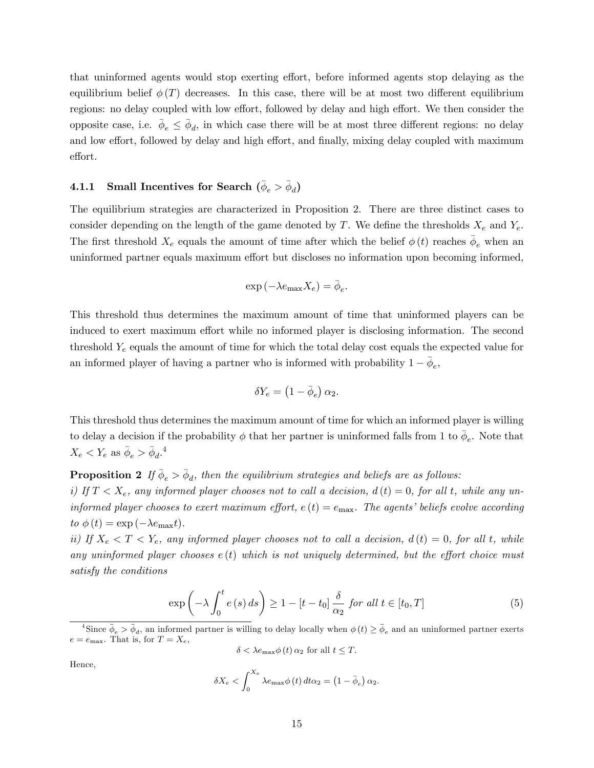that uninformed agents would stop exerting effort, before informed agents stop delaying as the equilibrium belief  $\phi(T)$  decreases. In this case, there will be at most two different equilibrium regions: no delay coupled with low effort, followed by delay and high effort. We then consider the opposite case, i.e.  $\bar{\phi}_e \leq \bar{\phi}_d$ , in which case there will be at most three different regions: no delay and low effort, followed by delay and high effort, and finally, mixing delay coupled with maximum effort.

# $\textbf{4.1.1} \quad \textbf{Small Incentives for Search} \,\, (\bar{\phi}_e > \bar{\phi}_d)$

The equilibrium strategies are characterized in Proposition 2. There are three distinct cases to consider depending on the length of the game denoted by T. We define the thresholds  $X_e$  and  $Y_e$ . The first threshold  $X_e$  equals the amount of time after which the belief  $\phi(t)$  reaches  $\bar{\phi}_e$  when an uninformed partner equals maximum effort but discloses no information upon becoming informed,

$$
\exp\left(-\lambda e_{\max}X_e\right)=\bar{\phi}_e.
$$

This threshold thus determines the maximum amount of time that uninformed players can be induced to exert maximum effort while no informed player is disclosing information. The second threshold  $Y_e$  equals the amount of time for which the total delay cost equals the expected value for an informed player of having a partner who is informed with probability  $1 - \bar{\phi}_e$ ,

$$
\delta Y_e = \left(1-\bar{\phi}_e\right)\alpha_2.
$$

This threshold thus determines the maximum amount of time for which an informed player is willing to delay a decision if the probability  $\phi$  that her partner is uninformed falls from 1 to  $\bar{\phi}_e$ . Note that  $X_e < Y_e$  as  $\bar{\phi}_e > \bar{\phi}_d$ .<sup>4</sup>

**Proposition 2** If  $\bar{\phi}_e > \bar{\phi}_d$ , then the equilibrium strategies and beliefs are as follows: i) If  $T < X_e$ , any informed player chooses not to call a decision,  $d(t) = 0$ , for all t, while any uninformed player chooses to exert maximum effort,  $e(t) = e_{\text{max}}$ . The agents' beliefs evolve according

to  $\phi(t) = \exp(-\lambda e_{\text{max}}t)$ .

ii) If  $X_e < T < Y_e$ , any informed player chooses not to call a decision,  $d(t) = 0$ , for all t, while any uninformed player chooses  $e(t)$  which is not uniquely determined, but the effort choice must satisfy the conditions

$$
\exp\left(-\lambda \int_0^t e(s) \, ds\right) \ge 1 - [t - t_0] \frac{\delta}{\alpha_2} \text{ for all } t \in [t_0, T] \tag{5}
$$

 $\delta < \lambda e_{\text{max}} \phi(t) \alpha_2$  for all  $t \leq T$ .

Hence,

$$
\delta X_e < \int_0^{X_e} \lambda e_{\text{max}} \phi(t) \, dt = \left(1 - \bar{\phi}_e\right) \alpha_2.
$$

<sup>&</sup>lt;sup>4</sup>Since  $\bar{\phi}_e > \bar{\phi}_d$ , an informed partner is willing to delay locally when  $\phi(t) \ge \bar{\phi}_e$  and an uninformed partner exerts  $e = e_{\text{max}}$ . That is, for  $T = X_e$ ,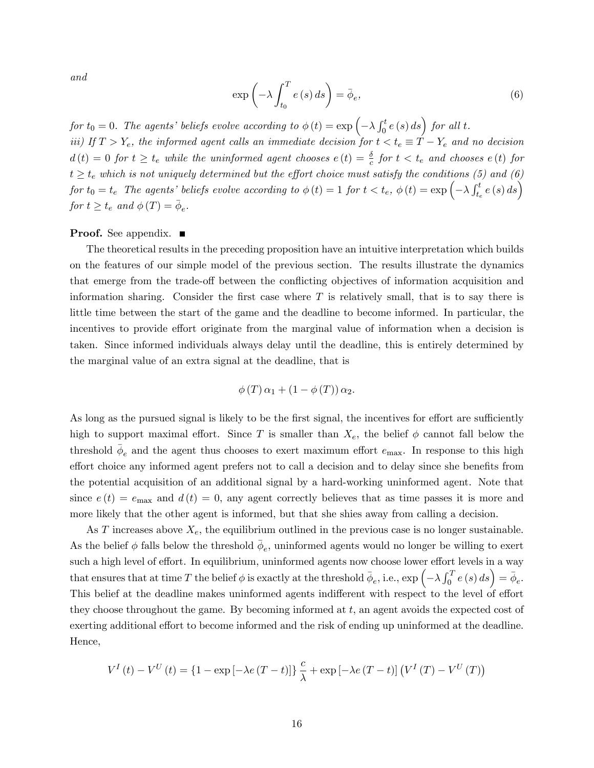and

$$
\exp\left(-\lambda \int_{t_0}^T e(s) \, ds\right) = \bar{\phi}_e,\tag{6}
$$

# for  $t_0 = 0$ . The agents' beliefs evolve according to  $\phi(t) = \exp \left(-\lambda \int_0^t e(s) \, ds \right)$  for all t.

iii) If  $T > Y_e$ , the informed agent calls an immediate decision for  $t < t_e \equiv T - Y_e$  and no decision  $d(t) = 0$  for  $t \ge t_e$  while the uninformed agent chooses  $e(t) = \frac{\delta}{c}$  for  $t < t_e$  and chooses  $e(t)$  for  $t \ge t_e$  which is not uniquely determined but the effort choice must satisfy the conditions (5) and (6)  $for~t_0=t_e~~The~agents'~ beliefs~evolve~according~to~\phi~(t)=1~for~t < t_e,~\phi~(t)=\exp{\left(-\lambda \int_{t_e}^t e\left(s\right)ds\right)}$ for  $t \geq t_e$  and  $\phi(T) = \bar{\phi}_e$ .

#### **Proof.** See appendix.  $\blacksquare$

The theoretical results in the preceding proposition have an intuitive interpretation which builds on the features of our simple model of the previous section. The results illustrate the dynamics that emerge from the trade-off between the conflicting objectives of information acquisition and information sharing. Consider the first case where  $T$  is relatively small, that is to say there is little time between the start of the game and the deadline to become informed. In particular, the incentives to provide effort originate from the marginal value of information when a decision is taken. Since informed individuals always delay until the deadline, this is entirely determined by the marginal value of an extra signal at the deadline, that is

$$
\phi(T)\alpha_1 + (1 - \phi(T))\alpha_2.
$$

As long as the pursued signal is likely to be the first signal, the incentives for effort are sufficiently high to support maximal effort. Since T is smaller than  $X_e$ , the belief  $\phi$  cannot fall below the threshold  $\bar{\phi}_e$  and the agent thus chooses to exert maximum effort  $e_{\text{max}}$ . In response to this high effort choice any informed agent prefers not to call a decision and to delay since she benefits from the potential acquisition of an additional signal by a hard-working uninformed agent. Note that since  $e(t) = e_{\text{max}}$  and  $d(t) = 0$ , any agent correctly believes that as time passes it is more and more likely that the other agent is informed, but that she shies away from calling a decision.

As T increases above  $X_e$ , the equilibrium outlined in the previous case is no longer sustainable. As the belief  $\phi$  falls below the threshold  $\bar{\phi}_e$ , uninformed agents would no longer be willing to exert such a high level of effort. In equilibrium, uninformed agents now choose lower effort levels in a way that ensures that at time T the belief  $\phi$  is exactly at the threshold  $\bar{\phi}_e$ , i.e.,  $\exp\left(-\lambda \int_0^T e(s) ds\right) = \bar{\phi}_e$ . This belief at the deadline makes uninformed agents indifferent with respect to the level of effort they choose throughout the game. By becoming informed at t, an agent avoids the expected cost of exerting additional effort to become informed and the risk of ending up uninformed at the deadline. Hence,

$$
V^{I}(t) - V^{U}(t) = \left\{1 - \exp\left[-\lambda e(T - t)\right]\right\} \frac{c}{\lambda} + \exp\left[-\lambda e(T - t)\right] \left(V^{I}(T) - V^{U}(T)\right)
$$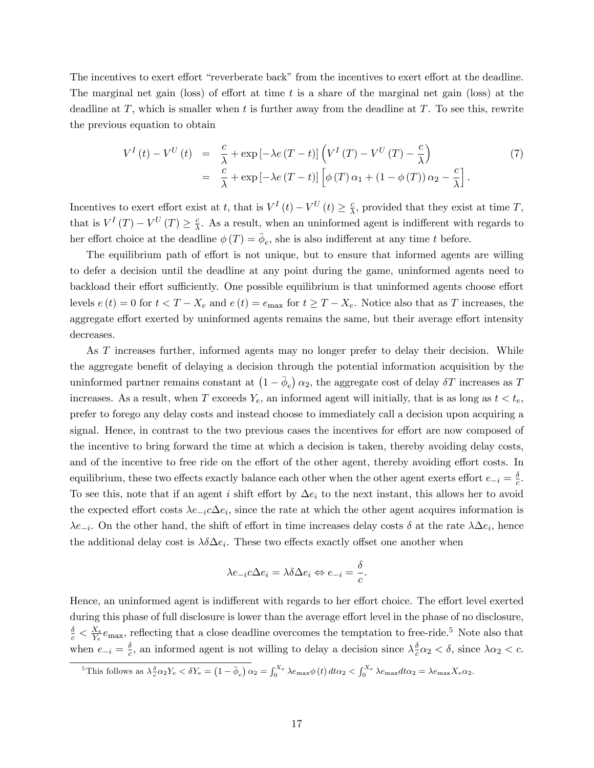The incentives to exert effort "reverberate back" from the incentives to exert effort at the deadline. The marginal net gain (loss) of effort at time t is a share of the marginal net gain (loss) at the deadline at  $T$ , which is smaller when t is further away from the deadline at  $T$ . To see this, rewrite the previous equation to obtain

$$
V^{I}(t) - V^{U}(t) = \frac{c}{\lambda} + \exp\left[-\lambda e(T - t)\right] \left(V^{I}(T) - V^{U}(T) - \frac{c}{\lambda}\right)
$$
  

$$
= \frac{c}{\lambda} + \exp\left[-\lambda e(T - t)\right] \left[\phi(T)\alpha_{1} + (1 - \phi(T))\alpha_{2} - \frac{c}{\lambda}\right].
$$
 (7)

Incentives to exert effort exist at t, that is  $V^I(t) - V^U(t) \ge \frac{c}{\lambda}$  $\frac{c}{\lambda}$ , provided that they exist at time T, that is  $V^I(T) - V^U(T) \geq \frac{c}{\lambda}$  $\frac{c}{\lambda}$ . As a result, when an uninformed agent is indifferent with regards to her effort choice at the deadline  $\phi(T) = \bar{\phi}_e$ , she is also indifferent at any time t before.

The equilibrium path of effort is not unique, but to ensure that informed agents are willing to defer a decision until the deadline at any point during the game, uninformed agents need to backload their effort sufficiently. One possible equilibrium is that uninformed agents choose effort levels  $e(t) = 0$  for  $t < T - X_e$  and  $e(t) = e_{\text{max}}$  for  $t \ge T - X_e$ . Notice also that as T increases, the aggregate effort exerted by uninformed agents remains the same, but their average effort intensity decreases.

As T increases further, informed agents may no longer prefer to delay their decision. While the aggregate benefit of delaying a decision through the potential information acquisition by the uninformed partner remains constant at  $(1 - \bar{\phi}_e) \alpha_2$ , the aggregate cost of delay  $\delta T$  increases as T increases. As a result, when T exceeds  $Y_e$ , an informed agent will initially, that is as long as  $t < t_e$ , prefer to forego any delay costs and instead choose to immediately call a decision upon acquiring a signal. Hence, in contrast to the two previous cases the incentives for effort are now composed of the incentive to bring forward the time at which a decision is taken, thereby avoiding delay costs, and of the incentive to free ride on the effort of the other agent, thereby avoiding effort costs. In equilibrium, these two effects exactly balance each other when the other agent exerts effort  $e_{-i} = \frac{\delta}{c}$  $\frac{\delta}{c}$ . To see this, note that if an agent i shift effort by  $\Delta e_i$  to the next instant, this allows her to avoid the expected effort costs  $\lambda e_{-i}c\Delta e_i$ , since the rate at which the other agent acquires information is  $\lambda e_{-i}$ . On the other hand, the shift of effort in time increases delay costs  $\delta$  at the rate  $\lambda \Delta e_i$ , hence the additional delay cost is  $\lambda \delta \Delta e_i$ . These two effects exactly offset one another when

$$
\lambda e_{-i} c \Delta e_i = \lambda \delta \Delta e_i \Leftrightarrow e_{-i} = \frac{\delta}{c}.
$$

Hence, an uninformed agent is indifferent with regards to her effort choice. The effort level exerted during this phase of full disclosure is lower than the average effort level in the phase of no disclosure,  $\frac{\delta}{c} < \frac{X_e}{Y_e}$  $\frac{X_e}{Y_e}e_{\text{max}}$ , reflecting that a close deadline overcomes the temptation to free-ride.<sup>5</sup> Note also that when  $e_{-i} = \frac{\delta}{c}$  $\frac{\delta}{c}$ , an informed agent is not willing to delay a decision since  $\lambda_{\overline{c}}^{\delta}$  $\frac{\delta}{c} \alpha_2 < \delta$ , since  $\lambda \alpha_2 < c$ .

<sup>&</sup>lt;sup>5</sup>This follows as  $\lambda_c^{\delta} \alpha_2 Y_e < \delta Y_e = (1 - \bar{\phi}_e) \alpha_2 = \int_0^{X_e} \lambda e_{\text{max}} \phi(t) dt \alpha_2 < \int_0^{X_e} \lambda e_{\text{max}} dt \alpha_2 = \lambda e_{\text{max}} X_e \alpha_2$ .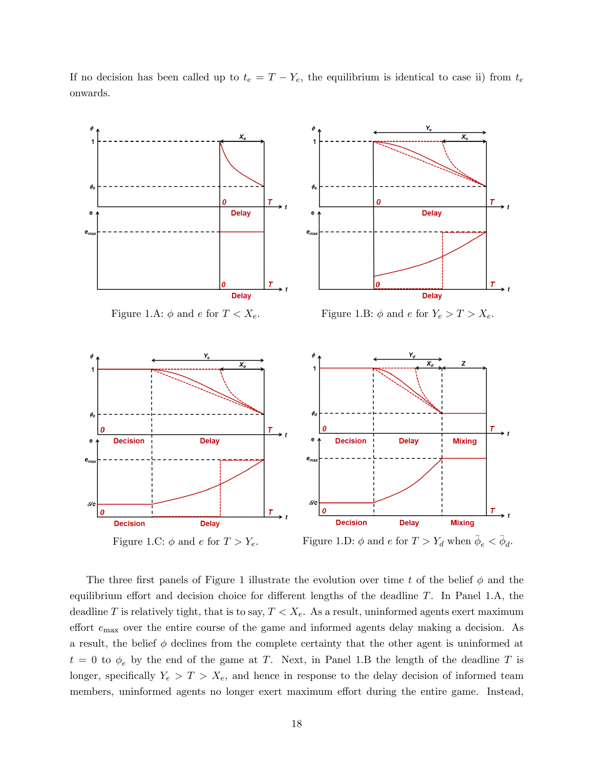If no decision has been called up to  $t_e = T - Y_e$ , the equilibrium is identical to case ii) from  $t_e$ onwards.



The three first panels of Figure 1 illustrate the evolution over time t of the belief  $\phi$  and the equilibrium effort and decision choice for different lengths of the deadline  $T$ . In Panel 1.A, the deadline T is relatively tight, that is to say,  $T < X_e$ . As a result, uninformed agents exert maximum effort  $e_{\text{max}}$  over the entire course of the game and informed agents delay making a decision. As a result, the belief  $\phi$  declines from the complete certainty that the other agent is uninformed at  $t = 0$  to  $\phi_e$  by the end of the game at T. Next, in Panel 1.B the length of the deadline T is longer, specifically  $Y_e > T > X_e$ , and hence in response to the delay decision of informed team members, uninformed agents no longer exert maximum effort during the entire game. Instead,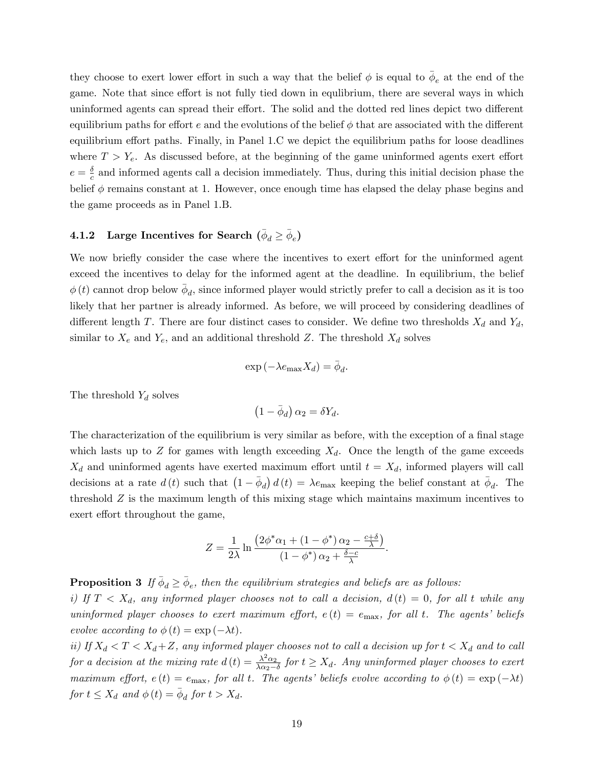they choose to exert lower effort in such a way that the belief  $\phi$  is equal to  $\bar{\phi}_e$  at the end of the game. Note that since effort is not fully tied down in equilibrium, there are several ways in which uninformed agents can spread their effort. The solid and the dotted red lines depict two different equilibrium paths for effort e and the evolutions of the belief  $\phi$  that are associated with the different equilibrium effort paths. Finally, in Panel 1.C we depict the equilibrium paths for loose deadlines where  $T > Y_e$ . As discussed before, at the beginning of the game uninformed agents exert effort  $e = \frac{\delta}{c}$  $\frac{\delta}{c}$  and informed agents call a decision immediately. Thus, during this initial decision phase the belief  $\phi$  remains constant at 1. However, once enough time has elapsed the delay phase begins and the game proceeds as in Panel 1.B.

# **4.1.2** Large Incentives for Search  $(\bar{\phi}_d \geq \bar{\phi}_e)$

We now briefly consider the case where the incentives to exert effort for the uninformed agent exceed the incentives to delay for the informed agent at the deadline. In equilibrium, the belief  $\phi(t)$  cannot drop below  $\bar{\phi}_d$ , since informed player would strictly prefer to call a decision as it is too likely that her partner is already informed. As before, we will proceed by considering deadlines of different length T. There are four distinct cases to consider. We define two thresholds  $X_d$  and  $Y_d$ , similar to  $X_e$  and  $Y_e$ , and an additional threshold Z. The threshold  $X_d$  solves

$$
\exp\left(-\lambda e_{\max}X_d\right)=\bar{\phi}_d.
$$

The threshold  $Y_d$  solves

$$
\left(1-\bar{\phi}_d\right)\alpha_2=\delta Y_d.
$$

The characterization of the equilibrium is very similar as before, with the exception of a final stage which lasts up to Z for games with length exceeding  $X_d$ . Once the length of the game exceeds  $X_d$  and uninformed agents have exerted maximum effort until  $t = X_d$ , informed players will call decisions at a rate  $d(t)$  such that  $(1 - \bar{\phi}_d) d(t) = \lambda e_{\text{max}}$  keeping the belief constant at  $\bar{\phi}_d$ . The threshold  $Z$  is the maximum length of this mixing stage which maintains maximum incentives to exert effort throughout the game,

$$
Z = \frac{1}{2\lambda} \ln \frac{\left(2\phi^*\alpha_1 + \left(1 - \phi^*\right)\alpha_2 - \frac{c+\delta}{\lambda}\right)}{\left(1 - \phi^*\right)\alpha_2 + \frac{\delta - c}{\lambda}}.
$$

**Proposition 3** If  $\bar{\phi}_d \ge \bar{\phi}_e$ , then the equilibrium strategies and beliefs are as follows: i) If  $T < X_d$ , any informed player chooses not to call a decision,  $d(t) = 0$ , for all t while any uninformed player chooses to exert maximum effort,  $e(t) = e_{\text{max}}$ , for all t. The agents' beliefs evolve according to  $\phi(t) = \exp(-\lambda t)$ .

ii) If  $X_d < T < X_d + Z$ , any informed player chooses not to call a decision up for  $t < X_d$  and to call for a decision at the mixing rate  $d(t) = \frac{\lambda^2 \alpha_2}{\lambda \alpha_2 - t}$  $\frac{\lambda^2 \alpha_2}{\lambda \alpha_2 - \delta}$  for  $t \ge X_d$ . Any uninformed player chooses to exert maximum effort,  $e(t) = e_{\text{max}}$ , for all t. The agents' beliefs evolve according to  $\phi(t) = \exp(-\lambda t)$ for  $t \leq X_d$  and  $\phi(t) = \overline{\phi}_d$  for  $t > X_d$ .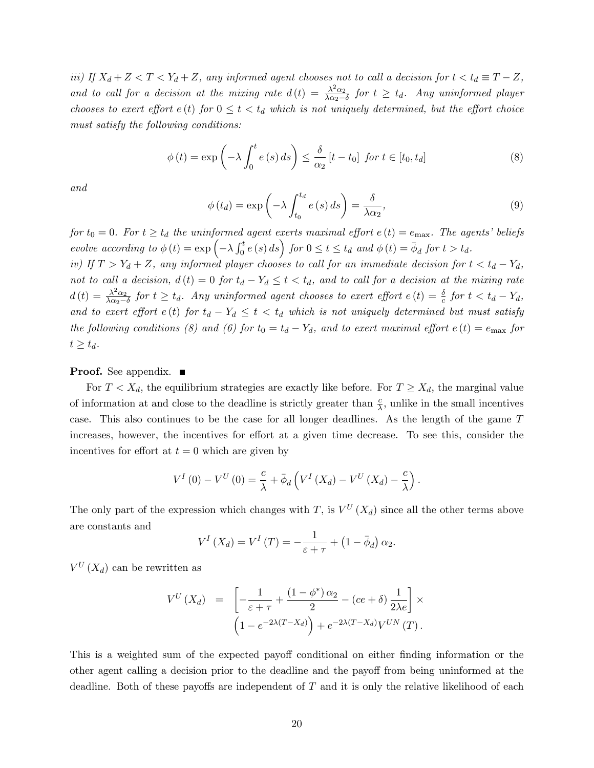iii) If  $X_d + Z < T < Y_d + Z$ , any informed agent chooses not to call a decision for  $t < t_d \equiv T - Z$ , and to call for a decision at the mixing rate  $d(t) = \frac{\lambda^2 \alpha_2}{\lambda \alpha_2 - \mu}$  $\frac{\lambda^2 \alpha_2}{\lambda \alpha_2 - \delta}$  for  $t \geq t_d$ . Any uninformed player chooses to exert effort  $e(t)$  for  $0 \leq t < t_d$  which is not uniquely determined, but the effort choice must satisfy the following conditions:

$$
\phi(t) = \exp\left(-\lambda \int_0^t e(s) \, ds\right) \le \frac{\delta}{\alpha_2} \left[t - t_0\right] \text{ for } t \in [t_0, t_d]
$$
\n
$$
\tag{8}
$$

and

$$
\phi(t_d) = \exp\left(-\lambda \int_{t_0}^{t_d} e(s) \, ds\right) = \frac{\delta}{\lambda \alpha_2},\tag{9}
$$

for  $t_0 = 0$ . For  $t \geq t_d$  the uninformed agent exerts maximal effort  $e(t) = e_{\text{max}}$ . The agents' beliefs evolve according to  $\phi(t) = \exp\left(-\lambda \int_0^t e(s) ds\right)$  for  $0 \le t \le t_d$  and  $\phi(t) = \bar{\phi}_d$  for  $t > t_d$ .

iv) If  $T > Y_d + Z$ , any informed player chooses to call for an immediate decision for  $t < t_d - Y_d$ , not to call a decision,  $d(t) = 0$  for  $t_d - Y_d \le t < t_d$ , and to call for a decision at the mixing rate  $d(t) = \frac{\lambda^2 \alpha_2}{\lambda \alpha_2 - t}$  $\frac{\lambda^2 \alpha_2}{\lambda \alpha_2 - \delta}$  for  $t \ge t_d$ . Any uninformed agent chooses to exert effort  $e(t) = \frac{\delta}{c}$  for  $t < t_d - Y_d$ , and to exert effort  $e(t)$  for  $t_d - Y_d \leq t < t_d$  which is not uniquely determined but must satisfy the following conditions (8) and (6) for  $t_0 = t_d - Y_d$ , and to exert maximal effort  $e(t) = e_{\text{max}}$  for  $t \geq t_d$ .

#### **Proof.** See appendix. ■

For  $T < X_d$ , the equilibrium strategies are exactly like before. For  $T \ge X_d$ , the marginal value of information at and close to the deadline is strictly greater than  $\frac{c}{\lambda}$ , unlike in the small incentives case. This also continues to be the case for all longer deadlines. As the length of the game T increases, however, the incentives for effort at a given time decrease. To see this, consider the incentives for effort at  $t = 0$  which are given by

$$
V^{I}(0) - V^{U}(0) = \frac{c}{\lambda} + \bar{\phi}_{d} \left( V^{I} \left( X_{d} \right) - V^{U} \left( X_{d} \right) - \frac{c}{\lambda} \right).
$$

The only part of the expression which changes with T, is  $V^U(X_d)$  since all the other terms above are constants and

$$
V^{I}\left(X_{d}\right)=V^{I}\left(T\right)=-\frac{1}{\varepsilon+\tau}+\left(1-\bar{\phi}_{d}\right)\alpha_{2}.
$$

 $V^U(X_d)$  can be rewritten as

$$
V^{U}(X_{d}) = \left[ -\frac{1}{\varepsilon + \tau} + \frac{(1 - \phi^{*}) \alpha_{2}}{2} - (ce + \delta) \frac{1}{2\lambda e} \right] \times
$$

$$
\left( 1 - e^{-2\lambda(T - X_{d})} \right) + e^{-2\lambda(T - X_{d})} V^{UN}(T).
$$

This is a weighted sum of the expected payoff conditional on either finding information or the other agent calling a decision prior to the deadline and the payoff from being uninformed at the deadline. Both of these payoffs are independent of  $T$  and it is only the relative likelihood of each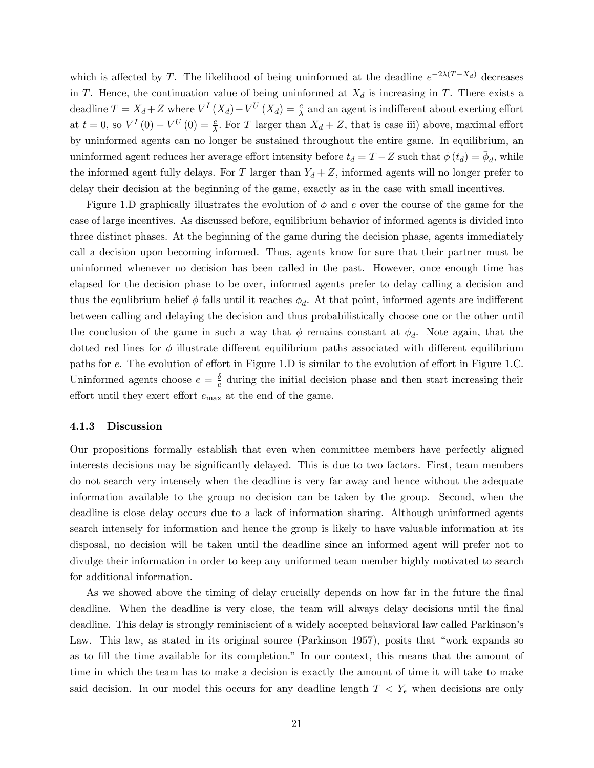which is affected by T. The likelihood of being uninformed at the deadline  $e^{-2\lambda(T-X_d)}$  decreases in T. Hence, the continuation value of being uninformed at  $X_d$  is increasing in T. There exists a deadline  $T = X_d + Z$  where  $V^I(X_d) - V^U(X_d) = \frac{c}{\lambda}$  and an agent is indifferent about exerting effort at  $t = 0$ , so  $V^I(0) - V^U(0) = \frac{c}{\lambda}$ . For T larger than  $X_d + Z$ , that is case iii) above, maximal effort by uninformed agents can no longer be sustained throughout the entire game. In equilibrium, an uninformed agent reduces her average effort intensity before  $t_d = T - Z$  such that  $\phi(t_d) = \bar{\phi}_d$ , while the informed agent fully delays. For T larger than  $Y_d + Z$ , informed agents will no longer prefer to delay their decision at the beginning of the game, exactly as in the case with small incentives.

Figure 1.D graphically illustrates the evolution of  $\phi$  and e over the course of the game for the case of large incentives. As discussed before, equilibrium behavior of informed agents is divided into three distinct phases. At the beginning of the game during the decision phase, agents immediately call a decision upon becoming informed. Thus, agents know for sure that their partner must be uninformed whenever no decision has been called in the past. However, once enough time has elapsed for the decision phase to be over, informed agents prefer to delay calling a decision and thus the equlibrium belief  $\phi$  falls until it reaches  $\phi_d$ . At that point, informed agents are indifferent between calling and delaying the decision and thus probabilistically choose one or the other until the conclusion of the game in such a way that  $\phi$  remains constant at  $\phi_d$ . Note again, that the dotted red lines for  $\phi$  illustrate different equilibrium paths associated with different equilibrium paths for  $e$ . The evolution of effort in Figure 1.D is similar to the evolution of effort in Figure 1.C. Uninformed agents choose  $e = \frac{\delta}{c}$  $\frac{\delta}{c}$  during the initial decision phase and then start increasing their effort until they exert effort  $e_{\text{max}}$  at the end of the game.

#### 4.1.3 Discussion

Our propositions formally establish that even when committee members have perfectly aligned interests decisions may be significantly delayed. This is due to two factors. First, team members do not search very intensely when the deadline is very far away and hence without the adequate information available to the group no decision can be taken by the group. Second, when the deadline is close delay occurs due to a lack of information sharing. Although uninformed agents search intensely for information and hence the group is likely to have valuable information at its disposal, no decision will be taken until the deadline since an informed agent will prefer not to divulge their information in order to keep any uniformed team member highly motivated to search for additional information.

As we showed above the timing of delay crucially depends on how far in the future the final deadline. When the deadline is very close, the team will always delay decisions until the final deadline. This delay is strongly reminiscient of a widely accepted behavioral law called Parkinson's Law. This law, as stated in its original source (Parkinson  $1957$ ), posits that "work expands so as to fill the time available for its completion." In our context, this means that the amount of time in which the team has to make a decision is exactly the amount of time it will take to make said decision. In our model this occurs for any deadline length  $T < Y_e$  when decisions are only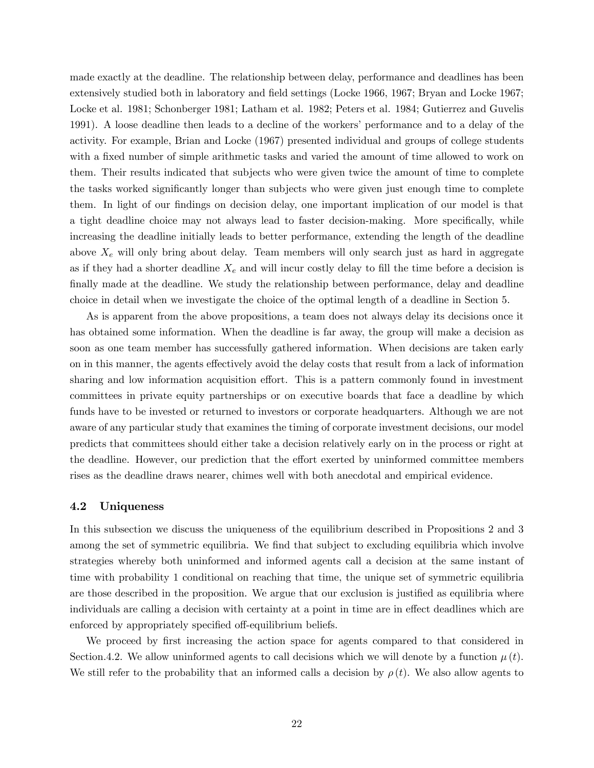made exactly at the deadline. The relationship between delay, performance and deadlines has been extensively studied both in laboratory and field settings (Locke 1966, 1967; Bryan and Locke 1967; Locke et al. 1981; Schonberger 1981; Latham et al. 1982; Peters et al. 1984; Gutierrez and Guvelis 1991). A loose deadline then leads to a decline of the workersíperformance and to a delay of the activity. For example, Brian and Locke (1967) presented individual and groups of college students with a fixed number of simple arithmetic tasks and varied the amount of time allowed to work on them. Their results indicated that subjects who were given twice the amount of time to complete the tasks worked significantly longer than subjects who were given just enough time to complete them. In light of our findings on decision delay, one important implication of our model is that a tight deadline choice may not always lead to faster decision-making. More specifically, while increasing the deadline initially leads to better performance, extending the length of the deadline above  $X_e$  will only bring about delay. Team members will only search just as hard in aggregate as if they had a shorter deadline  $X_e$  and will incur costly delay to fill the time before a decision is finally made at the deadline. We study the relationship between performance, delay and deadline choice in detail when we investigate the choice of the optimal length of a deadline in Section 5.

As is apparent from the above propositions, a team does not always delay its decisions once it has obtained some information. When the deadline is far away, the group will make a decision as soon as one team member has successfully gathered information. When decisions are taken early on in this manner, the agents effectively avoid the delay costs that result from a lack of information sharing and low information acquisition effort. This is a pattern commonly found in investment committees in private equity partnerships or on executive boards that face a deadline by which funds have to be invested or returned to investors or corporate headquarters. Although we are not aware of any particular study that examines the timing of corporate investment decisions, our model predicts that committees should either take a decision relatively early on in the process or right at the deadline. However, our prediction that the effort exerted by uninformed committee members rises as the deadline draws nearer, chimes well with both anecdotal and empirical evidence.

#### 4.2 Uniqueness

In this subsection we discuss the uniqueness of the equilibrium described in Propositions 2 and 3 among the set of symmetric equilibria. We find that subject to excluding equilibria which involve strategies whereby both uninformed and informed agents call a decision at the same instant of time with probability 1 conditional on reaching that time, the unique set of symmetric equilibria are those described in the proposition. We argue that our exclusion is justified as equilibria where individuals are calling a decision with certainty at a point in time are in effect deadlines which are enforced by appropriately specified off-equilibrium beliefs.

We proceed by first increasing the action space for agents compared to that considered in Section.4.2. We allow uninformed agents to call decisions which we will denote by a function  $\mu(t)$ . We still refer to the probability that an informed calls a decision by  $\rho(t)$ . We also allow agents to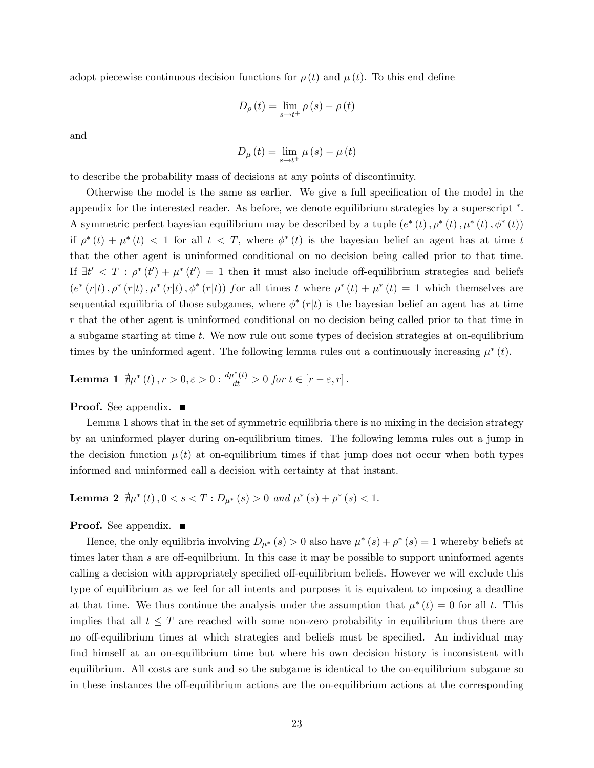adopt piecewise continuous decision functions for  $\rho(t)$  and  $\mu(t)$ . To this end define

$$
D_{\rho}(t) = \lim_{s \to t^{+}} \rho(s) - \rho(t)
$$

and

$$
D_{\mu}(t) = \lim_{s \to t^{+}} \mu(s) - \mu(t)
$$

to describe the probability mass of decisions at any points of discontinuity.

Otherwise the model is the same as earlier. We give a full specification of the model in the appendix for the interested reader. As before, we denote equilibrium strategies by a superscript  $*$ . A symmetric perfect bayesian equilibrium may be described by a tuple  $(e^*(t), \rho^*(t), \mu^*(t), \phi^*(t))$ if  $\rho^*(t) + \mu^*(t) < 1$  for all  $t < T$ , where  $\phi^*(t)$  is the bayesian belief an agent has at time t that the other agent is uninformed conditional on no decision being called prior to that time. If  $\exists t' < T : \rho^*(t') + \mu^*(t') = 1$  then it must also include off-equilibrium strategies and beliefs  $(e^*(r|t), \rho^*(r|t), \mu^*(r|t), \phi^*(r|t))$  for all times t where  $\rho^*(t) + \mu^*(t) = 1$  which themselves are sequential equilibria of those subgames, where  $\phi^*(r|t)$  is the bayesian belief an agent has at time r that the other agent is uninformed conditional on no decision being called prior to that time in a subgame starting at time t. We now rule out some types of decision strategies at on-equilibrium times by the uninformed agent. The following lemma rules out a continuously increasing  $\mu^*(t)$ .

**Lemma 1** 
$$
\nexists \mu^*(t), r > 0, \varepsilon > 0
$$
 :  $\frac{d\mu^*(t)}{dt} > 0$  for  $t \in [r - \varepsilon, r]$ .

**Proof.** See appendix.  $\blacksquare$ 

Lemma 1 shows that in the set of symmetric equilibria there is no mixing in the decision strategy by an uninformed player during on-equilibrium times. The following lemma rules out a jump in the decision function  $\mu(t)$  at on-equilibrium times if that jump does not occur when both types informed and uninformed call a decision with certainty at that instant.

Lemma 2  $\exists \mu^*(t)$ ,  $0 < s < T : D_{\mu^*}(s) > 0$  and  $\mu^*(s) + \rho^*(s) < 1$ .

**Proof.** See appendix.  $\blacksquare$ 

Hence, the only equilibria involving  $D_{\mu^*}(s) > 0$  also have  $\mu^*(s) + \rho^*(s) = 1$  whereby beliefs at times later than s are off-equilibrium. In this case it may be possible to support uninformed agents calling a decision with appropriately specified off-equilibrium beliefs. However we will exclude this type of equilibrium as we feel for all intents and purposes it is equivalent to imposing a deadline at that time. We thus continue the analysis under the assumption that  $\mu^*(t) = 0$  for all t. This implies that all  $t \leq T$  are reached with some non-zero probability in equilibrium thus there are no off-equilibrium times at which strategies and beliefs must be specified. An individual may find himself at an on-equilibrium time but where his own decision history is inconsistent with equilibrium. All costs are sunk and so the subgame is identical to the on-equilibrium subgame so in these instances the of-equilibrium actions are the on-equilibrium actions at the corresponding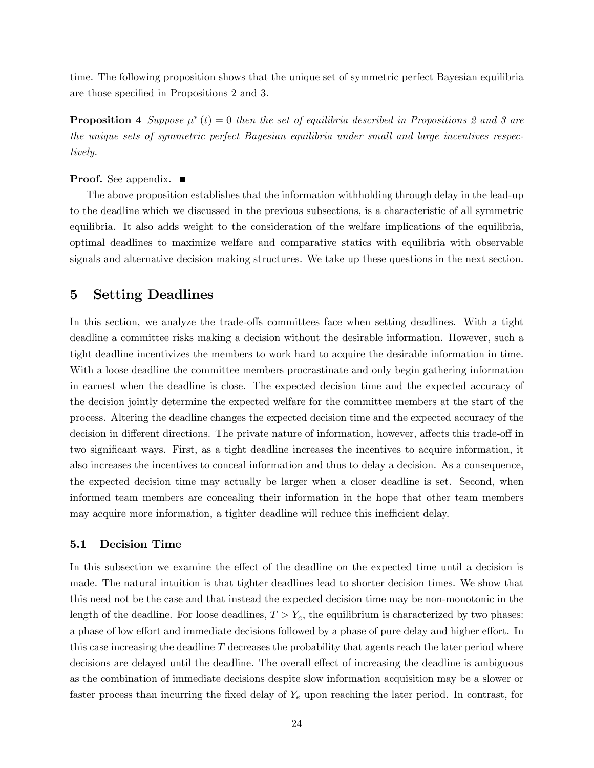time. The following proposition shows that the unique set of symmetric perfect Bayesian equilibria are those specified in Propositions 2 and 3.

**Proposition 4** Suppose  $\mu^*(t) = 0$  then the set of equilibria described in Propositions 2 and 3 are the unique sets of symmetric perfect Bayesian equilibria under small and large incentives respectively.

**Proof.** See appendix. ■

The above proposition establishes that the information withholding through delay in the lead-up to the deadline which we discussed in the previous subsections, is a characteristic of all symmetric equilibria. It also adds weight to the consideration of the welfare implications of the equilibria, optimal deadlines to maximize welfare and comparative statics with equilibria with observable signals and alternative decision making structures. We take up these questions in the next section.

### 5 Setting Deadlines

In this section, we analyze the trade-offs committees face when setting deadlines. With a tight deadline a committee risks making a decision without the desirable information. However, such a tight deadline incentivizes the members to work hard to acquire the desirable information in time. With a loose deadline the committee members procrastinate and only begin gathering information in earnest when the deadline is close. The expected decision time and the expected accuracy of the decision jointly determine the expected welfare for the committee members at the start of the process. Altering the deadline changes the expected decision time and the expected accuracy of the decision in different directions. The private nature of information, however, affects this trade-off in two significant ways. First, as a tight deadline increases the incentives to acquire information, it also increases the incentives to conceal information and thus to delay a decision. As a consequence, the expected decision time may actually be larger when a closer deadline is set. Second, when informed team members are concealing their information in the hope that other team members may acquire more information, a tighter deadline will reduce this inefficient delay.

#### 5.1 Decision Time

In this subsection we examine the effect of the deadline on the expected time until a decision is made. The natural intuition is that tighter deadlines lead to shorter decision times. We show that this need not be the case and that instead the expected decision time may be non-monotonic in the length of the deadline. For loose deadlines,  $T > Y_e$ , the equilibrium is characterized by two phases: a phase of low effort and immediate decisions followed by a phase of pure delay and higher effort. In this case increasing the deadline  $T$  decreases the probability that agents reach the later period where decisions are delayed until the deadline. The overall effect of increasing the deadline is ambiguous as the combination of immediate decisions despite slow information acquisition may be a slower or faster process than incurring the fixed delay of  $Y_e$  upon reaching the later period. In contrast, for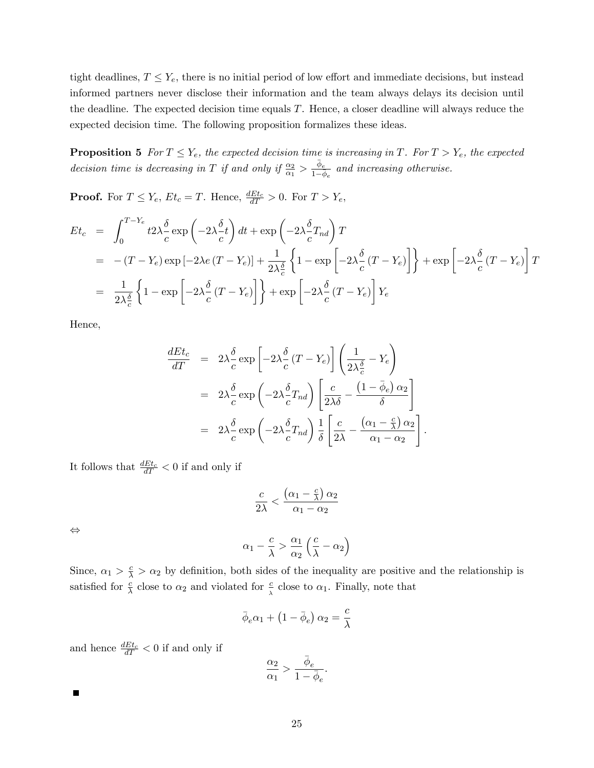tight deadlines,  $T \leq Y_e$ , there is no initial period of low effort and immediate decisions, but instead informed partners never disclose their information and the team always delays its decision until the deadline. The expected decision time equals  $T$ . Hence, a closer deadline will always reduce the expected decision time. The following proposition formalizes these ideas.

**Proposition 5** For  $T \leq Y_e$ , the expected decision time is increasing in T. For  $T > Y_e$ , the expected decision time is decreasing in T if and only if  $\frac{\alpha_2}{\alpha_1} > \frac{\bar{\phi}_e}{1-\bar{\phi}_e}$  and increasing otherwise.

**Proof.** For  $T \leq Y_e$ ,  $Et_c = T$ . Hence,  $\frac{dEt_c}{dT} > 0$ . For  $T > Y_e$ ,

$$
Et_c = \int_0^{T-Y_e} t 2\lambda \frac{\delta}{c} \exp\left(-2\lambda \frac{\delta}{c}t\right) dt + \exp\left(-2\lambda \frac{\delta}{c}T_{nd}\right) T
$$
  
= -(T - Y\_e) \exp\left[-2\lambda e (T - Y\_e)\right] + \frac{1}{2\lambda \frac{\delta}{c}} \left\{1 - \exp\left[-2\lambda \frac{\delta}{c} (T - Y\_e)\right]\right\} + \exp\left[-2\lambda \frac{\delta}{c} (T - Y\_e)\right] T  
= \frac{1}{2\lambda \frac{\delta}{c}} \left\{1 - \exp\left[-2\lambda \frac{\delta}{c} (T - Y\_e)\right]\right\} + \exp\left[-2\lambda \frac{\delta}{c} (T - Y\_e)\right] Y\_e

Hence,

$$
\frac{dEt_c}{dT} = 2\lambda \frac{\delta}{c} \exp\left[-2\lambda \frac{\delta}{c} (T - Y_e)\right] \left(\frac{1}{2\lambda \frac{\delta}{c}} - Y_e\right)
$$
  
\n
$$
= 2\lambda \frac{\delta}{c} \exp\left(-2\lambda \frac{\delta}{c} T_{nd}\right) \left[\frac{c}{2\lambda \delta} - \frac{(1 - \bar{\phi}_e) \alpha_2}{\delta}\right]
$$
  
\n
$$
= 2\lambda \frac{\delta}{c} \exp\left(-2\lambda \frac{\delta}{c} T_{nd}\right) \frac{1}{\delta} \left[\frac{c}{2\lambda} - \frac{(\alpha_1 - \frac{c}{\lambda}) \alpha_2}{\alpha_1 - \alpha_2}\right].
$$

It follows that  $\frac{dE_t}{dT} < 0$  if and only if

$$
\frac{c}{2\lambda} < \frac{\left(\alpha_1 - \frac{c}{\lambda}\right)\alpha_2}{\alpha_1 - \alpha_2}
$$

 $\Leftrightarrow$ 

$$
\alpha_1 - \frac{c}{\lambda} > \frac{\alpha_1}{\alpha_2} \left( \frac{c}{\lambda} - \alpha_2 \right)
$$

Since,  $\alpha_1 > \frac{c}{\lambda} > \alpha_2$  by definition, both sides of the inequality are positive and the relationship is satisfied for  $\frac{c}{\lambda}$  close to  $\alpha_2$  and violated for  $\frac{c}{\lambda}$  close to  $\alpha_1$ . Finally, note that

$$
\bar{\phi}_e \alpha_1 + \left(1 - \bar{\phi}_e\right) \alpha_2 = \frac{c}{\lambda}
$$

and hence  $\frac{dE_t}{dT} < 0$  if and only if

$$
\frac{\alpha_2}{\alpha_1}>\frac{\bar{\phi}_e}{1-\bar{\phi}_e}.
$$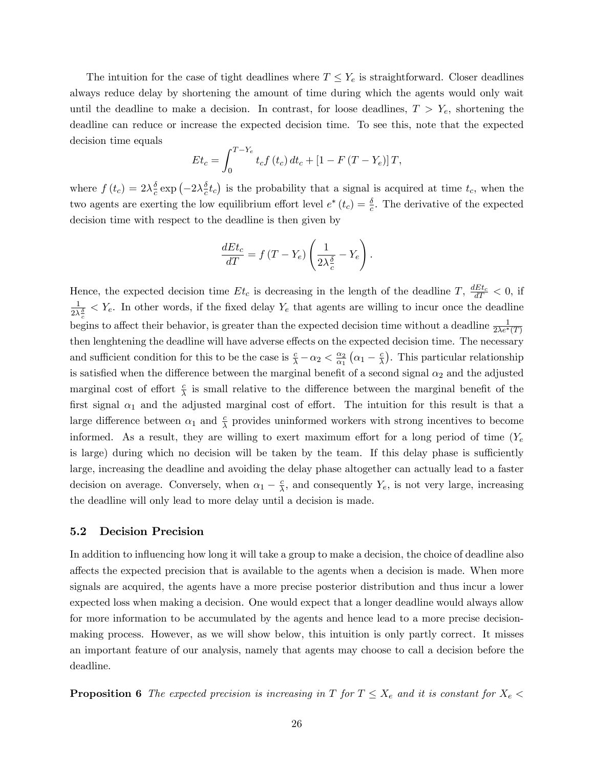The intuition for the case of tight deadlines where  $T \le Y_e$  is straightforward. Closer deadlines always reduce delay by shortening the amount of time during which the agents would only wait until the deadline to make a decision. In contrast, for loose deadlines,  $T > Y_e$ , shortening the deadline can reduce or increase the expected decision time. To see this, note that the expected decision time equals

$$
Et_c = \int_0^{T-Y_e} t_c f(t_c) dt_c + [1 - F(T - Y_e)]T,
$$

where  $f(t_c) = 2\lambda \frac{\delta}{c}$  $\frac{\delta}{c} \exp \left(-2 \lambda \frac{\delta}{c} \right)$  $\frac{\delta}{c}t_c$ ) is the probability that a signal is acquired at time  $t_c$ , when the two agents are exerting the low equilibrium effort level  $e^*(t_c) = \frac{\delta}{c}$ . The derivative of the expected decision time with respect to the deadline is then given by

$$
\frac{dEt_c}{dT} = f(T - Y_e) \left( \frac{1}{2\lambda \frac{\delta}{c}} - Y_e \right).
$$

Hence, the expected decision time  $Et_c$  is decreasing in the length of the deadline  $T$ ,  $\frac{dEt_c}{dT} < 0$ , if 1  $\frac{1}{2\lambda_c^2}$  <  $Y_e$ . In other words, if the fixed delay  $Y_e$  that agents are willing to incur once the deadline begins to affect their behavior, is greater than the expected decision time without a deadline  $\frac{1}{2\lambda e^*(T)}$ then lenghtening the deadline will have adverse effects on the expected decision time. The necessary and sufficient condition for this to be the case is  $\frac{c}{\lambda} - \alpha_2 < \frac{\alpha_2}{\alpha_1}$  $\frac{\alpha_2}{\alpha_1}(\alpha_1-\frac{c}{\lambda})$  $\frac{c}{\lambda}$ . This particular relationship is satisfied when the difference between the marginal benefit of a second signal  $\alpha_2$  and the adjusted marginal cost of effort  $\frac{c}{\lambda}$  is small relative to the difference between the marginal benefit of the first signal  $\alpha_1$  and the adjusted marginal cost of effort. The intuition for this result is that a large difference between  $\alpha_1$  and  $\frac{c}{\lambda}$  provides uninformed workers with strong incentives to become informed. As a result, they are willing to exert maximum effort for a long period of time  $(Y_e$ is large) during which no decision will be taken by the team. If this delay phase is sufficiently large, increasing the deadline and avoiding the delay phase altogether can actually lead to a faster decision on average. Conversely, when  $\alpha_1 - \frac{c}{\lambda}$  $\frac{c}{\lambda}$ , and consequently  $Y_e$ , is not very large, increasing the deadline will only lead to more delay until a decision is made.

#### 5.2 Decision Precision

In addition to influencing how long it will take a group to make a decision, the choice of deadline also affects the expected precision that is available to the agents when a decision is made. When more signals are acquired, the agents have a more precise posterior distribution and thus incur a lower expected loss when making a decision. One would expect that a longer deadline would always allow for more information to be accumulated by the agents and hence lead to a more precise decisionmaking process. However, as we will show below, this intuition is only partly correct. It misses an important feature of our analysis, namely that agents may choose to call a decision before the deadline.

**Proposition 6** The expected precision is increasing in T for  $T \leq X_e$  and it is constant for  $X_e$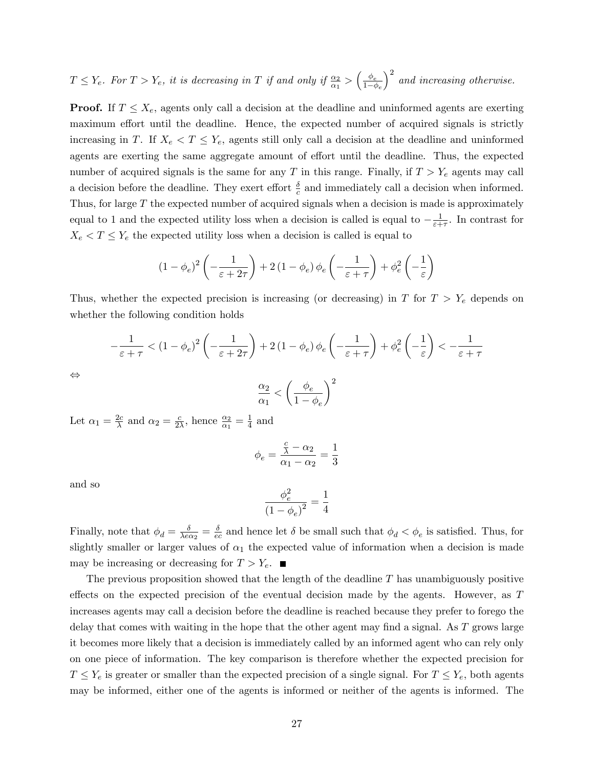$T \leq Y_e$ . For  $T > Y_e$ , it is decreasing in T if and only if  $\frac{\alpha_2}{\alpha_1} > \left(\frac{\phi_e}{1-\phi_e}\right)$  $1-\phi_e$  $\big)^2$  and increasing otherwise.

**Proof.** If  $T \leq X_e$ , agents only call a decision at the deadline and uninformed agents are exerting maximum effort until the deadline. Hence, the expected number of acquired signals is strictly increasing in T. If  $X_e < T \leq Y_e$ , agents still only call a decision at the deadline and uninformed agents are exerting the same aggregate amount of effort until the deadline. Thus, the expected number of acquired signals is the same for any T in this range. Finally, if  $T > Y_e$  agents may call a decision before the deadline. They exert effort  $\frac{\delta}{c}$  and immediately call a decision when informed. Thus, for large  $T$  the expected number of acquired signals when a decision is made is approximately equal to 1 and the expected utility loss when a decision is called is equal to  $-\frac{1}{\varepsilon+1}$  $\frac{1}{\varepsilon+\tau}$ . In contrast for  $X_e < T \le Y_e$  the expected utility loss when a decision is called is equal to

$$
(1 - \phi_e)^2 \left( -\frac{1}{\varepsilon + 2\tau} \right) + 2 (1 - \phi_e) \phi_e \left( -\frac{1}{\varepsilon + \tau} \right) + \phi_e^2 \left( -\frac{1}{\varepsilon} \right)
$$

Thus, whether the expected precision is increasing (or decreasing) in T for  $T > Y_e$  depends on whether the following condition holds

$$
-\frac{1}{\varepsilon+\tau} < (1-\phi_e)^2 \left( -\frac{1}{\varepsilon+2\tau} \right) + 2 (1-\phi_e) \phi_e \left( -\frac{1}{\varepsilon+\tau} \right) + \phi_e^2 \left( -\frac{1}{\varepsilon} \right) < -\frac{1}{\varepsilon+\tau}
$$
\n
$$
\frac{\alpha_2}{\alpha_1} < \left( \frac{\phi_e}{1-\phi_e} \right)^2
$$

 $1 - \phi_e$ 

Let  $\alpha_1 = \frac{2c}{\lambda}$  $\frac{2c}{\lambda}$  and  $\alpha_2 = \frac{c}{2\lambda}$  $\frac{c}{2\lambda}$ , hence  $\frac{\alpha_2}{\alpha_1} = \frac{1}{4}$  $\frac{1}{4}$  and

$$
\phi_e = \frac{\frac{c}{\lambda} - \alpha_2}{\alpha_1 - \alpha_2} = \frac{1}{3}
$$

and so

 $\Leftrightarrow$ 

$$
\frac{\phi_e^2}{(1 - \phi_e)^2} = \frac{1}{4}
$$

Finally, note that  $\phi_d = \frac{\delta}{\lambda e \alpha}$  $\frac{\delta}{\lambda e \alpha_2} = \frac{\delta}{e \alpha}$  $\frac{\partial}{\partial e}$  and hence let  $\delta$  be small such that  $\phi_d < \phi_e$  is satisfied. Thus, for slightly smaller or larger values of  $\alpha_1$  the expected value of information when a decision is made may be increasing or decreasing for  $T > Y_e$ .

The previous proposition showed that the length of the deadline  $T$  has unambiguously positive effects on the expected precision of the eventual decision made by the agents. However, as  $T$ increases agents may call a decision before the deadline is reached because they prefer to forego the delay that comes with waiting in the hope that the other agent may find a signal. As  $T$  grows large it becomes more likely that a decision is immediately called by an informed agent who can rely only on one piece of information. The key comparison is therefore whether the expected precision for  $T \leq Y_e$  is greater or smaller than the expected precision of a single signal. For  $T \leq Y_e$ , both agents may be informed, either one of the agents is informed or neither of the agents is informed. The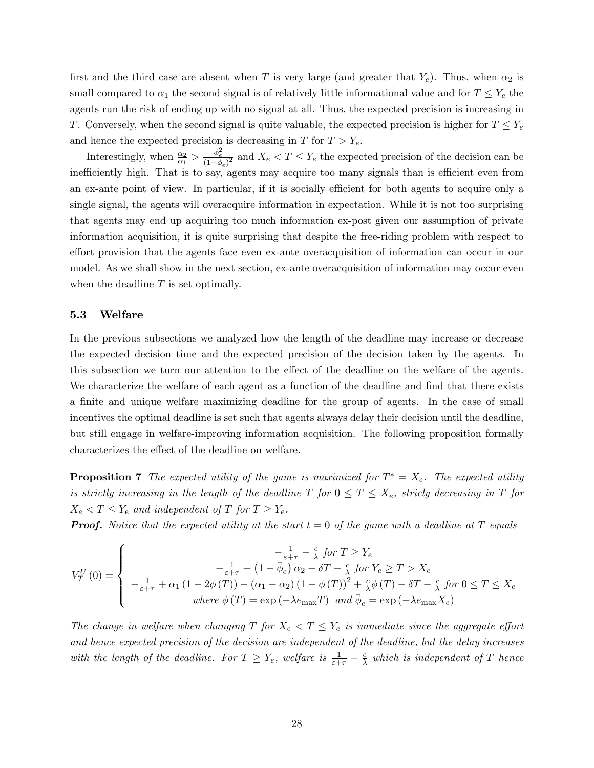first and the third case are absent when T is very large (and greater that  $Y_e$ ). Thus, when  $\alpha_2$  is small compared to  $\alpha_1$  the second signal is of relatively little informational value and for  $T \leq Y_e$  the agents run the risk of ending up with no signal at all. Thus, the expected precision is increasing in T. Conversely, when the second signal is quite valuable, the expected precision is higher for  $T \leq Y_e$ and hence the expected precision is decreasing in  $T$  for  $T > Y_e$ .

Interestingly, when  $\frac{\alpha_2}{\alpha_1} > \frac{\phi_e^2}{(1-\phi_e)^2}$  and  $X_e < T \le Y_e$  the expected precision of the decision can be inefficiently high. That is to say, agents may acquire too many signals than is efficient even from an ex-ante point of view. In particular, if it is socially efficient for both agents to acquire only a single signal, the agents will overacquire information in expectation. While it is not too surprising that agents may end up acquiring too much information ex-post given our assumption of private information acquisition, it is quite surprising that despite the free-riding problem with respect to effort provision that the agents face even ex-ante overacquisition of information can occur in our model. As we shall show in the next section, ex-ante overacquisition of information may occur even when the deadline  $T$  is set optimally.

#### 5.3 Welfare

In the previous subsections we analyzed how the length of the deadline may increase or decrease the expected decision time and the expected precision of the decision taken by the agents. In this subsection we turn our attention to the effect of the deadline on the welfare of the agents. We characterize the welfare of each agent as a function of the deadline and find that there exists a finite and unique welfare maximizing deadline for the group of agents. In the case of small incentives the optimal deadline is set such that agents always delay their decision until the deadline, but still engage in welfare-improving information acquisition. The following proposition formally characterizes the effect of the deadline on welfare.

**Proposition 7** The expected utility of the game is maximized for  $T^* = X_e$ . The expected utility is strictly increasing in the length of the deadline T for  $0 \le T \le X_e$ , stricly decreasing in T for  $X_e < T \leq Y_e$  and independent of T for  $T \geq Y_e$ .

**Proof.** Notice that the expected utility at the start  $t = 0$  of the game with a deadline at T equals

$$
V_T^U(0) = \begin{cases} \n-\frac{1}{\varepsilon + \tau} - \frac{c}{\lambda} \text{ for } T \ge Y_e \\
-\frac{1}{\varepsilon + \tau} + (1 - \bar{\phi}_e) \alpha_2 - \delta T - \frac{c}{\lambda} \text{ for } Y_e \ge T > X_e \\
-\frac{1}{\varepsilon + \tau} + \alpha_1 (1 - 2\phi(T)) - (\alpha_1 - \alpha_2) (1 - \phi(T))^2 + \frac{c}{\lambda} \phi(T) - \delta T - \frac{c}{\lambda} \text{ for } 0 \le T \le X_e \\
where \phi(T) = \exp(-\lambda e_{\text{max}} T) \text{ and } \bar{\phi}_e = \exp(-\lambda e_{\text{max}} X_e)\n\end{cases}
$$

The change in welfare when changing T for  $X_e < T \leq Y_e$  is immediate since the aggregate effort and hence expected precision of the decision are independent of the deadline, but the delay increases with the length of the deadline. For  $T \ge Y_e$ , welfare is  $\frac{1}{\varepsilon + \tau} - \frac{c}{\lambda}$  $\frac{c}{\lambda}$  which is independent of T hence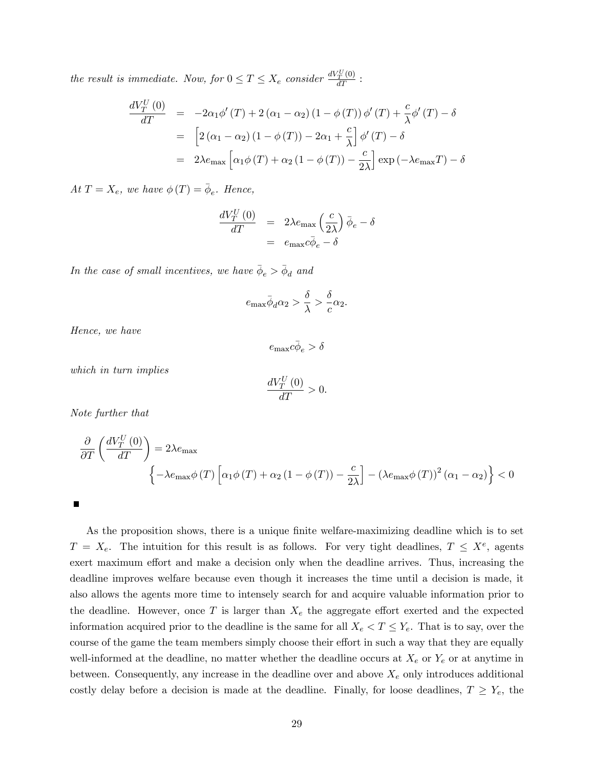the result is immediate. Now, for  $0 \le T \le X_e$  consider  $\frac{dV_V^U(0)}{dT}$ :

$$
\frac{dV_T^U(0)}{dT} = -2\alpha_1 \phi'(T) + 2(\alpha_1 - \alpha_2)(1 - \phi(T)) \phi'(T) + \frac{c}{\lambda} \phi'(T) - \delta
$$
  
\n
$$
= \left[2(\alpha_1 - \alpha_2)(1 - \phi(T)) - 2\alpha_1 + \frac{c}{\lambda}\right] \phi'(T) - \delta
$$
  
\n
$$
= 2\lambda e_{\text{max}} \left[\alpha_1 \phi(T) + \alpha_2 (1 - \phi(T)) - \frac{c}{2\lambda}\right] \exp(-\lambda e_{\text{max}}T) - \delta
$$

At  $T = X_e$ , we have  $\phi(T) = \bar{\phi}_e$ . Hence,

$$
\frac{dV_T^U(0)}{dT} = 2\lambda e_{\text{max}} \left(\frac{c}{2\lambda}\right) \bar{\phi}_e - \delta
$$

$$
= e_{\text{max}} c \bar{\phi}_e - \delta
$$

In the case of small incentives, we have  $\bar{\phi}_e > \bar{\phi}_d$  and

$$
e_{\max}\bar{\phi}_d\alpha_2 > \frac{\delta}{\lambda} > \frac{\delta}{c}\alpha_2.
$$

Hence, we have

 $e_{\max}c\bar{\phi}_e > \delta$ 

which in turn implies

$$
\frac{dV_T^U(0)}{dT} > 0.
$$

Note further that

$$
\frac{\partial}{\partial T} \left( \frac{dV_T^U(0)}{dT} \right) = 2\lambda e_{\text{max}} \left\{ -\lambda e_{\text{max}} \phi(T) \left[ \alpha_1 \phi(T) + \alpha_2 \left( 1 - \phi(T) \right) - \frac{c}{2\lambda} \right] - \left( \lambda e_{\text{max}} \phi(T) \right)^2 \left( \alpha_1 - \alpha_2 \right) \right\} < 0
$$

П

As the proposition shows, there is a unique finite welfare-maximizing deadline which is to set  $T = X_e$ . The intuition for this result is as follows. For very tight deadlines,  $T \leq X^e$ , agents exert maximum effort and make a decision only when the deadline arrives. Thus, increasing the deadline improves welfare because even though it increases the time until a decision is made, it also allows the agents more time to intensely search for and acquire valuable information prior to the deadline. However, once T is larger than  $X_e$  the aggregate effort exerted and the expected information acquired prior to the deadline is the same for all  $X_e < T \leq Y_e$ . That is to say, over the course of the game the team members simply choose their effort in such a way that they are equally well-informed at the deadline, no matter whether the deadline occurs at  $X_e$  or  $Y_e$  or at anytime in between. Consequently, any increase in the deadline over and above  $X_e$  only introduces additional costly delay before a decision is made at the deadline. Finally, for loose deadlines,  $T \ge Y_e$ , the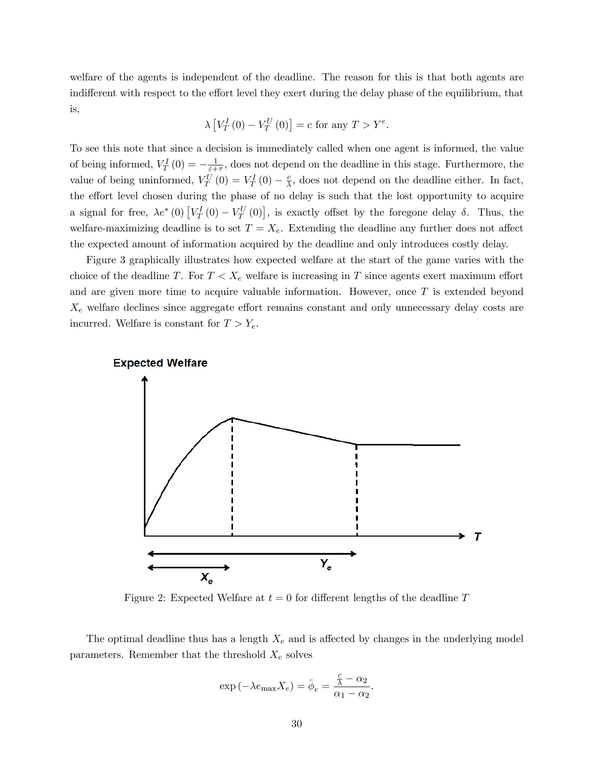welfare of the agents is independent of the deadline. The reason for this is that both agents are indifferent with respect to the effort level they exert during the delay phase of the equilibrium, that is,

$$
\lambda \left[ V_T^I(0) - V_T^U(0) \right] = c \text{ for any } T > Y^e.
$$

To see this note that since a decision is immediately called when one agent is informed, the value of being informed,  $V_T^I(0) = -\frac{1}{\varepsilon + 1}$  $\frac{1}{\epsilon + \tau}$ , does not depend on the deadline in this stage. Furthermore, the value of being uninformed,  $V_T^U(0) = V_T^I(0) - \frac{c}{\lambda}$  $\frac{c}{\lambda}$ , does not depend on the deadline either. In fact, the effort level chosen during the phase of no delay is such that the lost opportunity to acquire a signal for free,  $\lambda e^*$  (0)  $[V_T^I(0) - V_T^U(0)]$ , is exactly offset by the foregone delay  $\delta$ . Thus, the welfare-maximizing deadline is to set  $T = X_e$ . Extending the deadline any further does not affect the expected amount of information acquired by the deadline and only introduces costly delay.

Figure 3 graphically illustrates how expected welfare at the start of the game varies with the choice of the deadline T. For  $T < X_e$  welfare is increasing in T since agents exert maximum effort and are given more time to acquire valuable information. However, once  $T$  is extended beyond  $X_e$  welfare declines since aggregate effort remains constant and only unnecessary delay costs are incurred. Welfare is constant for  $T > Y_e$ .



Figure 2: Expected Welfare at  $t = 0$  for different lengths of the deadline T

The optimal deadline thus has a length  $X_e$  and is affected by changes in the underlying model parameters. Remember that the threshold  $X_e$  solves

$$
\exp(-\lambda e_{\max} X_e) = \bar{\phi}_e = \frac{\frac{c}{\lambda} - \alpha_2}{\alpha_1 - \alpha_2}.
$$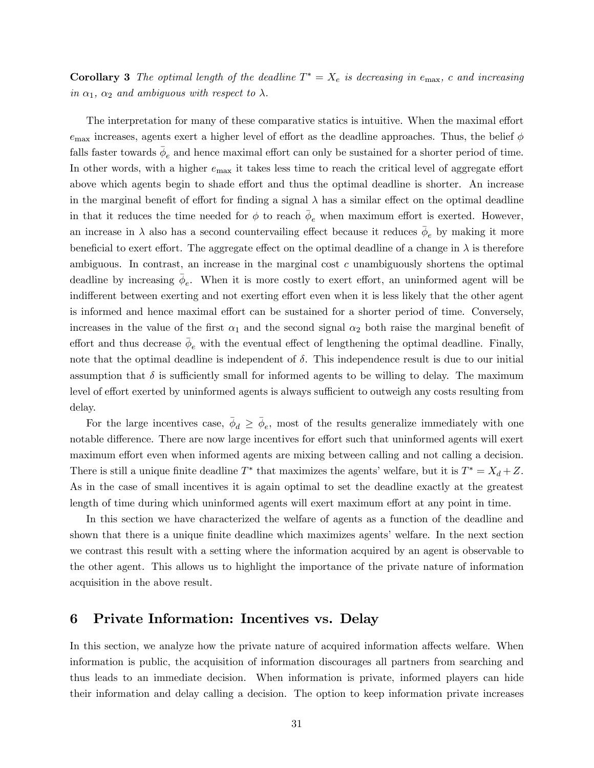**Corollary 3** The optimal length of the deadline  $T^* = X_e$  is decreasing in  $e_{\text{max}}$ , c and increasing in  $\alpha_1$ ,  $\alpha_2$  and ambiguous with respect to  $\lambda$ .

The interpretation for many of these comparative statics is intuitive. When the maximal effort  $e_{\text{max}}$  increases, agents exert a higher level of effort as the deadline approaches. Thus, the belief  $\phi$ falls faster towards  $\bar{\phi}_e$  and hence maximal effort can only be sustained for a shorter period of time. In other words, with a higher  $e_{\text{max}}$  it takes less time to reach the critical level of aggregate effort above which agents begin to shade effort and thus the optimal deadline is shorter. An increase in the marginal benefit of effort for finding a signal  $\lambda$  has a similar effect on the optimal deadline in that it reduces the time needed for  $\phi$  to reach  $\bar{\phi}_e$  when maximum effort is exerted. However, an increase in  $\lambda$  also has a second countervailing effect because it reduces  $\bar{\phi}_e$  by making it more beneficial to exert effort. The aggregate effect on the optimal deadline of a change in  $\lambda$  is therefore ambiguous. In contrast, an increase in the marginal cost c unambiguously shortens the optimal deadline by increasing  $\bar{\phi}_e$ . When it is more costly to exert effort, an uninformed agent will be indifferent between exerting and not exerting effort even when it is less likely that the other agent is informed and hence maximal effort can be sustained for a shorter period of time. Conversely, increases in the value of the first  $\alpha_1$  and the second signal  $\alpha_2$  both raise the marginal benefit of effort and thus decrease  $\bar{\phi}_e$  with the eventual effect of lengthening the optimal deadline. Finally, note that the optimal deadline is independent of  $\delta$ . This independence result is due to our initial assumption that  $\delta$  is sufficiently small for informed agents to be willing to delay. The maximum level of effort exerted by uninformed agents is always sufficient to outweigh any costs resulting from delay.

For the large incentives case,  $\bar{\phi}_d \geq \bar{\phi}_e$ , most of the results generalize immediately with one notable difference. There are now large incentives for effort such that uninformed agents will exert maximum effort even when informed agents are mixing between calling and not calling a decision. There is still a unique finite deadline  $T^*$  that maximizes the agents' welfare, but it is  $T^* = X_d + Z$ . As in the case of small incentives it is again optimal to set the deadline exactly at the greatest length of time during which uninformed agents will exert maximum effort at any point in time.

In this section we have characterized the welfare of agents as a function of the deadline and shown that there is a unique finite deadline which maximizes agents' welfare. In the next section we contrast this result with a setting where the information acquired by an agent is observable to the other agent. This allows us to highlight the importance of the private nature of information acquisition in the above result.

## 6 Private Information: Incentives vs. Delay

In this section, we analyze how the private nature of acquired information affects welfare. When information is public, the acquisition of information discourages all partners from searching and thus leads to an immediate decision. When information is private, informed players can hide their information and delay calling a decision. The option to keep information private increases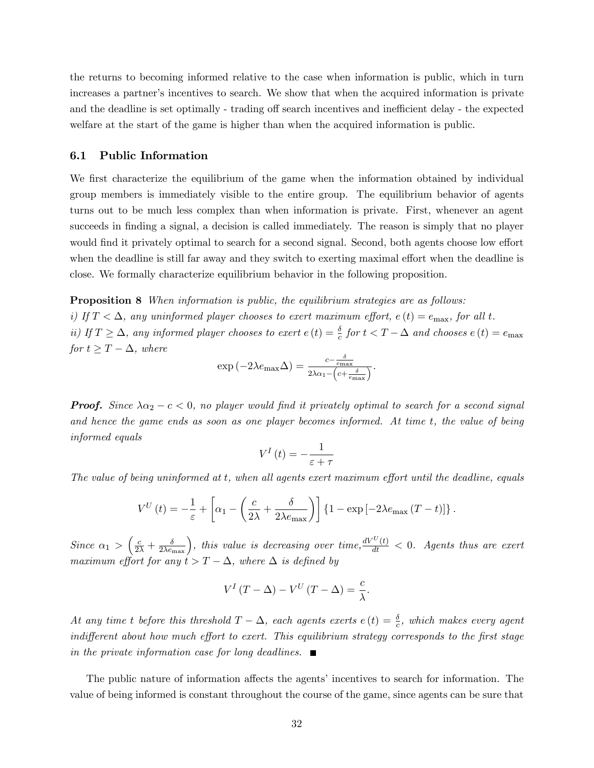the returns to becoming informed relative to the case when information is public, which in turn increases a partner's incentives to search. We show that when the acquired information is private and the deadline is set optimally - trading off search incentives and inefficient delay - the expected welfare at the start of the game is higher than when the acquired information is public.

#### 6.1 Public Information

We first characterize the equilibrium of the game when the information obtained by individual group members is immediately visible to the entire group. The equilibrium behavior of agents turns out to be much less complex than when information is private. First, whenever an agent succeeds in finding a signal, a decision is called immediately. The reason is simply that no player would find it privately optimal to search for a second signal. Second, both agents choose low effort when the deadline is still far away and they switch to exerting maximal effort when the deadline is close. We formally characterize equilibrium behavior in the following proposition.

**Proposition 8** When information is public, the equilibrium strategies are as follows: i) If  $T < \Delta$ , any uninformed player chooses to exert maximum effort,  $e(t) = e_{\text{max}}$ , for all t. ii) If  $T \geq \Delta$ , any informed player chooses to exert  $e(t) = \frac{\delta}{c}$  for  $t < T - \Delta$  and chooses  $e(t) = e_{\text{max}}$ for  $t \geq T - \Delta$ , where

$$
\exp(-2\lambda e_{\max}\Delta) = \frac{c - \frac{\delta}{e_{\max}}}{2\lambda \alpha_1 - \left(c + \frac{\delta}{e_{\max}}\right)}.
$$

**Proof.** Since  $\lambda \alpha_2 - c < 0$ , no player would find it privately optimal to search for a second signal and hence the game ends as soon as one player becomes informed. At time t, the value of being informed equals

$$
V^{I}\left(t\right) = -\frac{1}{\varepsilon + \tau}
$$

The value of being uninformed at t, when all agents exert maximum effort until the deadline, equals

$$
V^{U}(t) = -\frac{1}{\varepsilon} + \left[ \alpha_1 - \left( \frac{c}{2\lambda} + \frac{\delta}{2\lambda e_{\text{max}}} \right) \right] \left\{ 1 - \exp\left[ -2\lambda e_{\text{max}} \left( T - t \right) \right] \right\}.
$$

Since  $\alpha_1 > \left(\frac{c}{2\lambda} + \frac{\delta}{2\lambda e_{\text{max}}}\right)$ , this value is decreasing over time,  $\frac{dV^U(t)}{dt} < 0$ . Agents thus are exert maximum effort for any  $t > T - \Delta$ , where  $\Delta$  is defined by

$$
V^{I}(T - \Delta) - V^{U}(T - \Delta) = \frac{c}{\lambda}.
$$

At any time t before this threshold  $T-\Delta$ , each agents exerts  $e(t)=\frac{\delta}{c}$ , which makes every agent indifferent about how much effort to exert. This equilibrium strategy corresponds to the first stage in the private information case for long deadlines.  $\blacksquare$ 

The public nature of information affects the agents' incentives to search for information. The value of being informed is constant throughout the course of the game, since agents can be sure that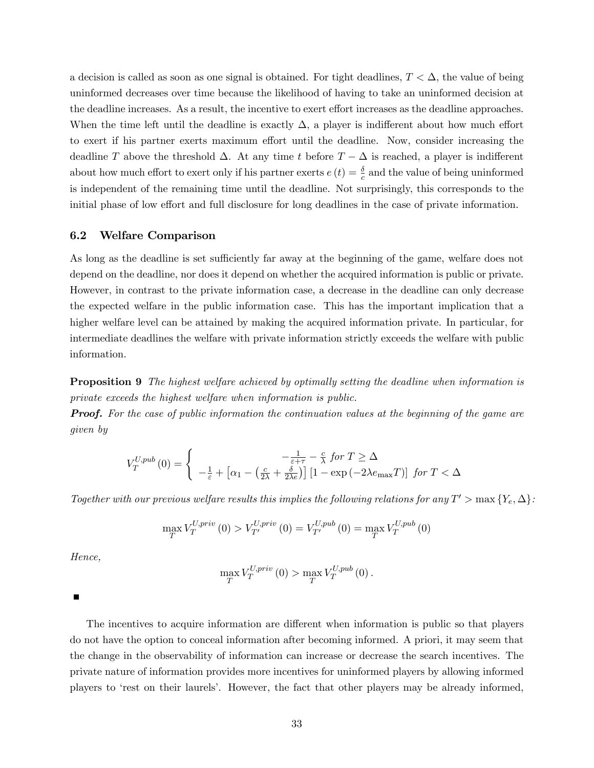a decision is called as soon as one signal is obtained. For tight deadlines,  $T < \Delta$ , the value of being uninformed decreases over time because the likelihood of having to take an uninformed decision at the deadline increases. As a result, the incentive to exert effort increases as the deadline approaches. When the time left until the deadline is exactly  $\Delta$ , a player is indifferent about how much effort to exert if his partner exerts maximum effort until the deadline. Now, consider increasing the deadline T above the threshold  $\Delta$ . At any time t before  $T - \Delta$  is reached, a player is indifferent about how much effort to exert only if his partner exerts  $e(t) = \frac{\delta}{c}$  and the value of being uninformed is independent of the remaining time until the deadline. Not surprisingly, this corresponds to the initial phase of low effort and full disclosure for long deadlines in the case of private information.

#### 6.2 Welfare Comparison

As long as the deadline is set sufficiently far away at the beginning of the game, welfare does not depend on the deadline, nor does it depend on whether the acquired information is public or private. However, in contrast to the private information case, a decrease in the deadline can only decrease the expected welfare in the public information case. This has the important implication that a higher welfare level can be attained by making the acquired information private. In particular, for intermediate deadlines the welfare with private information strictly exceeds the welfare with public information.

**Proposition 9** The highest welfare achieved by optimally setting the deadline when information is private exceeds the highest welfare when information is public.

**Proof.** For the case of public information the continuation values at the beginning of the game are given by

$$
V_T^{U,pub}\left(0\right) = \left\{ \begin{array}{c} -\frac{1}{\varepsilon+\tau} - \frac{c}{\lambda}\;for\; T \geq \Delta\\ -\frac{1}{\varepsilon} + \left[\alpha_1 - \left(\frac{c}{2\lambda} + \frac{\delta}{2\lambda e}\right)\right]\left[1 - \exp\left(-2\lambda e_{\max} T\right)\right]\;for\; T < \Delta \end{array} \right.
$$

Together with our previous welfare results this implies the following relations for any  $T' > \max\{Y_e, \Delta\}$ :

$$
\max_{T} V_{T}^{U,priv} (0) > V_{T'}^{U,priv} (0) = V_{T'}^{U,pub} (0) = \max_{T} V_{T}^{U,pub} (0)
$$

Hence,

$$
\max\limits_{T}V^{U,priv}_{T}\left(0\right)>\max\limits_{T}V^{U,pub}_{T}\left(0\right).
$$

Ē

The incentives to acquire information are different when information is public so that players do not have the option to conceal information after becoming informed. A priori, it may seem that the change in the observability of information can increase or decrease the search incentives. The private nature of information provides more incentives for uninformed players by allowing informed players to ërest on their laurelsí. However, the fact that other players may be already informed,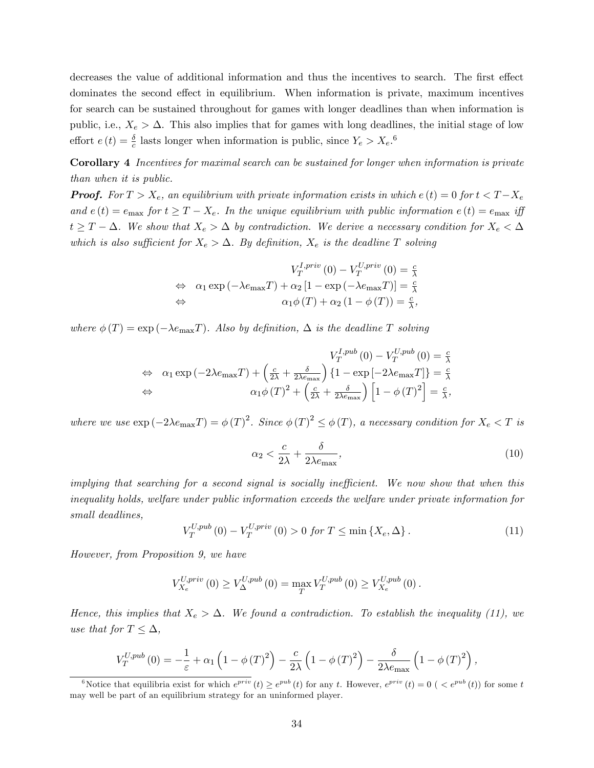decreases the value of additional information and thus the incentives to search. The first effect dominates the second effect in equilibrium. When information is private, maximum incentives for search can be sustained throughout for games with longer deadlines than when information is public, i.e.,  $X_e > \Delta$ . This also implies that for games with long deadlines, the initial stage of low effort  $e(t) = \frac{\delta}{c}$  lasts longer when information is public, since  $Y_e > X_e$ .<sup>6</sup>

Corollary 4 Incentives for maximal search can be sustained for longer when information is private than when it is public.

**Proof.** For  $T > X_e$ , an equilibrium with private information exists in which  $e(t) = 0$  for  $t < T - X_e$ and  $e(t) = e_{\text{max}}$  for  $t \geq T - X_e$ . In the unique equilibrium with public information  $e(t) = e_{\text{max}}$  iff  $t \geq T - \Delta$ . We show that  $X_e > \Delta$  by contradiction. We derive a necessary condition for  $X_e < \Delta$ which is also sufficient for  $X_e > \Delta$ . By definition,  $X_e$  is the deadline T solving

$$
V_T^{I,priv}(0) - V_T^{U,priv}(0) = \frac{c}{\lambda}
$$
  
\n
$$
\Leftrightarrow \alpha_1 \exp(-\lambda e_{\max} T) + \alpha_2 [1 - \exp(-\lambda e_{\max} T)] = \frac{c}{\lambda}
$$
  
\n
$$
\Leftrightarrow \alpha_1 \phi(T) + \alpha_2 (1 - \phi(T)) = \frac{c}{\lambda},
$$

where  $\phi(T) = \exp(-\lambda e_{\text{max}}T)$ . Also by definition,  $\Delta$  is the deadline T solving

$$
V_T^{I,pub}(0) - V_T^{U,pub}(0) = \frac{c}{\lambda}
$$
  
\n
$$
\Leftrightarrow \alpha_1 \exp(-2\lambda e_{\max}T) + \left(\frac{c}{2\lambda} + \frac{\delta}{2\lambda e_{\max}}\right) \{1 - \exp[-2\lambda e_{\max}T]\} = \frac{c}{\lambda}
$$
  
\n
$$
\Leftrightarrow \alpha_1 \phi(T)^2 + \left(\frac{c}{2\lambda} + \frac{\delta}{2\lambda e_{\max}}\right) \left[1 - \phi(T)^2\right] = \frac{c}{\lambda},
$$

where we use  $\exp(-2\lambda e_{\max}T) = \phi(T)^2$ . Since  $\phi(T)^2 \leq \phi(T)$ , a necessary condition for  $X_e < T$  is

$$
\alpha_2 < \frac{c}{2\lambda} + \frac{\delta}{2\lambda e_{\text{max}}},\tag{10}
$$

implying that searching for a second signal is socially inefficient. We now show that when this inequality holds, welfare under public information exceeds the welfare under private information for small deadlines,

$$
V_T^{U,pub}(0) - V_T^{U,priv}(0) > 0 \text{ for } T \le \min\{X_e, \Delta\}.
$$
 (11)

However, from Proposition 9, we have

$$
V_{X_e}^{U,priv} (0) \geq V_{\Delta}^{U,pub} (0) = \max_{T} V_T^{U,pub} (0) \geq V_{X_e}^{U,pub} (0) .
$$

Hence, this implies that  $X_e > \Delta$ . We found a contradiction. To establish the inequality (11), we use that for  $T \leq \Delta$ ,

$$
V_T^{U,pub}\left(0\right) = -\frac{1}{\varepsilon} + \alpha_1 \left(1 - \phi\left(T\right)^2\right) - \frac{c}{2\lambda} \left(1 - \phi\left(T\right)^2\right) - \frac{\delta}{2\lambda e_{\text{max}}} \left(1 - \phi\left(T\right)^2\right),
$$

<sup>&</sup>lt;sup>6</sup>Notice that equilibria exist for which  $e^{priv}(t) \ge e^{pub}(t)$  for any t. However,  $e^{priv}(t) = 0$  ( $\lt e^{pub}(t)$ ) for some t may well be part of an equilibrium strategy for an uninformed player.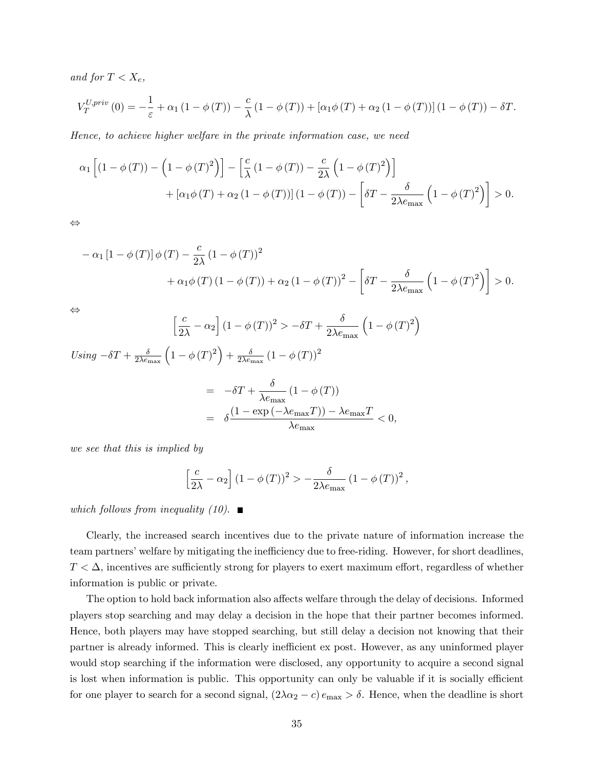and for  $T < X_e$ ,

$$
V_T^{U,priv}(0) = -\frac{1}{\varepsilon} + \alpha_1 (1 - \phi(T)) - \frac{c}{\lambda} (1 - \phi(T)) + [\alpha_1 \phi(T) + \alpha_2 (1 - \phi(T))](1 - \phi(T)) - \delta T.
$$

Hence, to achieve higher welfare in the private information case, we need

$$
\alpha_1 \left[ \left( 1 - \phi(T) \right) - \left( 1 - \phi(T)^2 \right) \right] - \left[ \frac{c}{\lambda} \left( 1 - \phi(T) \right) - \frac{c}{2\lambda} \left( 1 - \phi(T)^2 \right) \right] + \left[ \alpha_1 \phi(T) + \alpha_2 \left( 1 - \phi(T) \right) \right] \left( 1 - \phi(T) \right) - \left[ \delta T - \frac{\delta}{2\lambda e_{\text{max}}} \left( 1 - \phi(T)^2 \right) \right] > 0.
$$

 $\Leftrightarrow$ 

$$
- \alpha_1 [1 - \phi(T)] \phi(T) - \frac{c}{2\lambda} (1 - \phi(T))^2 + \alpha_1 \phi(T) (1 - \phi(T)) + \alpha_2 (1 - \phi(T))^2 - \left[ \delta T - \frac{\delta}{2\lambda e_{\text{max}}} \left( 1 - \phi(T)^2 \right) \right] > 0.
$$

 $\Leftrightarrow$ 

$$
\left[\frac{c}{2\lambda} - \alpha_2\right] (1 - \phi(T))^2 > -\delta T + \frac{\delta}{2\lambda e_{\text{max}}} \left(1 - \phi(T)^2\right)
$$

Using 
$$
-\delta T + \frac{\delta}{2\lambda e_{\text{max}}} \left( 1 - \phi(T)^2 \right) + \frac{\delta}{2\lambda e_{\text{max}}} \left( 1 - \phi(T) \right)^2
$$

$$
= -\delta T + \frac{\delta}{\lambda e_{\text{max}}} \left( 1 - \phi(T) \right)
$$

$$
= \delta \frac{\left( 1 - \exp\left( -\lambda e_{\text{max}} T \right) \right) - \lambda e_{\text{max}} T}{\lambda e_{\text{max}}} < 0,
$$

we see that this is implied by

$$
\left[\frac{c}{2\lambda} - \alpha_2\right] (1 - \phi(T))^2 > -\frac{\delta}{2\lambda e_{\text{max}}} (1 - \phi(T))^2,
$$

which follows from inequality (10).  $\blacksquare$ 

Clearly, the increased search incentives due to the private nature of information increase the team partners' welfare by mitigating the inefficiency due to free-riding. However, for short deadlines,  $T < \Delta$ , incentives are sufficiently strong for players to exert maximum effort, regardless of whether information is public or private.

The option to hold back information also affects welfare through the delay of decisions. Informed players stop searching and may delay a decision in the hope that their partner becomes informed. Hence, both players may have stopped searching, but still delay a decision not knowing that their partner is already informed. This is clearly inefficient ex post. However, as any uninformed player would stop searching if the information were disclosed, any opportunity to acquire a second signal is lost when information is public. This opportunity can only be valuable if it is socially efficient for one player to search for a second signal,  $(2\lambda\alpha_2 - c) e_{\text{max}} > \delta$ . Hence, when the deadline is short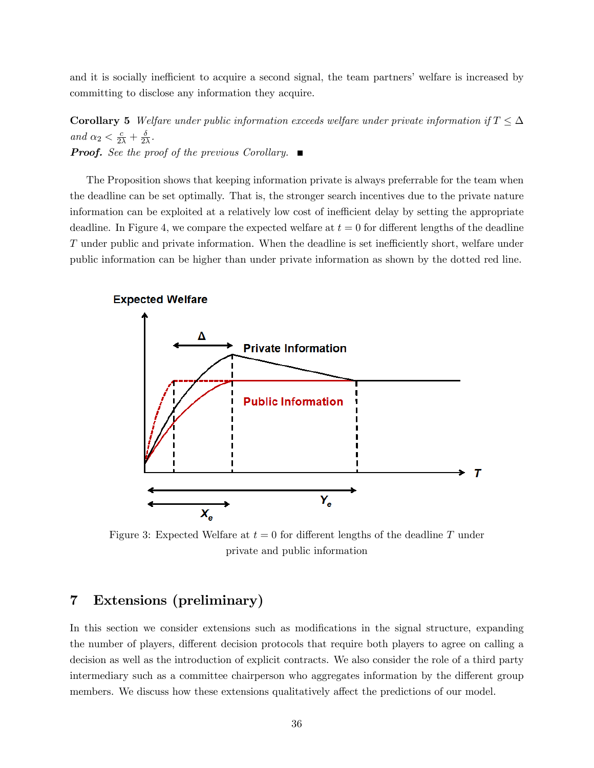and it is socially inefficient to acquire a second signal, the team partners' welfare is increased by committing to disclose any information they acquire.

**Corollary 5** Welfare under public information exceeds welfare under private information if  $T \leq \Delta$ and  $\alpha_2 < \frac{c}{2\lambda} + \frac{\delta}{2\lambda}$  $\frac{\delta}{2\lambda}$ . **Proof.** See the proof of the previous Corollary.  $\blacksquare$ 

The Proposition shows that keeping information private is always preferrable for the team when the deadline can be set optimally. That is, the stronger search incentives due to the private nature information can be exploited at a relatively low cost of inefficient delay by setting the appropriate deadline. In Figure 4, we compare the expected welfare at  $t = 0$  for different lengths of the deadline T under public and private information. When the deadline is set inefficiently short, welfare under public information can be higher than under private information as shown by the dotted red line.



Figure 3: Expected Welfare at  $t = 0$  for different lengths of the deadline T under private and public information

# 7 Extensions (preliminary)

In this section we consider extensions such as modifications in the signal structure, expanding the number of players, different decision protocols that require both players to agree on calling a decision as well as the introduction of explicit contracts. We also consider the role of a third party intermediary such as a committee chairperson who aggregates information by the different group members. We discuss how these extensions qualitatively affect the predictions of our model.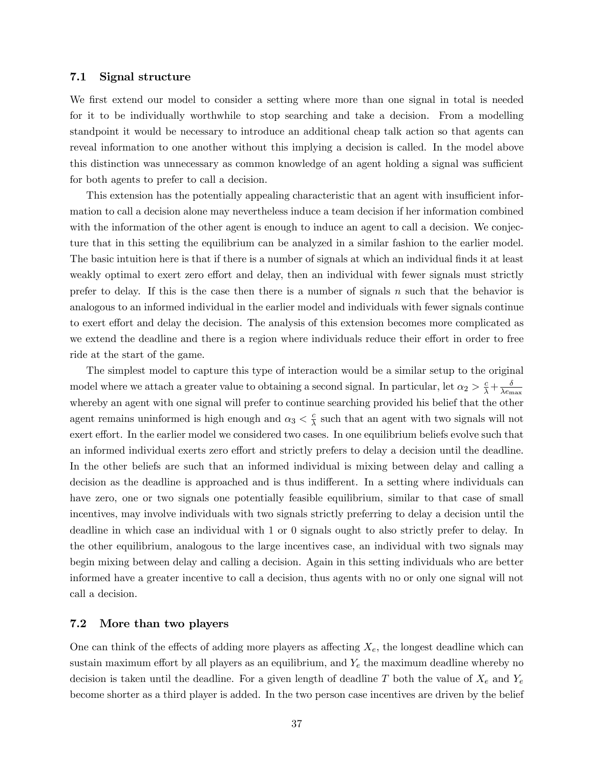#### 7.1 Signal structure

We first extend our model to consider a setting where more than one signal in total is needed for it to be individually worthwhile to stop searching and take a decision. From a modelling standpoint it would be necessary to introduce an additional cheap talk action so that agents can reveal information to one another without this implying a decision is called. In the model above this distinction was unnecessary as common knowledge of an agent holding a signal was sufficient for both agents to prefer to call a decision.

This extension has the potentially appealing characteristic that an agent with insufficient information to call a decision alone may nevertheless induce a team decision if her information combined with the information of the other agent is enough to induce an agent to call a decision. We conjecture that in this setting the equilibrium can be analyzed in a similar fashion to the earlier model. The basic intuition here is that if there is a number of signals at which an individual finds it at least weakly optimal to exert zero effort and delay, then an individual with fewer signals must strictly prefer to delay. If this is the case then there is a number of signals  $n$  such that the behavior is analogous to an informed individual in the earlier model and individuals with fewer signals continue to exert effort and delay the decision. The analysis of this extension becomes more complicated as we extend the deadline and there is a region where individuals reduce their effort in order to free ride at the start of the game.

The simplest model to capture this type of interaction would be a similar setup to the original model where we attach a greater value to obtaining a second signal. In particular, let  $\alpha_2 > \frac{c}{\lambda} + \frac{\delta}{\lambda e_n}$  $\lambda e_{\rm max}$ whereby an agent with one signal will prefer to continue searching provided his belief that the other agent remains uninformed is high enough and  $\alpha_3 < \frac{c}{\lambda}$  $\frac{c}{\lambda}$  such that an agent with two signals will not exert effort. In the earlier model we considered two cases. In one equilibrium beliefs evolve such that an informed individual exerts zero effort and strictly prefers to delay a decision until the deadline. In the other beliefs are such that an informed individual is mixing between delay and calling a decision as the deadline is approached and is thus indifferent. In a setting where individuals can have zero, one or two signals one potentially feasible equilibrium, similar to that case of small incentives, may involve individuals with two signals strictly preferring to delay a decision until the deadline in which case an individual with 1 or 0 signals ought to also strictly prefer to delay. In the other equilibrium, analogous to the large incentives case, an individual with two signals may begin mixing between delay and calling a decision. Again in this setting individuals who are better informed have a greater incentive to call a decision, thus agents with no or only one signal will not call a decision.

## 7.2 More than two players

One can think of the effects of adding more players as affecting  $X_e$ , the longest deadline which can sustain maximum effort by all players as an equilibrium, and  $Y_e$  the maximum deadline whereby no decision is taken until the deadline. For a given length of deadline T both the value of  $X_e$  and  $Y_e$ become shorter as a third player is added. In the two person case incentives are driven by the belief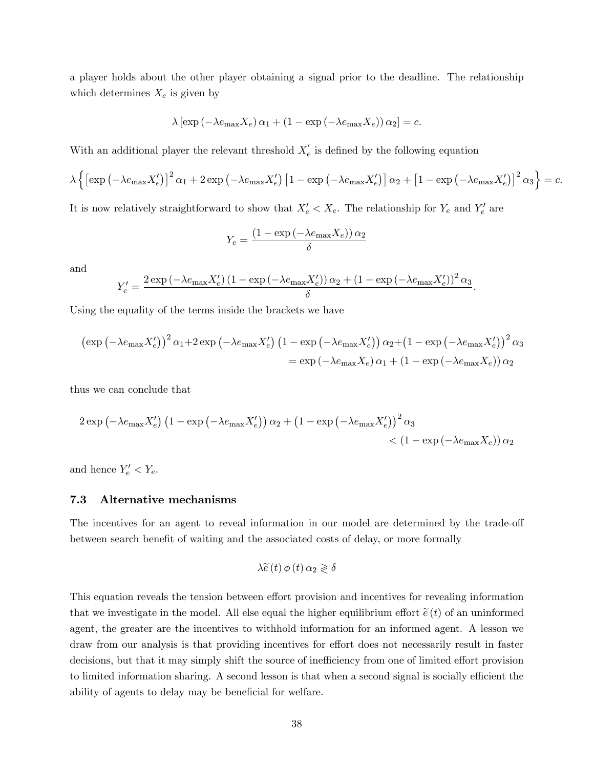a player holds about the other player obtaining a signal prior to the deadline. The relationship which determines  $X_e$  is given by

$$
\lambda \left[ \exp \left( -\lambda e_{\max} X_e \right) \alpha_1 + \left( 1 - \exp \left( -\lambda e_{\max} X_e \right) \right) \alpha_2 \right] = c.
$$

With an additional player the relevant threshold  $X'_{e}$  is defined by the following equation

$$
\lambda \left\{ \left[ \exp \left( -\lambda e_{\max} X'_{e} \right) \right]^{2} \alpha_{1} + 2 \exp \left( -\lambda e_{\max} X'_{e} \right) \left[ 1 - \exp \left( -\lambda e_{\max} X'_{e} \right) \right] \alpha_{2} + \left[ 1 - \exp \left( -\lambda e_{\max} X'_{e} \right) \right]^{2} \alpha_{3} \right\} = c.
$$

It is now relatively straightforward to show that  $X'_e < X_e$ . The relationship for  $Y_e$  and  $Y'_e$  are

$$
Y_e = \frac{\left(1 - \exp\left(-\lambda e_{\max} X_e\right)\right) \alpha_2}{\delta}
$$

and

$$
Y_e' = \frac{2 \exp \left(-\lambda e_{\max} X_e'\right) \left(1 - \exp \left(-\lambda e_{\max} X_e'\right)\right) \alpha_2 + \left(1 - \exp \left(-\lambda e_{\max} X_e'\right)\right)^2 \alpha_3}{\delta}.
$$

Using the equality of the terms inside the brackets we have

$$
\left(\exp\left(-\lambda e_{\max}X'_{e}\right)\right)^{2}\alpha_{1}+2\exp\left(-\lambda e_{\max}X'_{e}\right)\left(1-\exp\left(-\lambda e_{\max}X'_{e}\right)\right)\alpha_{2}+\left(1-\exp\left(-\lambda e_{\max}X'_{e}\right)\right)^{2}\alpha_{3}
$$
\n
$$
=\exp\left(-\lambda e_{\max}X_{e}\right)\alpha_{1}+\left(1-\exp\left(-\lambda e_{\max}X_{e}\right)\right)\alpha_{2}
$$

thus we can conclude that

$$
2 \exp \left(-\lambda e_{\max} X'_e\right) \left(1 - \exp \left(-\lambda e_{\max} X'_e\right)\right) \alpha_2 + \left(1 - \exp \left(-\lambda e_{\max} X'_e\right)\right)^2 \alpha_3
$$
  
< 
$$
\left(1 - \exp \left(-\lambda e_{\max} X_e\right)\right) \alpha_2
$$

and hence  $Y'_e < Y_e$ .

## 7.3 Alternative mechanisms

The incentives for an agent to reveal information in our model are determined by the trade-off between search benefit of waiting and the associated costs of delay, or more formally

$$
\lambda \widetilde{e}(t) \phi(t) \alpha_2 \geq \delta
$$

This equation reveals the tension between effort provision and incentives for revealing information that we investigate in the model. All else equal the higher equilibrium effort  $\tilde{e}(t)$  of an uninformed agent, the greater are the incentives to withhold information for an informed agent. A lesson we draw from our analysis is that providing incentives for effort does not necessarily result in faster decisions, but that it may simply shift the source of inefficiency from one of limited effort provision to limited information sharing. A second lesson is that when a second signal is socially efficient the ability of agents to delay may be beneficial for welfare.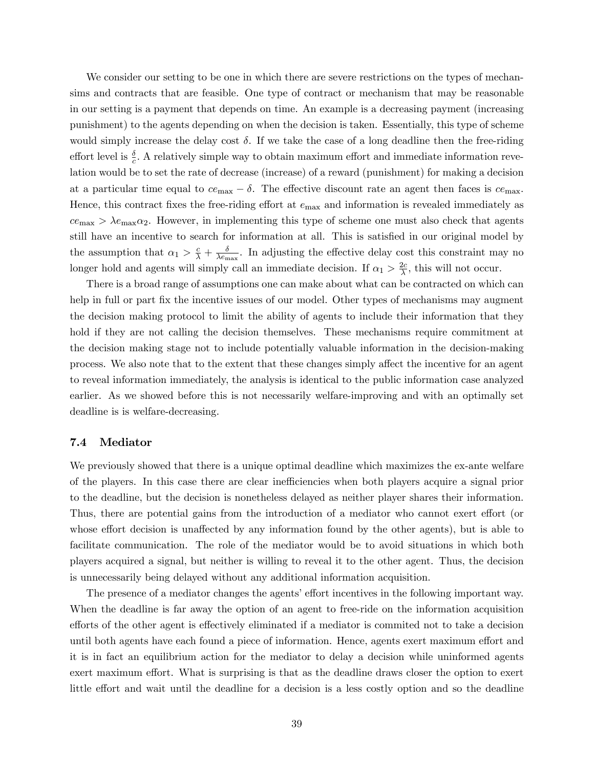We consider our setting to be one in which there are severe restrictions on the types of mechansims and contracts that are feasible. One type of contract or mechanism that may be reasonable in our setting is a payment that depends on time. An example is a decreasing payment (increasing punishment) to the agents depending on when the decision is taken. Essentially, this type of scheme would simply increase the delay cost  $\delta$ . If we take the case of a long deadline then the free-riding effort level is  $\frac{\delta}{c}$ . A relatively simple way to obtain maximum effort and immediate information revelation would be to set the rate of decrease (increase) of a reward (punishment) for making a decision at a particular time equal to  $ce_{\text{max}} - \delta$ . The effective discount rate an agent then faces is  $ce_{\text{max}}$ . Hence, this contract fixes the free-riding effort at  $e_{\text{max}}$  and information is revealed immediately as  $ce_{\text{max}} > \lambda e_{\text{max}} \alpha_2$ . However, in implementing this type of scheme one must also check that agents still have an incentive to search for information at all. This is satisfied in our original model by the assumption that  $\alpha_1 > \frac{c}{\lambda} + \frac{\delta}{\lambda e_{\rm m}}$  $\frac{\delta}{\lambda e_{\text{max}}}$ . In adjusting the effective delay cost this constraint may no longer hold and agents will simply call an immediate decision. If  $\alpha_1 > \frac{2c}{\lambda}$  $\frac{2c}{\lambda}$ , this will not occur.

There is a broad range of assumptions one can make about what can be contracted on which can help in full or part fix the incentive issues of our model. Other types of mechanisms may augment the decision making protocol to limit the ability of agents to include their information that they hold if they are not calling the decision themselves. These mechanisms require commitment at the decision making stage not to include potentially valuable information in the decision-making process. We also note that to the extent that these changes simply affect the incentive for an agent to reveal information immediately, the analysis is identical to the public information case analyzed earlier. As we showed before this is not necessarily welfare-improving and with an optimally set deadline is is welfare-decreasing.

### 7.4 Mediator

We previously showed that there is a unique optimal deadline which maximizes the ex-ante welfare of the players. In this case there are clear ine¢ ciencies when both players acquire a signal prior to the deadline, but the decision is nonetheless delayed as neither player shares their information. Thus, there are potential gains from the introduction of a mediator who cannot exert effort (or whose effort decision is unaffected by any information found by the other agents), but is able to facilitate communication. The role of the mediator would be to avoid situations in which both players acquired a signal, but neither is willing to reveal it to the other agent. Thus, the decision is unnecessarily being delayed without any additional information acquisition.

The presence of a mediator changes the agents' effort incentives in the following important way. When the deadline is far away the option of an agent to free-ride on the information acquisition efforts of the other agent is effectively eliminated if a mediator is commited not to take a decision until both agents have each found a piece of information. Hence, agents exert maximum effort and it is in fact an equilibrium action for the mediator to delay a decision while uninformed agents exert maximum effort. What is surprising is that as the deadline draws closer the option to exert little effort and wait until the deadline for a decision is a less costly option and so the deadline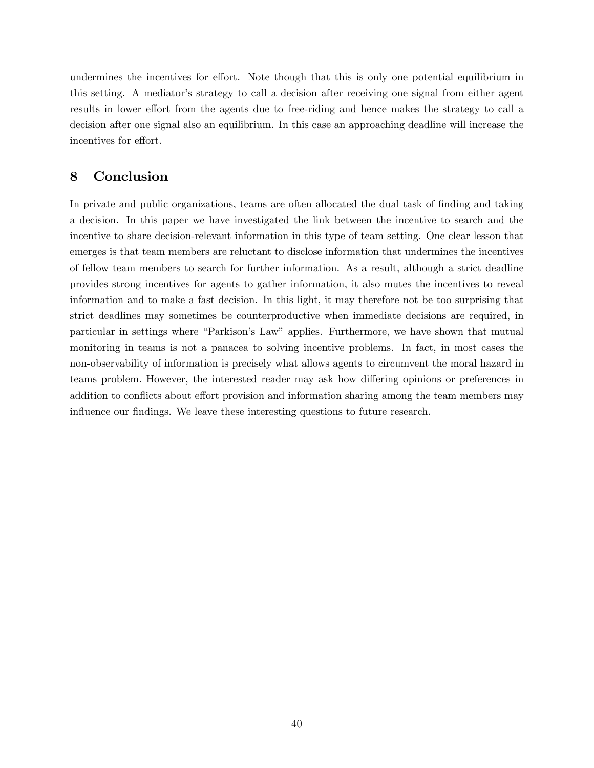undermines the incentives for effort. Note though that this is only one potential equilibrium in this setting. A mediator's strategy to call a decision after receiving one signal from either agent results in lower effort from the agents due to free-riding and hence makes the strategy to call a decision after one signal also an equilibrium. In this case an approaching deadline will increase the incentives for effort.

# 8 Conclusion

In private and public organizations, teams are often allocated the dual task of finding and taking a decision. In this paper we have investigated the link between the incentive to search and the incentive to share decision-relevant information in this type of team setting. One clear lesson that emerges is that team members are reluctant to disclose information that undermines the incentives of fellow team members to search for further information. As a result, although a strict deadline provides strong incentives for agents to gather information, it also mutes the incentives to reveal information and to make a fast decision. In this light, it may therefore not be too surprising that strict deadlines may sometimes be counterproductive when immediate decisions are required, in particular in settings where "Parkison's Law" applies. Furthermore, we have shown that mutual monitoring in teams is not a panacea to solving incentive problems. In fact, in most cases the non-observability of information is precisely what allows agents to circumvent the moral hazard in teams problem. However, the interested reader may ask how differing opinions or preferences in addition to conflicts about effort provision and information sharing among the team members may influence our findings. We leave these interesting questions to future research.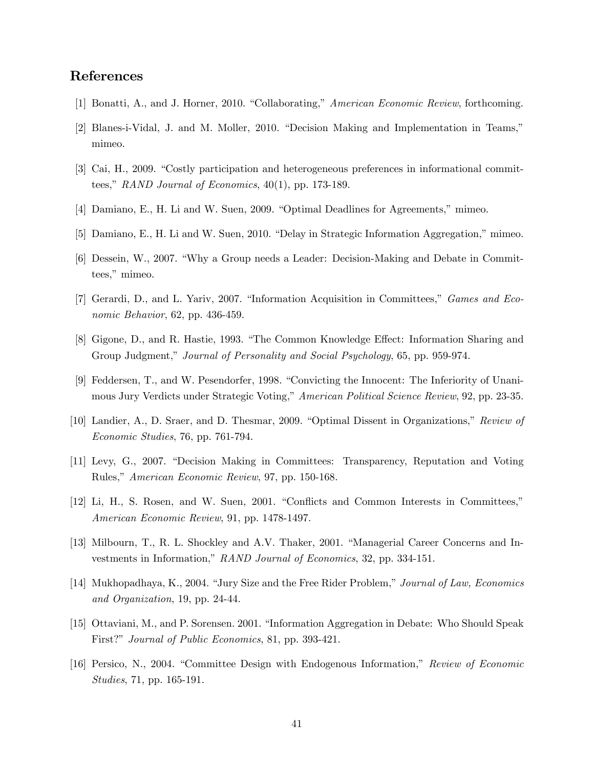## References

- [1] Bonatti, A., and J. Horner, 2010. "Collaborating," American Economic Review, forthcoming.
- [2] Blanes-i-Vidal, J. and M. Moller, 2010. "Decision Making and Implementation in Teams," mimeo.
- [3] Cai, H., 2009. "Costly participation and heterogeneous preferences in informational committees," RAND Journal of Economics,  $40(1)$ , pp. 173-189.
- [4] Damiano, E., H. Li and W. Suen, 2009. "Optimal Deadlines for Agreements," mimeo.
- [5] Damiano, E., H. Li and W. Suen, 2010. "Delay in Strategic Information Aggregation," mimeo.
- [6] Dessein, W., 2007. "Why a Group needs a Leader: Decision-Making and Debate in Committees," mimeo.
- [7] Gerardi, D., and L. Yariv, 2007. "Information Acquisition in Committees," Games and Economic Behavior, 62, pp. 436-459.
- [8] Gigone, D., and R. Hastie, 1993. "The Common Knowledge Effect: Information Sharing and Group Judgment," Journal of Personality and Social Psychology, 65, pp. 959-974.
- [9] Feddersen, T., and W. Pesendorfer, 1998. "Convicting the Innocent: The Inferiority of Unanimous Jury Verdicts under Strategic Voting," American Political Science Review, 92, pp. 23-35.
- [10] Landier, A., D. Sraer, and D. Thesmar, 2009. "Optimal Dissent in Organizations," Review of Economic Studies, 76, pp. 761-794.
- [11] Levy, G., 2007. "Decision Making in Committees: Transparency, Reputation and Voting Rules," American Economic Review, 97, pp. 150-168.
- [12] Li, H., S. Rosen, and W. Suen, 2001. "Conflicts and Common Interests in Committees," American Economic Review, 91, pp. 1478-1497.
- [13] Milbourn, T., R. L. Shockley and A.V. Thaker, 2001. "Managerial Career Concerns and Investments in Information," RAND Journal of Economics, 32, pp. 334-151.
- [14] Mukhopadhaya, K., 2004. "Jury Size and the Free Rider Problem," Journal of Law, Economics and Organization, 19, pp. 24-44.
- [15] Ottaviani, M., and P. Sorensen. 2001. "Information Aggregation in Debate: Who Should Speak First?" Journal of Public Economics, 81, pp. 393-421.
- [16] Persico, N., 2004. "Committee Design with Endogenous Information," Review of Economic Studies, 71, pp. 165-191.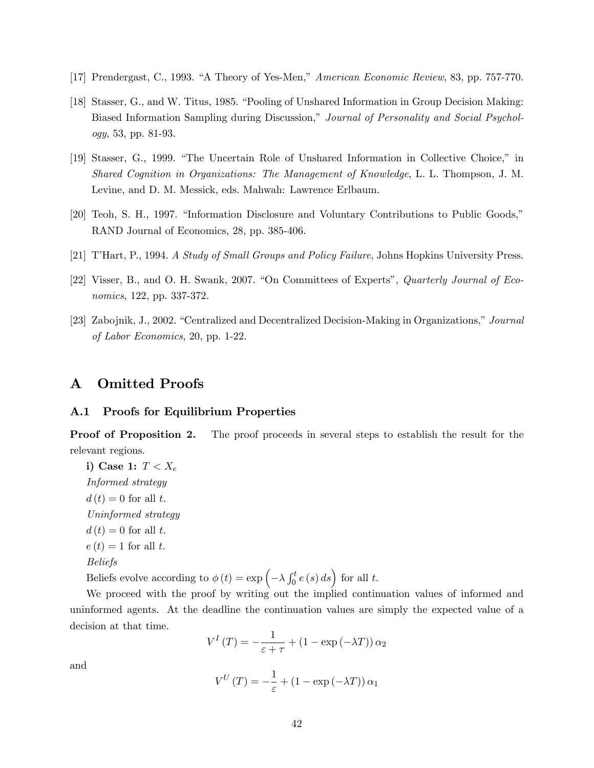- [17] Prendergast, C., 1993. "A Theory of Yes-Men," American Economic Review, 83, pp. 757-770.
- [18] Stasser, G., and W. Titus, 1985. "Pooling of Unshared Information in Group Decision Making: Biased Information Sampling during Discussion," Journal of Personality and Social Psychology, 53, pp. 81-93.
- [19] Stasser, G., 1999. "The Uncertain Role of Unshared Information in Collective Choice," in Shared Cognition in Organizations: The Management of Knowledge, L. L. Thompson, J. M. Levine, and D. M. Messick, eds. Mahwah: Lawrence Erlbaum.
- [20] Teoh, S. H., 1997. "Information Disclosure and Voluntary Contributions to Public Goods," RAND Journal of Economics, 28, pp. 385-406.
- [21] TíHart, P., 1994. A Study of Small Groups and Policy Failure, Johns Hopkins University Press.
- [22] Visser, B., and O. H. Swank, 2007. "On Committees of Experts", *Quarterly Journal of Eco*nomics, 122, pp. 337-372.
- [23] Zabojnik, J., 2002. "Centralized and Decentralized Decision-Making in Organizations," Journal of Labor Economics, 20, pp. 1-22.

## A Omitted Proofs

### A.1 Proofs for Equilibrium Properties

**Proof of Proposition 2.** The proof proceeds in several steps to establish the result for the relevant regions.

i) Case 1:  $T < X_e$ Informed strategy  $d(t) = 0$  for all t. Uninformed strategy  $d(t) = 0$  for all t.  $e(t) = 1$  for all t. Beliefs Beliefs evolve according to  $\phi(t) = \exp\left(-\lambda \int_0^t e(s) \, ds\right)$  for all t.

We proceed with the proof by writing out the implied continuation values of informed and uninformed agents. At the deadline the continuation values are simply the expected value of a decision at that time.

$$
V^{I}(T) = -\frac{1}{\varepsilon + \tau} + (1 - \exp(-\lambda T)) \alpha_2
$$

and

$$
V^{U}(T) = -\frac{1}{\varepsilon} + (1 - \exp(-\lambda T)) \alpha_1
$$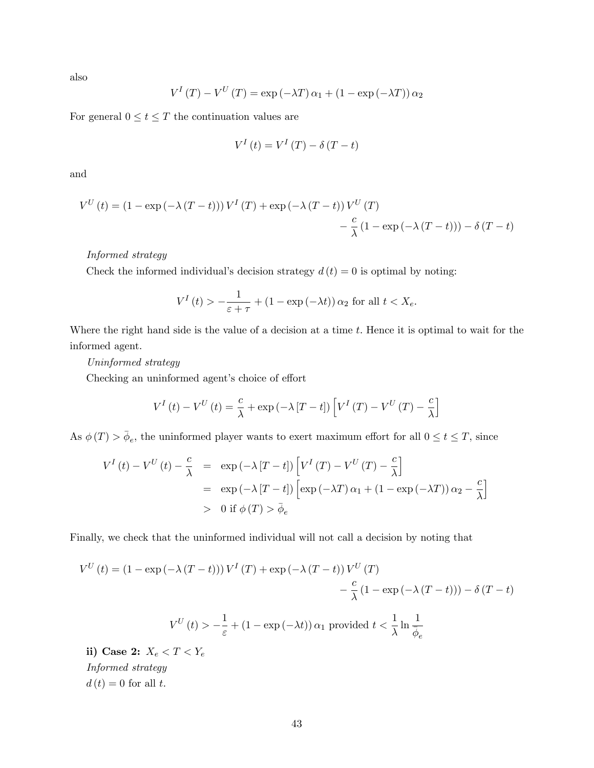also

$$
V^{I}(T) - V^{U}(T) = \exp(-\lambda T) \alpha_{1} + (1 - \exp(-\lambda T)) \alpha_{2}
$$

For general  $0\leq t\leq T$  the continuation values are

$$
V^{I}\left(t\right) = V^{I}\left(T\right) - \delta\left(T - t\right)
$$

and

$$
V^{U}(t) = (1 - \exp(-\lambda (T - t))) V^{I}(T) + \exp(-\lambda (T - t)) V^{U}(T)
$$

$$
- \frac{c}{\lambda} (1 - \exp(-\lambda (T - t))) - \delta (T - t)
$$

## Informed strategy

Check the informed individual's decision strategy  $d(t) = 0$  is optimal by noting:

$$
V^{I}(t) > -\frac{1}{\varepsilon + \tau} + (1 - \exp(-\lambda t)) \alpha_2 \text{ for all } t < X_e.
$$

Where the right hand side is the value of a decision at a time  $t$ . Hence it is optimal to wait for the informed agent.

Uninformed strategy

Checking an uninformed agent's choice of effort

$$
V^{I}(t) - V^{U}(t) = \frac{c}{\lambda} + \exp(-\lambda [T - t]) \left[ V^{I}(T) - V^{U}(T) - \frac{c}{\lambda} \right]
$$

As  $\phi(T) > \bar{\phi}_e$ , the uninformed player wants to exert maximum effort for all  $0 \le t \le T$ , since

$$
V^{I}(t) - V^{U}(t) - \frac{c}{\lambda} = \exp(-\lambda [T - t]) \left[ V^{I}(T) - V^{U}(T) - \frac{c}{\lambda} \right]
$$
  
=  $\exp(-\lambda [T - t]) \left[ \exp(-\lambda T) \alpha_{1} + (1 - \exp(-\lambda T)) \alpha_{2} - \frac{c}{\lambda} \right]$   
> 0 if  $\phi(T) > \bar{\phi}_{e}$ 

Finally, we check that the uninformed individual will not call a decision by noting that

$$
V^{U}(t) = (1 - \exp(-\lambda (T - t))) V^{I}(T) + \exp(-\lambda (T - t)) V^{U}(T)
$$

$$
- \frac{c}{\lambda} (1 - \exp(-\lambda (T - t))) - \delta (T - t)
$$

$$
V^{U}(t) > -\frac{1}{\varepsilon} + (1 - \exp(-\lambda t)) \alpha_{1} \text{ provided } t < \frac{1}{\lambda} \ln \frac{1}{\overline{\phi}_{e}}
$$
  
ii) Case 2:  $X < T < Y$ 

ii) Case 2:  $X_e < T < Y_e$ Informed strategy  $d(t) = 0$  for all t.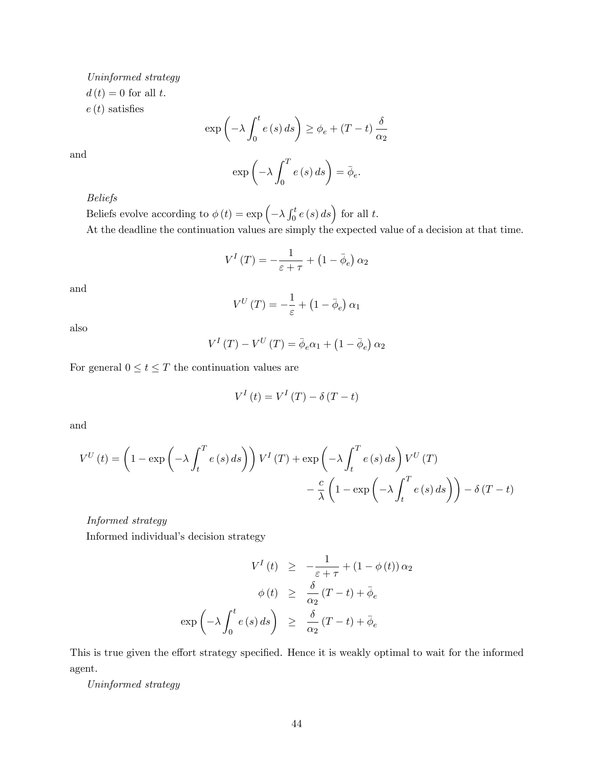Uninformed strategy  $d(t) = 0$  for all t.  $e(t)$  satisfies

$$
\exp\left(-\lambda \int_0^t e(s) \, ds\right) \ge \phi_e + (T - t) \frac{\delta}{\alpha_2}
$$

$$
\exp\left(-\lambda \int_0^T e(s) \, ds\right) = \bar{\phi}_e.
$$

Beliefs

Beliefs evolve according to  $\phi(t) = \exp\left(-\lambda \int_0^t e(s) \, ds\right)$  for all t. At the deadline the continuation values are simply the expected value of a decision at that time.

$$
V^{I}(T) = -\frac{1}{\varepsilon + \tau} + (1 - \bar{\phi}_{e}) \alpha_{2}
$$

and

and

$$
V^{U}\left(T\right) = -\frac{1}{\varepsilon} + \left(1 - \bar{\phi}_{e}\right)\alpha_{1}
$$

also

$$
V^{I}(T) - V^{U}(T) = \bar{\phi}_{e}\alpha_{1} + (1 - \bar{\phi}_{e}) \alpha_{2}
$$

For general  $0\leq t\leq T$  the continuation values are

$$
V^{I}\left(t\right) = V^{I}\left(T\right) - \delta\left(T - t\right)
$$

and

$$
V^{U}(t) = \left(1 - \exp\left(-\lambda \int_{t}^{T} e(s) ds\right)\right) V^{I}(T) + \exp\left(-\lambda \int_{t}^{T} e(s) ds\right) V^{U}(T)
$$

$$
-\frac{c}{\lambda} \left(1 - \exp\left(-\lambda \int_{t}^{T} e(s) ds\right)\right) - \delta (T - t)
$$

Informed strategy

Informed individual's decision strategy

$$
V^{I}(t) \geq -\frac{1}{\varepsilon + \tau} + (1 - \phi(t)) \alpha_{2}
$$

$$
\phi(t) \geq \frac{\delta}{\alpha_{2}} (T - t) + \bar{\phi}_{e}
$$

$$
\exp\left(-\lambda \int_{0}^{t} e(s) ds\right) \geq \frac{\delta}{\alpha_{2}} (T - t) + \bar{\phi}_{e}
$$

This is true given the effort strategy specified. Hence it is weakly optimal to wait for the informed agent.

Uninformed strategy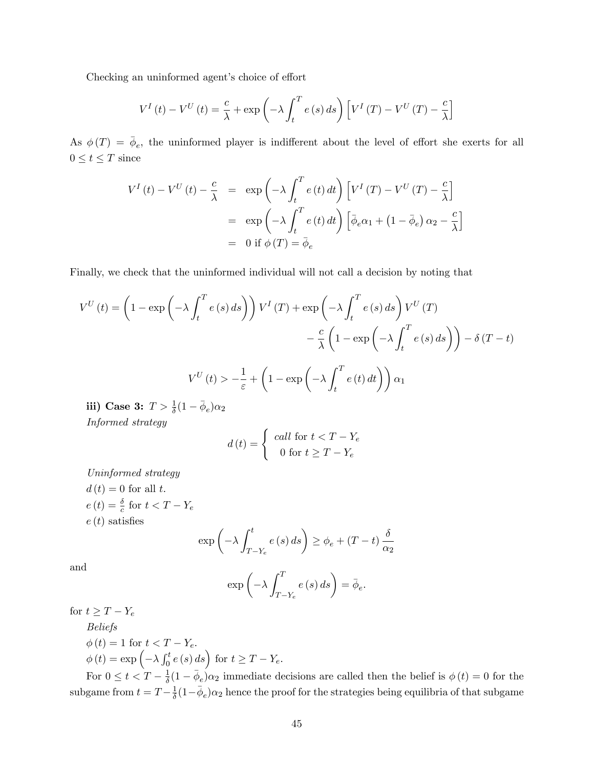Checking an uninformed agent's choice of effort

$$
V^{I}(t) - V^{U}(t) = \frac{c}{\lambda} + \exp\left(-\lambda \int_{t}^{T} e(s) ds\right) \left[V^{I}(T) - V^{U}(T) - \frac{c}{\lambda}\right]
$$

As  $\phi(T) = \bar{\phi}_e$ , the uninformed player is indifferent about the level of effort she exerts for all  $0\leq t\leq T$  since

$$
V^{I}(t) - V^{U}(t) - \frac{c}{\lambda} = \exp\left(-\lambda \int_{t}^{T} e(t) dt\right) \left[V^{I}(T) - V^{U}(T) - \frac{c}{\lambda}\right]
$$

$$
= \exp\left(-\lambda \int_{t}^{T} e(t) dt\right) \left[\bar{\phi}_{e}\alpha_{1} + (1 - \bar{\phi}_{e}) \alpha_{2} - \frac{c}{\lambda}\right]
$$

$$
= 0 \text{ if } \phi(T) = \bar{\phi}_{e}
$$

Finally, we check that the uninformed individual will not call a decision by noting that

$$
V^{U}(t) = \left(1 - \exp\left(-\lambda \int_{t}^{T} e(s) ds\right)\right) V^{I}(T) + \exp\left(-\lambda \int_{t}^{T} e(s) ds\right) V^{U}(T)
$$

$$
- \frac{c}{\lambda} \left(1 - \exp\left(-\lambda \int_{t}^{T} e(s) ds\right)\right) - \delta (T - t)
$$

$$
V^{U}(t) > -\frac{1}{\varepsilon} + \left(1 - \exp\left(-\lambda \int_{t}^{T} e(t) dt\right)\right) \alpha_{1}
$$

iii) Case 3:  $T > \frac{1}{\delta}(1 - \bar{\phi}_e)\alpha_2$ Informed strategy

$$
d(t) = \begin{cases} \ncall \text{ for } t < T - Y_e \\ \n0 \text{ for } t \ge T - Y_e \n\end{cases}
$$

Uninformed strategy

 $d(t) = 0$  for all t.  $e(t) = \frac{\delta}{c}$  for  $t < T - Y_e$  $e(t)$  satisfies

$$
\exp\left(-\lambda \int_{T-Y_e}^t e(s) \, ds\right) \ge \phi_e + (T-t) \frac{\delta}{\alpha_2}
$$

and

$$
\exp\left(-\lambda \int_{T-Y_e}^T e(s) \, ds\right) = \bar{\phi}_e.
$$

for  $t \geq T - Y_e$ 

Beliefs  $\phi(t) = 1$  for  $t < T$  V

$$
\varphi(t) = 1 \text{ for } t < 1 - Y_e.
$$
  
\n
$$
\phi(t) = \exp\left(-\lambda \int_0^t e(s) \, ds\right) \text{ for } t \ge T - Y_e.
$$

For  $0 \leq t < T - \frac{1}{\delta}$  $\frac{1}{\delta}(1-\bar{\phi}_e)\alpha_2$  immediate decisions are called then the belief is  $\phi(t) = 0$  for the subgame from  $t = T - \frac{1}{\delta}$  $\frac{1}{\delta}(1-\bar{\phi}_e)\alpha_2$  hence the proof for the strategies being equilibria of that subgame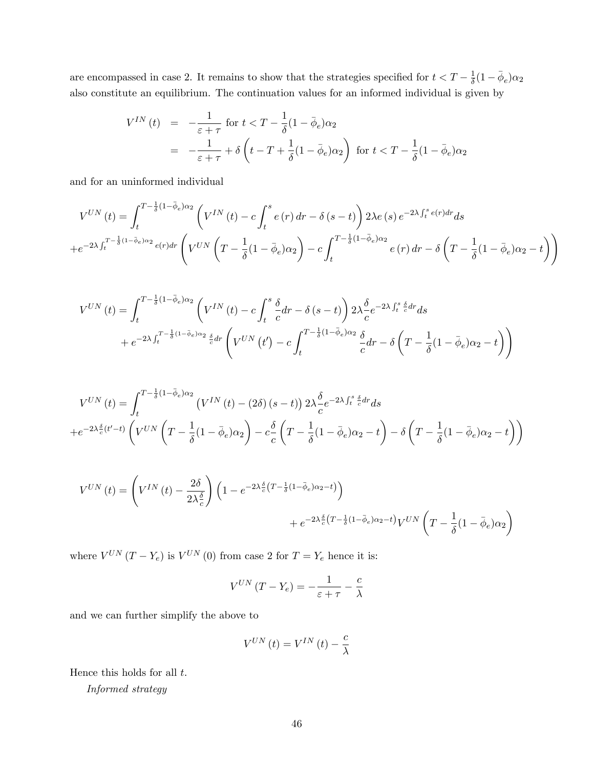are encompassed in case 2. It remains to show that the strategies specified for  $t < T - \frac{1}{\delta}$  $\frac{1}{\delta}(1-\bar{\phi}_e)\alpha_2$ also constitute an equilibrium. The continuation values for an informed individual is given by

$$
V^{IN}(t) = -\frac{1}{\varepsilon + \tau} \text{ for } t < T - \frac{1}{\delta} (1 - \bar{\phi}_e) \alpha_2
$$
  
= 
$$
-\frac{1}{\varepsilon + \tau} + \delta \left( t - T + \frac{1}{\delta} (1 - \bar{\phi}_e) \alpha_2 \right) \text{ for } t < T - \frac{1}{\delta} (1 - \bar{\phi}_e) \alpha_2
$$

and for an uninformed individual

$$
V^{UN}(t) = \int_{t}^{T - \frac{1}{\delta}(1 - \bar{\phi}_{e})\alpha_{2}} \left( V^{IN}(t) - c \int_{t}^{s} e(r) dr - \delta(s - t) \right) 2\lambda e(s) e^{-2\lambda \int_{t}^{s} e(r) dr} ds
$$
  
+ 
$$
e^{-2\lambda \int_{t}^{T - \frac{1}{\delta}(1 - \bar{\phi}_{e})\alpha_{2}} e(r) dr} \left( V^{UN} \left( T - \frac{1}{\delta}(1 - \bar{\phi}_{e})\alpha_{2} \right) - c \int_{t}^{T - \frac{1}{\delta}(1 - \bar{\phi}_{e})\alpha_{2}} e(r) dr - \delta \left( T - \frac{1}{\delta}(1 - \bar{\phi}_{e})\alpha_{2} - t \right) \right)
$$

$$
V^{UN}(t) = \int_{t}^{T - \frac{1}{\delta}(1 - \bar{\phi}_{e})\alpha_{2}} \left( V^{IN}(t) - c \int_{t}^{s} \frac{\delta}{c} dr - \delta(s - t) \right) 2\lambda \frac{\delta}{c} e^{-2\lambda \int_{t}^{s} \frac{\delta}{c} dr} ds
$$
  
+  $e^{-2\lambda \int_{t}^{T - \frac{1}{\delta}(1 - \bar{\phi}_{e})\alpha_{2}} \frac{\delta}{c} dr} \left( V^{UN}(t') - c \int_{t}^{T - \frac{1}{\delta}(1 - \bar{\phi}_{e})\alpha_{2}} \frac{\delta}{c} dr - \delta \left( T - \frac{1}{\delta}(1 - \bar{\phi}_{e})\alpha_{2} - t \right) \right)$ 

$$
V^{UN}(t) = \int_{t}^{T - \frac{1}{\delta}(1 - \bar{\phi}_{e})\alpha_{2}} \left( V^{IN}(t) - (2\delta)(s - t) \right) 2\lambda \frac{\delta}{c} e^{-2\lambda \int_{t}^{s} \frac{\delta}{c} dr} ds
$$
  
+ 
$$
e^{-2\lambda \frac{\delta}{c}(t'-t)} \left( V^{UN} \left( T - \frac{1}{\delta}(1 - \bar{\phi}_{e})\alpha_{2} \right) - c \frac{\delta}{c} \left( T - \frac{1}{\delta}(1 - \bar{\phi}_{e})\alpha_{2} - t \right) - \delta \left( T - \frac{1}{\delta}(1 - \bar{\phi}_{e})\alpha_{2} - t \right) \right)
$$

$$
V^{UN} (t) = \left( V^{IN} (t) - \frac{2\delta}{2\lambda_c^{\delta}} \right) \left( 1 - e^{-2\lambda_c^{\delta} \left( T - \frac{1}{\delta} (1 - \bar{\phi}_e) \alpha_2 - t \right)} \right) + e^{-2\lambda_c^{\delta} \left( T - \frac{1}{\delta} (1 - \bar{\phi}_e) \alpha_2 - t \right)} V^{UN} \left( T - \frac{1}{\delta} (1 - \bar{\phi}_e) \alpha_2 \right)
$$

where  $V^{UN} (T - Y_e)$  is  $V^{UN} (0)$  from case 2 for  $T = Y_e$  hence it is:

$$
V^{UN} (T - Y_e) = -\frac{1}{\varepsilon + \tau} - \frac{c}{\lambda}
$$

and we can further simplify the above to

$$
V^{UN}\left(t\right) = V^{IN}\left(t\right) - \frac{c}{\lambda}
$$

Hence this holds for all  $t$ .

Informed strategy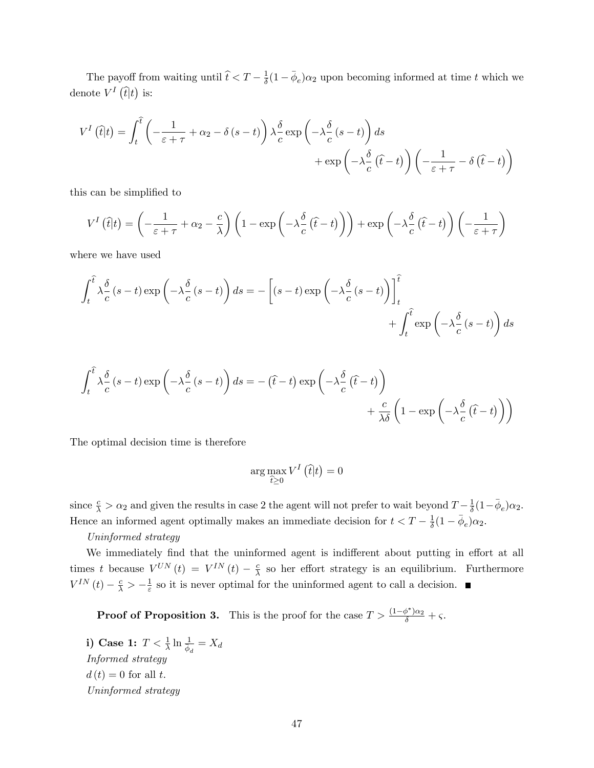The payoff from waiting until  $\hat{t} < T - \frac{1}{\delta}$  $\frac{1}{\delta}(1-\overline{\phi}_e)\alpha_2$  upon becoming informed at time t which we denote  $V^I(\hat{t}|t)$  is:

$$
V^{I}(\hat{t}|t) = \int_{t}^{\hat{t}} \left( -\frac{1}{\varepsilon + \tau} + \alpha_{2} - \delta(s - t) \right) \lambda \frac{\delta}{c} \exp\left( -\lambda \frac{\delta}{c}(s - t) \right) ds + \exp\left( -\lambda \frac{\delta}{c}(\hat{t} - t) \right) \left( -\frac{1}{\varepsilon + \tau} - \delta(\hat{t} - t) \right)
$$

this can be simplified to

$$
V^{I}(\hat{t}|t) = \left(-\frac{1}{\varepsilon + \tau} + \alpha_{2} - \frac{c}{\lambda}\right) \left(1 - \exp\left(-\lambda \frac{\delta}{c}(\hat{t} - t)\right)\right) + \exp\left(-\lambda \frac{\delta}{c}(\hat{t} - t)\right) \left(-\frac{1}{\varepsilon + \tau}\right)
$$

where we have used

$$
\int_{t}^{\hat{t}} \lambda \frac{\delta}{c} (s-t) \exp\left(-\lambda \frac{\delta}{c} (s-t)\right) ds = -\left[ (s-t) \exp\left(-\lambda \frac{\delta}{c} (s-t)\right) \right]_{t}^{\hat{t}}
$$

$$
+ \int_{t}^{\hat{t}} \exp\left(-\lambda \frac{\delta}{c} (s-t)\right) ds
$$

$$
\int_{t}^{\hat{t}} \lambda \frac{\delta}{c} (s-t) \exp\left(-\lambda \frac{\delta}{c} (s-t)\right) ds = -(\hat{t}-t) \exp\left(-\lambda \frac{\delta}{c} (\hat{t}-t)\right) + \frac{c}{\lambda \delta} \left(1 - \exp\left(-\lambda \frac{\delta}{c} (\hat{t}-t)\right)\right)
$$

The optimal decision time is therefore

$$
\arg\max_{\widehat{t}\geq 0} V^I\left(\widehat{t}|t\right) = 0
$$

since  $\frac{c}{\lambda} > \alpha_2$  and given the results in case 2 the agent will not prefer to wait beyond  $T - \frac{1}{\delta}$  $\frac{1}{\delta}(1-\bar{\phi}_e)\alpha_2.$ Hence an informed agent optimally makes an immediate decision for  $t < T - \frac{1}{\delta}$  $\frac{1}{\delta}(1-\bar{\phi}_e)\alpha_2.$ 

### Uninformed strategy

We immediately find that the uninformed agent is indifferent about putting in effort at all times t because  $V^{UN}(t) = V^{IN}(t) - \frac{c}{\lambda}$  $\frac{c}{\lambda}$  so her effort strategy is an equilibrium. Furthermore  $V^{IN}\left(t\right) - \frac{c}{\lambda} > -\frac{1}{\varepsilon}$  $\frac{1}{\varepsilon}$  so it is never optimal for the uninformed agent to call a decision.

**Proof of Proposition 3.** This is the proof for the case  $T > \frac{(1-\phi^*)\alpha_2}{\delta} + \varsigma$ .

i) Case 1:  $T < \frac{1}{\lambda} \ln \frac{1}{\phi_d} = X_d$ Informed strategy  $d(t) = 0$  for all t. Uninformed strategy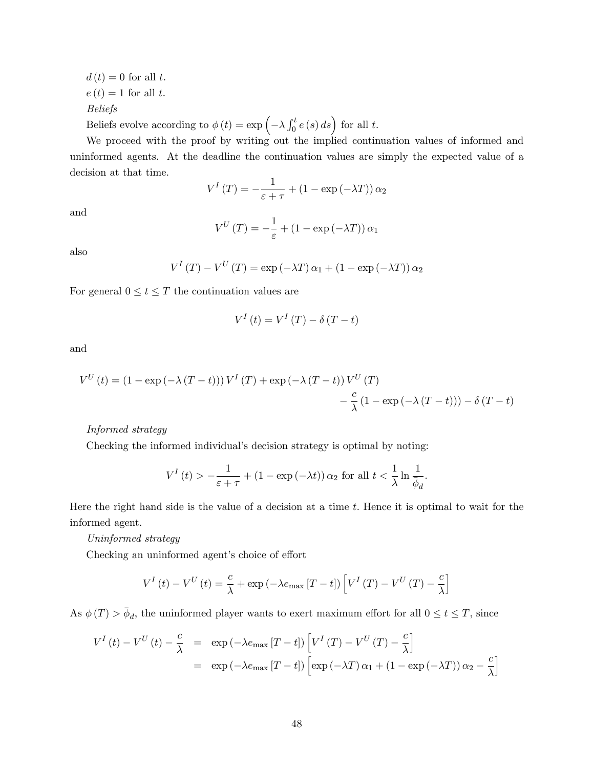$d(t) = 0$  for all t.  $e(t) = 1$  for all t. Beliefs

Beliefs evolve according to  $\phi(t) = \exp\left(-\lambda \int_0^t e(s) \, ds\right)$  for all t.

We proceed with the proof by writing out the implied continuation values of informed and uninformed agents. At the deadline the continuation values are simply the expected value of a decision at that time.

$$
V^{I}(T) = -\frac{1}{\varepsilon + \tau} + (1 - \exp(-\lambda T)) \alpha_2
$$

and

$$
V^{U}(T) = -\frac{1}{\varepsilon} + (1 - \exp(-\lambda T)) \alpha_1
$$

also

$$
V^{I}(T) - V^{U}(T) = \exp(-\lambda T) \alpha_{1} + (1 - \exp(-\lambda T)) \alpha_{2}
$$

For general  $0 \le t \le T$  the continuation values are

$$
V^{I}\left(t\right) = V^{I}\left(T\right) - \delta\left(T - t\right)
$$

and

$$
V^{U}(t) = (1 - \exp(-\lambda (T - t))) V^{I}(T) + \exp(-\lambda (T - t)) V^{U}(T)
$$

$$
- \frac{c}{\lambda} (1 - \exp(-\lambda (T - t))) - \delta (T - t)
$$

Informed strategy

Checking the informed individual's decision strategy is optimal by noting:

$$
V^{I}\left(t\right) > -\frac{1}{\varepsilon+\tau}+\left(1-\exp\left(-\lambda t\right)\right)\alpha_{2} \text{ for all } t < \frac{1}{\lambda}\ln\frac{1}{\overline{\phi}_{d}}.
$$

Here the right hand side is the value of a decision at a time  $t$ . Hence it is optimal to wait for the informed agent.

Uninformed strategy

Checking an uninformed agent's choice of effort

$$
V^{I}(t) - V^{U}(t) = \frac{c}{\lambda} + \exp(-\lambda e_{\max}[T - t]) \left[ V^{I}(T) - V^{U}(T) - \frac{c}{\lambda} \right]
$$

As  $\phi(T) > \bar{\phi}_d$ , the uninformed player wants to exert maximum effort for all  $0 \le t \le T$ , since

$$
V^{I}(t) - V^{U}(t) - \frac{c}{\lambda} = \exp(-\lambda e_{\max} [T - t]) \left[ V^{I}(T) - V^{U}(T) - \frac{c}{\lambda} \right]
$$
  
= 
$$
\exp(-\lambda e_{\max} [T - t]) \left[ \exp(-\lambda T) \alpha_{1} + (1 - \exp(-\lambda T)) \alpha_{2} - \frac{c}{\lambda} \right]
$$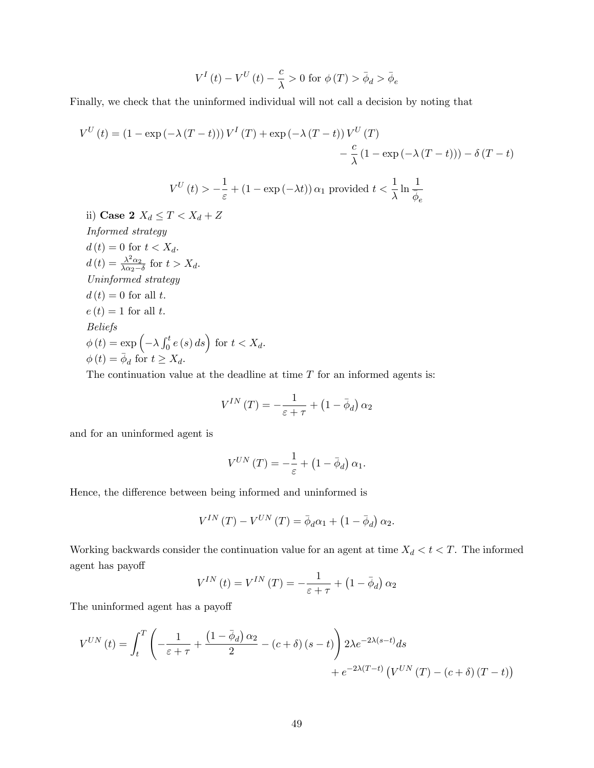$$
V^{I}\left(t\right) - V^{U}\left(t\right) - \frac{c}{\lambda} > 0 \text{ for } \phi(T) > \bar{\phi}_{d} > \bar{\phi}_{e}
$$

Finally, we check that the uninformed individual will not call a decision by noting that

$$
V^{U}(t) = (1 - \exp(-\lambda (T - t))) V^{I}(T) + \exp(-\lambda (T - t)) V^{U}(T)
$$
  
\n
$$
- \frac{c}{\lambda} (1 - \exp(-\lambda (T - t))) - \delta (T - t)
$$
  
\n
$$
V^{U}(t) > -\frac{1}{\varepsilon} + (1 - \exp(-\lambda t)) \alpha_{1} \text{ provided } t < \frac{1}{\lambda} \ln \frac{1}{\overline{\phi}_{e}}
$$
  
\nii) **Case 2**  $X_{d} \leq T < X_{d} + Z$   
\n*Informed strategy*  
\n $d(t) = 0 \text{ for } t < X_{d}.$   
\n $d(t) = \frac{\lambda^{2} \alpha_{2}}{\lambda \alpha_{2} - \delta} \text{ for } t > X_{d}.$ 

Uninformed strategy  $d(t) = 0$  for all t.  $e(t) = 1$  for all t. Beliefs  $\phi(t) = \exp\left(-\lambda \int_0^t e(s) ds\right)$  for  $t < X_d$ .  $\phi(t) = \overline{\phi}_d$  for  $t \geq X_d$ .

The continuation value at the deadline at time  $T$  for an informed agents is:

$$
V^{IN}\left(T\right)=-\frac{1}{\varepsilon+\tau}+\left(1-\bar{\phi}_{d}\right)\alpha_{2}
$$

and for an uninformed agent is

$$
V^{UN} (T) = -\frac{1}{\varepsilon} + (1 - \bar{\phi}_d) \alpha_1.
$$

Hence, the difference between being informed and uninformed is

$$
V^{IN}\left(T\right) - V^{UN}\left(T\right) = \bar{\phi}_d \alpha_1 + \left(1 - \bar{\phi}_d\right) \alpha_2.
$$

Working backwards consider the continuation value for an agent at time  $X_d < t < T$ . The informed agent has payoff

$$
V^{IN}\left(t\right)=V^{IN}\left(T\right)=-\frac{1}{\varepsilon+\tau}+\left(1-\bar{\phi}_d\right)\alpha_2
$$

The uninformed agent has a payoff

$$
V^{UN}(t) = \int_{t}^{T} \left( -\frac{1}{\varepsilon + \tau} + \frac{\left(1 - \bar{\phi}_{d}\right)\alpha_{2}}{2} - \left(c + \delta\right)\left(s - t\right) \right) 2\lambda e^{-2\lambda(s - t)} ds + e^{-2\lambda(T - t)} \left(V^{UN}(T) - \left(c + \delta\right)(T - t)\right)
$$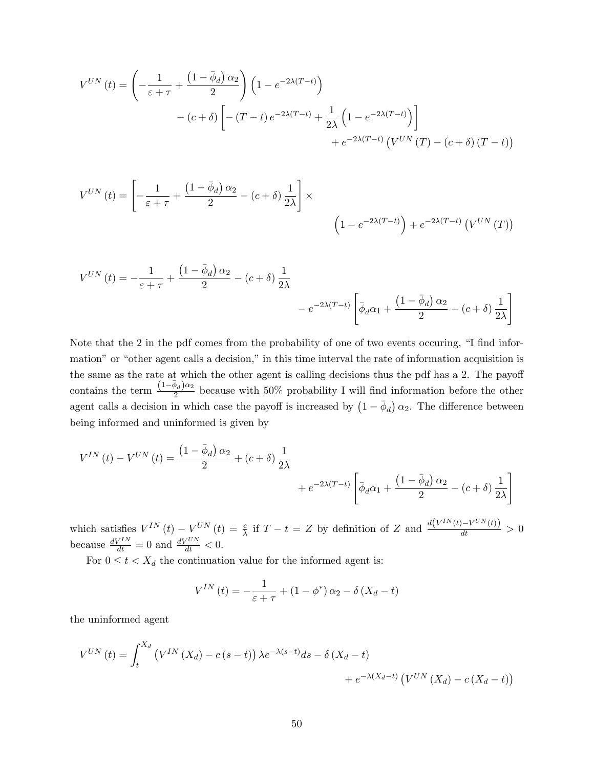$$
V^{UN}(t) = \left(-\frac{1}{\varepsilon + \tau} + \frac{(1 - \bar{\phi}_d) \alpha_2}{2}\right) \left(1 - e^{-2\lambda(T - t)}\right)
$$

$$
- (c + \delta) \left[ -(T - t) e^{-2\lambda(T - t)} + \frac{1}{2\lambda} \left(1 - e^{-2\lambda(T - t)}\right) \right]
$$

$$
+ e^{-2\lambda(T - t)} \left( V^{UN}(T) - (c + \delta) (T - t) \right)
$$

$$
V^{UN}(t) = \left[ -\frac{1}{\varepsilon + \tau} + \frac{\left(1 - \bar{\phi}_d\right)\alpha_2}{2} - \left(c + \delta\right) \frac{1}{2\lambda} \right] \times \left(1 - e^{-2\lambda(T - t)}\right) + e^{-2\lambda(T - t)} \left(V^{UN}(T)\right)
$$

$$
V^{UN}(t) = -\frac{1}{\varepsilon + \tau} + \frac{\left(1 - \bar{\phi}_d\right)\alpha_2}{2} - (c + \delta)\frac{1}{2\lambda} - e^{-2\lambda(T-t)} \left[\bar{\phi}_d\alpha_1 + \frac{\left(1 - \bar{\phi}_d\right)\alpha_2}{2} - (c + \delta)\frac{1}{2\lambda}\right]
$$

Note that the  $2$  in the pdf comes from the probability of one of two events occuring,  $\hat{I}$  find information" or "other agent calls a decision," in this time interval the rate of information acquisition is the same as the rate at which the other agent is calling decisions thus the pdf has a 2. The payoff contains the term  $\frac{(1-\bar{\phi}_d)\alpha_2}{2}$  $\frac{\partial^2 u}{\partial x^2}$  because with 50% probability I will find information before the other agent calls a decision in which case the payoff is increased by  $(1 - \bar{\phi}_d) \alpha_2$ . The difference between being informed and uninformed is given by

$$
V^{IN}(t) - V^{UN}(t) = \frac{\left(1 - \bar{\phi}_d\right)\alpha_2}{2} + \left(c + \delta\right)\frac{1}{2\lambda} + e^{-2\lambda(T-t)}\left[\bar{\phi}_d\alpha_1 + \frac{\left(1 - \bar{\phi}_d\right)\alpha_2}{2} - \left(c + \delta\right)\frac{1}{2\lambda}\right]
$$

which satisfies  $V^{IN}(t) - V^{UN}(t) = \frac{c}{\lambda}$  if  $T - t = Z$  by definition of Z and  $\frac{d(V^{IN}(t) - V^{UN}(t))}{dt} > 0$ because  $\frac{dV^{IN}}{dt} = 0$  and  $\frac{dV^{UN}}{dt} < 0$ .

For  $0 \leq t < X_d$  the continuation value for the informed agent is:

$$
V^{IN}(t) = -\frac{1}{\varepsilon + \tau} + (1 - \phi^*) \alpha_2 - \delta (X_d - t)
$$

the uninformed agent

$$
V^{UN}(t) = \int_{t}^{X_d} \left( V^{IN}(X_d) - c(s-t) \right) \lambda e^{-\lambda(s-t)} ds - \delta \left( X_d - t \right) + e^{-\lambda(X_d - t)} \left( V^{UN}(X_d) - c(X_d - t) \right)
$$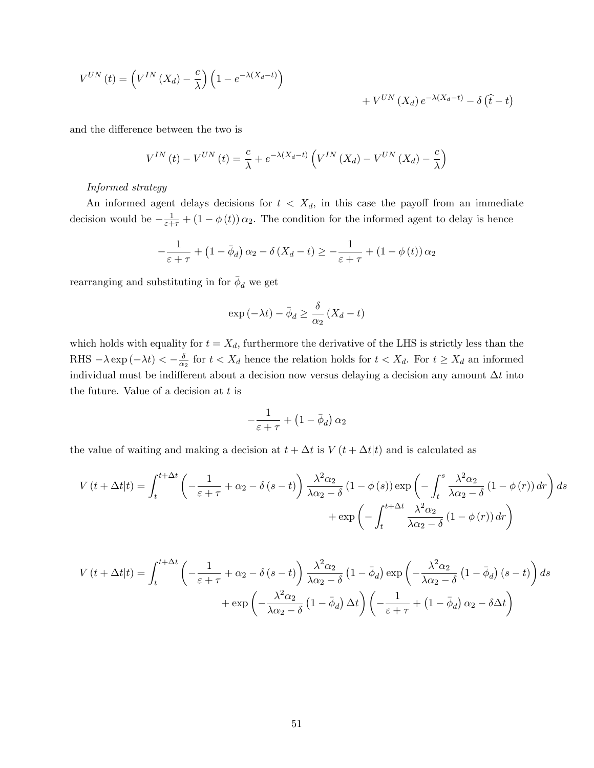$$
V^{UN}(t) = \left(V^{IN}(X_d) - \frac{c}{\lambda}\right)\left(1 - e^{-\lambda(X_d - t)}\right) + V^{UN}(X_d)e^{-\lambda(X_d - t)} - \delta(\hat{t} - t)
$$

and the difference between the two is

$$
V^{IN}\left(t\right) - V^{UN}\left(t\right) = \frac{c}{\lambda} + e^{-\lambda(X_d - t)} \left( V^{IN}\left(X_d\right) - V^{UN}\left(X_d\right) - \frac{c}{\lambda} \right)
$$

## Informed strategy

An informed agent delays decisions for  $t < X_d$ , in this case the payoff from an immediate decision would be  $-\frac{1}{\varepsilon+\tau} + (1-\phi(t)) \alpha_2$ . The condition for the informed agent to delay is hence

$$
-\frac{1}{\varepsilon+\tau} + \left(1 - \bar{\phi}_d\right)\alpha_2 - \delta\left(X_d - t\right) \ge -\frac{1}{\varepsilon+\tau} + \left(1 - \phi\left(t\right)\right)\alpha_2
$$

rearranging and substituting in for  $\bar{\phi}_d$  we get

$$
\exp\left(-\lambda t\right) - \bar{\phi}_d \ge \frac{\delta}{\alpha_2} \left(X_d - t\right)
$$

which holds with equality for  $t = X_d$ , furthermore the derivative of the LHS is strictly less than the  $\text{RHS} - \lambda \exp(-\lambda t) < -\frac{\delta}{\alpha}$  $\frac{\delta}{\alpha_2}$  for  $t < X_d$  hence the relation holds for  $t < X_d$ . For  $t \ge X_d$  an informed individual must be indifferent about a decision now versus delaying a decision any amount  $\Delta t$  into the future. Value of a decision at t is

$$
-\frac{1}{\varepsilon+\tau}+\left(1-\bar{\phi}_d\right)\alpha_2
$$

the value of waiting and making a decision at  $t + \Delta t$  is  $V(t + \Delta t|t)$  and is calculated as

$$
V(t + \Delta t|t) = \int_{t}^{t + \Delta t} \left( -\frac{1}{\varepsilon + \tau} + \alpha_2 - \delta(s - t) \right) \frac{\lambda^2 \alpha_2}{\lambda \alpha_2 - \delta} (1 - \phi(s)) \exp \left( -\int_{t}^{s} \frac{\lambda^2 \alpha_2}{\lambda \alpha_2 - \delta} (1 - \phi(r)) dr \right) ds
$$

$$
+ \exp \left( -\int_{t}^{t + \Delta t} \frac{\lambda^2 \alpha_2}{\lambda \alpha_2 - \delta} (1 - \phi(r)) dr \right)
$$

$$
V(t + \Delta t|t) = \int_{t}^{t + \Delta t} \left( -\frac{1}{\varepsilon + \tau} + \alpha_{2} - \delta (s - t) \right) \frac{\lambda^{2} \alpha_{2}}{\lambda \alpha_{2} - \delta} (1 - \bar{\phi}_{d}) \exp \left( -\frac{\lambda^{2} \alpha_{2}}{\lambda \alpha_{2} - \delta} (1 - \bar{\phi}_{d}) (s - t) \right) ds
$$

$$
+ \exp \left( -\frac{\lambda^{2} \alpha_{2}}{\lambda \alpha_{2} - \delta} (1 - \bar{\phi}_{d}) \Delta t \right) \left( -\frac{1}{\varepsilon + \tau} + (1 - \bar{\phi}_{d}) \alpha_{2} - \delta \Delta t \right)
$$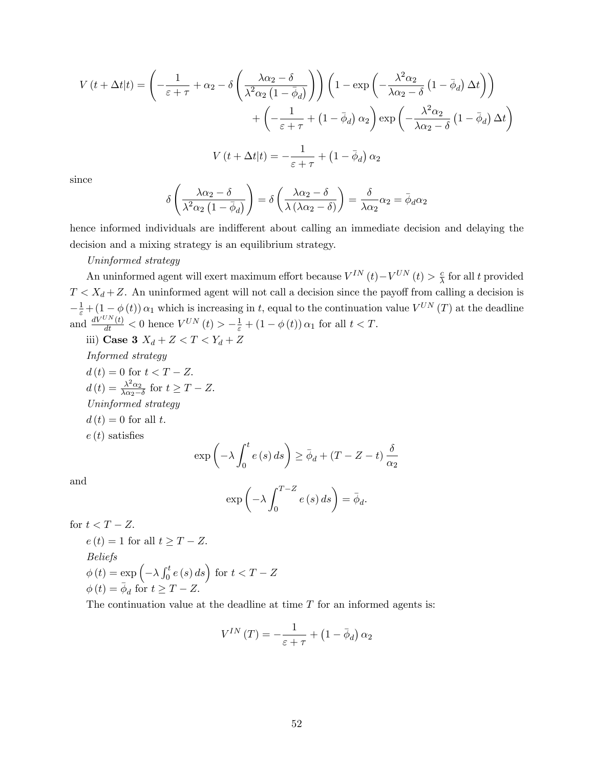$$
V(t + \Delta t|t) = \left(-\frac{1}{\varepsilon + \tau} + \alpha_2 - \delta \left(\frac{\lambda \alpha_2 - \delta}{\lambda^2 \alpha_2 (1 - \bar{\phi}_d)}\right)\right) \left(1 - \exp \left(-\frac{\lambda^2 \alpha_2}{\lambda \alpha_2 - \delta} (1 - \bar{\phi}_d) \Delta t\right)\right) + \left(-\frac{1}{\varepsilon + \tau} + (1 - \bar{\phi}_d) \alpha_2\right) \exp \left(-\frac{\lambda^2 \alpha_2}{\lambda \alpha_2 - \delta} (1 - \bar{\phi}_d) \Delta t\right)
$$

$$
V(t + \Delta t|t) = -\frac{1}{\varepsilon + \tau} + (1 - \bar{\phi}_d) \alpha_2
$$

since

$$
\delta \left( \frac{\lambda \alpha_2 - \delta}{\lambda^2 \alpha_2 (1 - \bar{\phi}_d)} \right) = \delta \left( \frac{\lambda \alpha_2 - \delta}{\lambda (\lambda \alpha_2 - \delta)} \right) = \frac{\delta}{\lambda \alpha_2} \alpha_2 = \bar{\phi}_d \alpha_2
$$

hence informed individuals are indifferent about calling an immediate decision and delaying the decision and a mixing strategy is an equilibrium strategy.

## Uninformed strategy

An uninformed agent will exert maximum effort because  $V^{IN}\left(t\right) - V^{UN}\left(t\right) > \frac{c}{\lambda}$  $\frac{c}{\lambda}$  for all t provided  $T < X_d + Z$ . An uninformed agent will not call a decision since the payoff from calling a decision is  $-\frac{1}{\varepsilon} + (1-\phi(t)) \alpha_1$  which is increasing in t, equal to the continuation value  $V^{UN}(T)$  at the deadline and  $\frac{dV^{UN}(t)}{dt} < 0$  hence  $V^{UN}(t) > -\frac{1}{\varepsilon} + (1 - \phi(t)) \alpha_1$  for all  $t < T$ .

iii) Case 3 
$$
X_d + Z < T < Y_d + Z
$$

Informed strategy

$$
d(t) = 0 \text{ for } t < T - Z.
$$
  
\n
$$
d(t) = \frac{\lambda^2 \alpha_2}{\lambda \alpha_2 - \delta} \text{ for } t \geq T - Z.
$$
  
\n*Uninformed strategy*  
\n
$$
d(t) = 0 \text{ for all } t.
$$
  
\n
$$
e(t) \text{ satisfies}
$$

$$
\exp\left(-\lambda \int_0^t e(s) \, ds\right) \ge \bar{\phi}_d + (T - Z - t) \frac{\delta}{\alpha_2}
$$

and

$$
\exp\left(-\lambda \int_0^{T-Z} e(s) \, ds\right) = \bar{\phi}_d.
$$

for  $t < T - Z$ .

$$
e(t) = 1 \text{ for all } t \geq T - Z.
$$
  
Beliefs  

$$
\phi(t) = \exp\left(-\lambda \int_0^t e(s) \, ds\right) \text{ for } t < T - Z
$$
  

$$
\phi(t) = \bar{\phi}_d \text{ for } t \geq T - Z.
$$

The continuation value at the deadline at time  $T$  for an informed agents is:

$$
V^{IN}\left(T\right) = -\frac{1}{\varepsilon + \tau} + \left(1 - \bar{\phi}_d\right)\alpha_2
$$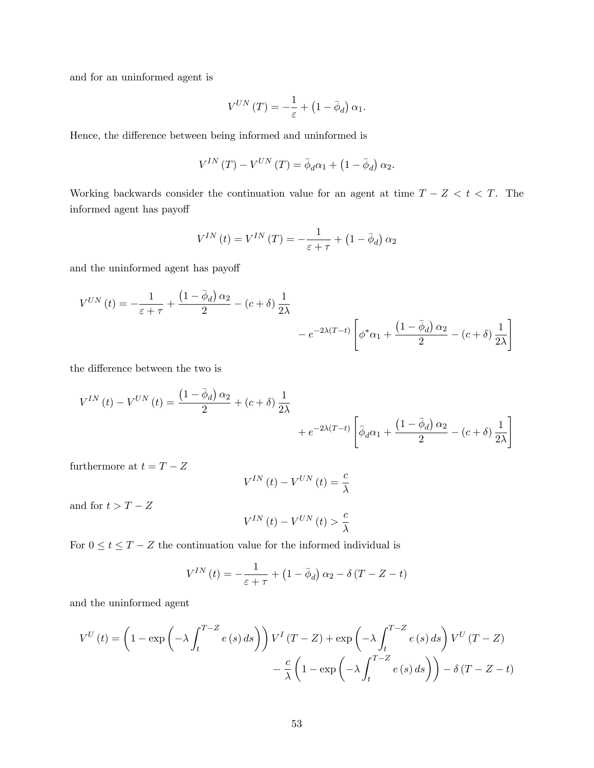and for an uninformed agent is

$$
V^{UN} (T) = -\frac{1}{\varepsilon} + (1 - \bar{\phi}_d) \alpha_1.
$$

Hence, the difference between being informed and uninformed is

$$
V^{IN}\left(T\right) - V^{UN}\left(T\right) = \bar{\phi}_d \alpha_1 + \left(1 - \bar{\phi}_d\right) \alpha_2.
$$

Working backwards consider the continuation value for an agent at time  $T - Z < t < T$ . The informed agent has payoff

$$
V^{IN}\left(t\right) = V^{IN}\left(T\right) = -\frac{1}{\varepsilon + \tau} + \left(1 - \bar{\phi}_d\right)\alpha_2
$$

and the uninformed agent has payoff

$$
V^{UN}(t) = -\frac{1}{\varepsilon + \tau} + \frac{\left(1 - \bar{\phi}_d\right)\alpha_2}{2} - \left(c + \delta\right)\frac{1}{2\lambda}
$$

$$
-e^{-2\lambda(T-t)}\left[\phi^*\alpha_1 + \frac{\left(1 - \bar{\phi}_d\right)\alpha_2}{2} - \left(c + \delta\right)\frac{1}{2\lambda}\right]
$$

the difference between the two is

$$
V^{IN}(t) - V^{UN}(t) = \frac{\left(1 - \bar{\phi}_d\right)\alpha_2}{2} + (c + \delta)\frac{1}{2\lambda} + e^{-2\lambda(T-t)} \left[\bar{\phi}_d\alpha_1 + \frac{\left(1 - \bar{\phi}_d\right)\alpha_2}{2} - (c + \delta)\frac{1}{2\lambda}\right]
$$

furthermore at  $t = T - Z$ 

$$
V^{IN}\left(t\right) - V^{UN}\left(t\right) = \frac{c}{\lambda}
$$

and for  $t > T - Z$ 

$$
V^{IN}\left(t\right) - V^{UN}\left(t\right) > \frac{c}{\lambda}
$$

For  $0 \le t \le T - Z$  the continuation value for the informed individual is

$$
V^{IN}(t) = -\frac{1}{\varepsilon + \tau} + (1 - \bar{\phi}_d) \alpha_2 - \delta (T - Z - t)
$$

and the uninformed agent

$$
V^{U}(t) = \left(1 - \exp\left(-\lambda \int_{t}^{T-Z} e(s) ds\right)\right) V^{I}(T - Z) + \exp\left(-\lambda \int_{t}^{T-Z} e(s) ds\right) V^{U}(T - Z) - \frac{c}{\lambda} \left(1 - \exp\left(-\lambda \int_{t}^{T-Z} e(s) ds\right)\right) - \delta (T - Z - t)
$$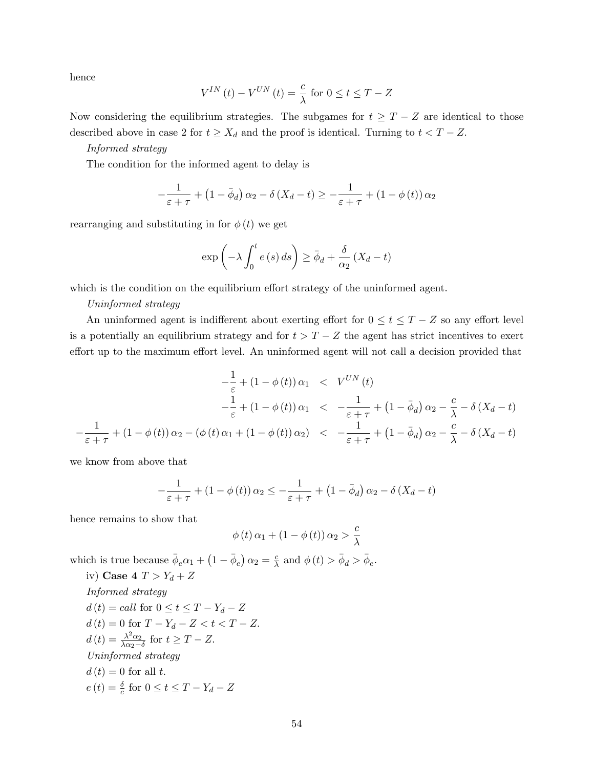hence

$$
V^{IN}\left(t\right) - V^{UN}\left(t\right) = \frac{c}{\lambda} \text{ for } 0 \le t \le T - Z
$$

Now considering the equilibrium strategies. The subgames for  $t \geq T - Z$  are identical to those described above in case 2 for  $t \geq X_d$  and the proof is identical. Turning to  $t < T - Z$ .

## Informed strategy

The condition for the informed agent to delay is

$$
-\frac{1}{\varepsilon+\tau} + \left(1 - \bar{\phi}_d\right)\alpha_2 - \delta\left(X_d - t\right) \ge -\frac{1}{\varepsilon+\tau} + \left(1 - \phi\left(t\right)\right)\alpha_2
$$

rearranging and substituting in for  $\phi(t)$  we get

$$
\exp\left(-\lambda \int_0^t e(s) \, ds\right) \ge \bar{\phi}_d + \frac{\delta}{\alpha_2} \left(X_d - t\right)
$$

which is the condition on the equilibrium effort strategy of the uninformed agent.

#### Uninformed strategy

An uninformed agent is indifferent about exerting effort for  $0 \le t \le T - Z$  so any effort level is a potentially an equilibrium strategy and for  $t > T - Z$  the agent has strict incentives to exert effort up to the maximum effort level. An uninformed agent will not call a decision provided that

$$
-\frac{1}{\varepsilon} + (1 - \phi(t)) \alpha_1 < V^{UN}(t) \n-\frac{1}{\varepsilon} + (1 - \phi(t)) \alpha_1 < -\frac{1}{\varepsilon + \tau} + (1 - \bar{\phi}_d) \alpha_2 - \frac{c}{\lambda} - \delta (X_d - t) \n-\frac{1}{\varepsilon + \tau} + (1 - \phi(t)) \alpha_2 - (\phi(t) \alpha_1 + (1 - \phi(t)) \alpha_2) < -\frac{1}{\varepsilon + \tau} + (1 - \bar{\phi}_d) \alpha_2 - \frac{c}{\lambda} - \delta (X_d - t)
$$

we know from above that

$$
-\frac{1}{\varepsilon+\tau} + (1-\phi(t))\,\alpha_2 \le -\frac{1}{\varepsilon+\tau} + (1-\bar{\phi}_d)\,\alpha_2 - \delta\,(X_d - t)
$$

hence remains to show that

$$
\phi(t)\,\alpha_1 + (1 - \phi(t))\,\alpha_2 > \frac{c}{\lambda}
$$

which is true because  $\bar{\phi}_e \alpha_1 + (1 - \bar{\phi}_e) \alpha_2 = \frac{c}{\lambda}$  $\frac{c}{\lambda}$  and  $\phi(t) > \bar{\phi}_d > \bar{\phi}_e$ . iv) Case  $4$   $T > Y_d + Z$ 

Informed strategy

\n
$$
d(t) = call \text{ for } 0 \le t \le T - Y_d - Z
$$
\n
$$
d(t) = 0 \text{ for } T - Y_d - Z < t < T - Z.
$$
\n
$$
d(t) = \frac{\lambda^2 \alpha_2}{\lambda \alpha_2 - \delta} \text{ for } t \ge T - Z.
$$
\nUninformed strategy

\n
$$
d(t) = 0 \text{ for all } t.
$$
\n
$$
e(t) = \frac{\delta}{c} \text{ for } 0 \le t \le T - Y_d - Z
$$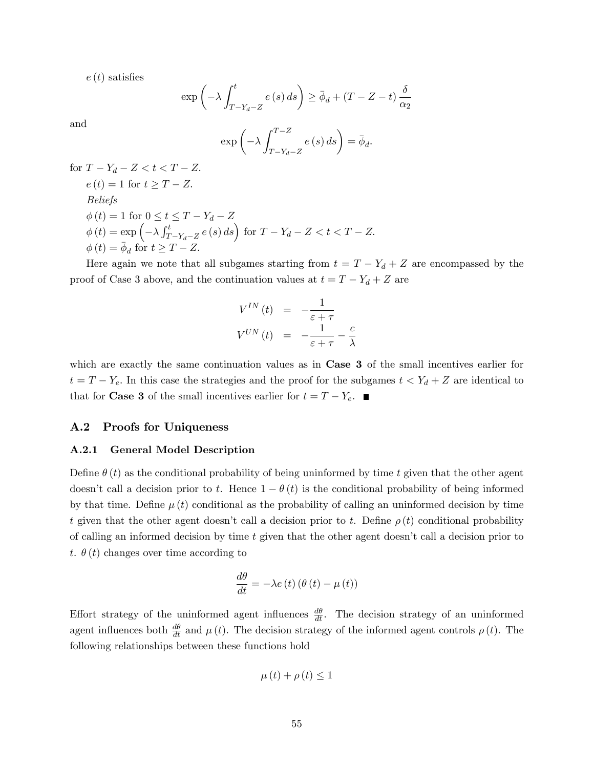$e(t)$  satisfies

$$
\exp\left(-\lambda \int_{T-Y_d-Z}^t e(s) \, ds\right) \ge \bar{\phi}_d + (T - Z - t) \frac{\delta}{\alpha_2}
$$

and

$$
\exp\left(-\lambda \int_{T-Y_d-Z}^{T-Z} e(s) \, ds\right) = \bar{\phi}_d.
$$

for  $T - Y_d - Z < t < T - Z$ .  $e(t) = 1$  for  $t \geq T - Z$ . Beliefs  $\phi(t) = 1$  for  $0 \le t \le T - Y_d - Z$  $\phi(t) = \exp\left(-\lambda \int_T^t$  $\int_{T-Y_d-Z}^{t} e(s) ds \, ds$  for  $T - Y_d - Z < t < T - Z$ .  $\phi(t) = \overline{\phi}_d$  for  $t \geq T - Z$ .

Here again we note that all subgames starting from  $t = T - Y_d + Z$  are encompassed by the proof of Case 3 above, and the continuation values at  $t = T - Y_d + Z$  are

$$
V^{IN}(t) = -\frac{1}{\varepsilon + \tau}
$$
  

$$
V^{UN}(t) = -\frac{1}{\varepsilon + \tau} - \frac{c}{\lambda}
$$

which are exactly the same continuation values as in **Case 3** of the small incentives earlier for  $t = T - Y_e$ . In this case the strategies and the proof for the subgames  $t < Y_d + Z$  are identical to that for **Case 3** of the small incentives earlier for  $t = T - Y_e$ .

## A.2 Proofs for Uniqueness

#### A.2.1 General Model Description

Define  $\theta(t)$  as the conditional probability of being uninformed by time t given that the other agent doesn't call a decision prior to t. Hence  $1 - \theta(t)$  is the conditional probability of being informed by that time. Define  $\mu(t)$  conditional as the probability of calling an uninformed decision by time t given that the other agent doesn't call a decision prior to t. Define  $\rho(t)$  conditional probability of calling an informed decision by time  $t$  given that the other agent doesn't call a decision prior to t.  $\theta(t)$  changes over time according to

$$
\frac{d\theta}{dt} = -\lambda e(t) \left( \theta(t) - \mu(t) \right)
$$

Effort strategy of the uninformed agent influences  $\frac{d\theta}{dt}$ . The decision strategy of an uninformed agent influences both  $\frac{d\theta}{dt}$  and  $\mu(t)$ . The decision strategy of the informed agent controls  $\rho(t)$ . The following relationships between these functions hold

$$
\mu(t) + \rho(t) \le 1
$$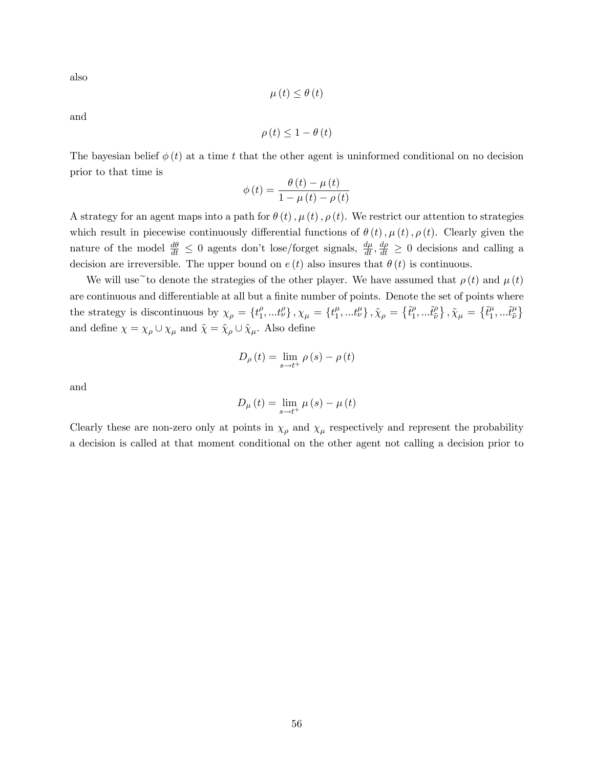also

$$
\mu\left(t\right) \leq \theta\left(t\right)
$$

and

$$
\rho\left(t\right) \leq 1 - \theta\left(t\right)
$$

The bayesian belief  $\phi(t)$  at a time t that the other agent is uninformed conditional on no decision prior to that time is

$$
\phi(t) = \frac{\theta(t) - \mu(t)}{1 - \mu(t) - \rho(t)}
$$

A strategy for an agent maps into a path for  $\theta(t)$ ,  $\mu(t)$ ,  $\rho(t)$ . We restrict our attention to strategies which result in piecewise continuously differential functions of  $\theta(t)$ ,  $\mu(t)$ ,  $\rho(t)$ . Clearly given the nature of the model  $\frac{d\theta}{dt} \leq 0$  agents don't lose/forget signals,  $\frac{d\mu}{dt}, \frac{d\rho}{dt} \geq 0$  decisions and calling a decision are irreversible. The upper bound on  $e(t)$  also insures that  $\theta(t)$  is continuous.

We will use to denote the strategies of the other player. We have assumed that  $\rho(t)$  and  $\mu(t)$ are continuous and differentiable at all but a finite number of points. Denote the set of points where the strategy is discontinuous by  $\chi_{\rho} = \{t_1^{\rho}$  $_{1}^{\rho},...t_{\nu}^{\rho}$ ,  $_{\chi_{\mu}} = \{t_{1}^{\mu}$  $\{ \tilde{t}^\mu_1,...t^\mu_\nu \}$  ,  $\tilde{\chi}_\rho = \left\{ \tilde{t}^\rho_1 \right\}$  $\tilde{t}^\rho_1,...\tilde{t}^\rho_{\tilde{\nu}}$  $\left\{\tilde{\tilde{t}}_l^\mu\right\}, \tilde{\chi}_\mu = \left\{\tilde{t}_1^\mu\right\}$  $\tilde{t}^{\mu}_1,...\tilde{t}^{\mu}_{\tilde{\nu}}$  $~\mu_{\tilde{\nu}}\}$ and define  $\chi = \chi_{\rho} \cup \chi_{\mu}$  and  $\tilde{\chi} = \tilde{\chi}_{\rho} \cup \tilde{\chi}_{\mu}$ . Also define

$$
D_{\rho}(t) = \lim_{s \to t^{+}} \rho(s) - \rho(t)
$$

and

$$
D_{\mu}(t) = \lim_{s \to t^{+}} \mu(s) - \mu(t)
$$

Clearly these are non-zero only at points in  $\chi_{\rho}$  and  $\chi_{\mu}$  respectively and represent the probability a decision is called at that moment conditional on the other agent not calling a decision prior to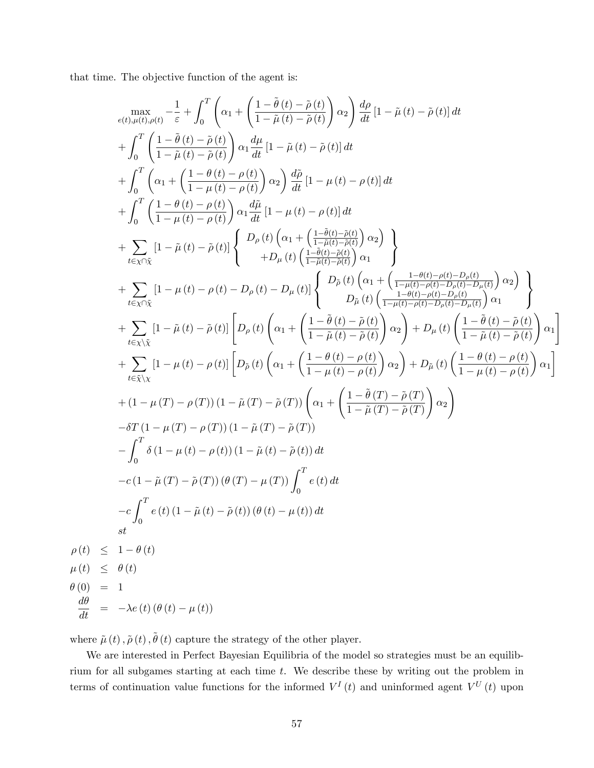that time. The objective function of the agent is:

$$
\begin{split}\n&\max_{c(t),\mu(t),\rho(t)} -\frac{1}{\varepsilon} + \int_{0}^{T} \left( \alpha_{1} + \left( \frac{1-\bar{\theta}(t)-\bar{\rho}(t)}{1-\bar{\mu}(t)-\bar{\rho}(t)} \right) \alpha_{2} \right) \frac{d\rho}{dt} [1-\bar{\mu}(t)-\bar{\rho}(t)] dt \\
&+ \int_{0}^{T} \left( \frac{1-\bar{\theta}(t)-\bar{\rho}(t)}{1-\bar{\mu}(t)-\bar{\rho}(t)} \right) \alpha_{1} \frac{d\mu}{dt} [1-\bar{\mu}(t)-\bar{\rho}(t)] dt \\
&+ \int_{0}^{T} \left( \alpha_{1} + \left( \frac{1-\theta(t)-\rho(t)}{1-\mu(t)-\rho(t)} \right) \alpha_{2} \right) \frac{d\bar{\mu}}{dt} [1-\mu(t)-\rho(t)] dt \\
&+ \int_{0}^{T} \left( \frac{1-\theta(t)-\rho(t)}{1-\mu(t)-\rho(t)} \right) \alpha_{1} \frac{d\bar{\mu}}{dt} [1-\mu(t)-\rho(t)] dt \\
&+ \sum_{t \in \chi \cap \bar{\chi}} [1-\bar{\mu}(t)-\bar{\rho}(t)] \left\{ \begin{array}{c} D_{\rho}(t) \left( \alpha_{1} + \left( \frac{1-\bar{\theta}(t)-\bar{\rho}(t)}{1-\bar{\mu}(t)-\bar{\rho}(t)} \right) \alpha_{2} \right) \\ + \lambda_{\bar{\nu} \chi} [1-\bar{\mu}(t)-\rho(t)-D_{\rho}(t)-D_{\mu}(t)] \left\{ \begin{array}{c} D_{\bar{\rho}}(t) \left( \alpha_{1} + \left( \frac{1-\theta(t)-\rho(t)-\bar{\rho}(t)}{1-\mu(t)-\rho(t)-D_{\rho}(t)-D_{\rho}(t)} \right) \alpha_{2} \right) \\ + \lambda_{\bar{\nu} \chi} [1-\mu(t)-\rho(t)-D_{\rho}(t)-D_{\mu}(t)] \left\{ \begin{array}{c} D_{\bar{\rho}}(t) \left( \alpha_{1} + \left( \frac{1-\theta(t)-\rho(t)-\bar{\rho}(t)}{1-\mu(t)-\rho(t)-D_{\rho}(t)-D_{\rho}(t)} \right) \alpha_{2} \right) \right. \\ + \lambda_{\bar{\nu} \chi} [1-\bar{\mu}(t)-\bar{\rho}(t)] \left[ D_{\rho}(t) \left( \alpha_{
$$

where  $\tilde{\mu}(t), \tilde{\rho}(t), \tilde{\theta}(t)$  capture the strategy of the other player.

We are interested in Perfect Bayesian Equilibria of the model so strategies must be an equilibrium for all subgames starting at each time t. We describe these by writing out the problem in terms of continuation value functions for the informed  $V^I(t)$  and uninformed agent  $V^U(t)$  upon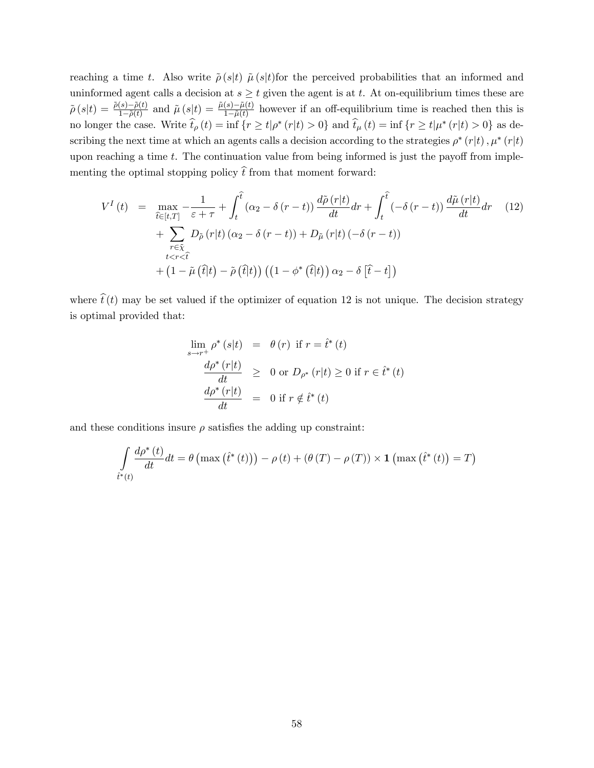reaching a time t. Also write  $\tilde{\rho}(s|t)$   $\tilde{\mu}(s|t)$  for the perceived probabilities that an informed and uninformed agent calls a decision at  $s \ge t$  given the agent is at t. At on-equilibrium times these are  $\tilde{\rho}(s|t) = \frac{\tilde{\rho}(s) - \tilde{\rho}(t)}{1 - \tilde{\rho}(t)}$  and  $\tilde{\mu}(s|t) = \frac{\tilde{\mu}(s) - \tilde{\mu}(t)}{1 - \tilde{\mu}(t)}$  however if an off-equilibrium time is reached then this is no longer the case. Write  $t_{\rho}(t) = \inf \{ r \ge t | \rho^*(r|t) > 0 \}$  and  $t_{\mu}(t) = \inf \{ r \ge t | \mu^*(r|t) > 0 \}$  as describing the next time at which an agents calls a decision according to the strategies  $\rho^* (r|t)$ ,  $\mu^* (r|t)$ upon reaching a time  $t$ . The continuation value from being informed is just the payoff from implementing the optimal stopping policy  $\hat{t}$  from that moment forward:

$$
V^{I}(t) = \max_{\hat{t}\in[t,T]} -\frac{1}{\varepsilon+\tau} + \int_{t}^{\hat{t}} (\alpha_{2}-\delta(r-t)) \frac{d\tilde{\rho}(r|t)}{dt} dr + \int_{t}^{\hat{t}} (-\delta(r-t)) \frac{d\tilde{\mu}(r|t)}{dt} dr \quad (12)
$$

$$
+ \sum_{\substack{r\in\tilde{\chi} \\ t
$$
+ (1-\tilde{\mu}(\hat{t}|t) - \tilde{\rho}(\hat{t}|t)) ((1-\phi^{*}(\hat{t}|t)) \alpha_{2}-\delta[\hat{t}-t])
$$
$$

where  $\hat{t}(t)$  may be set valued if the optimizer of equation 12 is not unique. The decision strategy is optimal provided that:

$$
\lim_{s \to r^{+}} \rho^* (s|t) = \theta (r) \text{ if } r = \hat{t}^* (t)
$$
\n
$$
\frac{d\rho^* (r|t)}{dt} \geq 0 \text{ or } D_{\rho^*} (r|t) \geq 0 \text{ if } r \in \hat{t}^* (t)
$$
\n
$$
\frac{d\rho^* (r|t)}{dt} = 0 \text{ if } r \notin \hat{t}^* (t)
$$

and these conditions insure  $\rho$  satisfies the adding up constraint:

$$
\int_{\hat{t}^*(t)} \frac{d\rho^*(t)}{dt} dt = \theta \left( \max \left( \hat{t}^*(t) \right) \right) - \rho \left( t \right) + \left( \theta \left( T \right) - \rho \left( T \right) \right) \times \mathbf{1} \left( \max \left( \hat{t}^*(t) \right) = T \right)
$$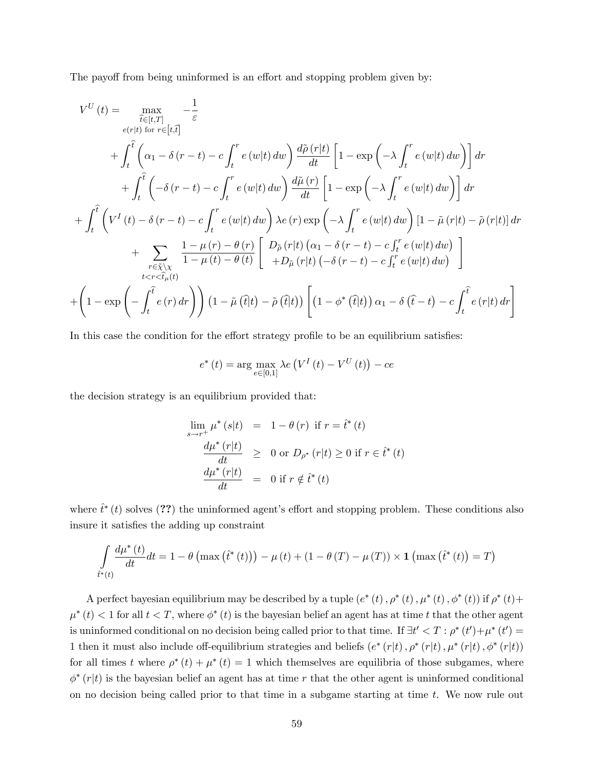The payoff from being uninformed is an effort and stopping problem given by:

$$
V^{U}(t) = \max_{\hat{t}\in[t,T]} -\frac{1}{\varepsilon}
$$
  
\n
$$
+ \int_{t}^{\hat{t}} \left( \alpha_{1} - \delta(r-t) - c \int_{t}^{r} e(w|t) dw \right) \frac{d\tilde{\rho}(r|t)}{dt} \left[ 1 - \exp\left( -\lambda \int_{t}^{r} e(w|t) dw \right) \right] dr
$$
  
\n
$$
+ \int_{t}^{\hat{t}} \left( -\delta(r-t) - c \int_{t}^{r} e(w|t) dw \right) \frac{d\tilde{\mu}(r)}{dt} \left[ 1 - \exp\left( -\lambda \int_{t}^{r} e(w|t) dw \right) \right] dr
$$
  
\n
$$
+ \int_{t}^{\hat{t}} \left( V^{I}(t) - \delta(r-t) - c \int_{t}^{r} e(w|t) dw \right) \frac{d\tilde{\mu}(r)}{dt} \left[ 1 - \exp\left( -\lambda \int_{t}^{r} e(w|t) dw \right) \right] dr
$$
  
\n
$$
+ \sum_{r \in \tilde{\chi} \setminus \chi} \frac{1 - \mu(r) - \theta(r)}{1 - \mu(t) - \theta(t)} \left[ D_{\tilde{\rho}}(r|t) \left( \alpha_{1} - \delta(r-t) - c \int_{t}^{r} e(w|t) dw \right) \right]
$$
  
\n
$$
+ \sum_{t < r < \hat{t}_{\mu}(t)} \frac{1 - \mu(r) - \theta(r)}{1 - \mu(t) - \theta(t)} \left[ D_{\tilde{\rho}}(r|t) \left( \alpha_{1} - \delta(r-t) - c \int_{t}^{r} e(w|t) dw \right) \right]
$$
  
\n
$$
+ \left( 1 - \exp\left( - \int_{t}^{\hat{t}} e(r) dr \right) \right) \left( 1 - \tilde{\mu}(\hat{t}|t) - \tilde{\rho}(\hat{t}|t) \right) \left[ \left( 1 - \phi^{*}(\hat{t}|t) \right) \alpha_{1} - \delta(\hat{t}-t) - c \int_{t}^{\hat{t}} e(r|t) dr \right]
$$

In this case the condition for the effort strategy profile to be an equilibrium satisfies:

$$
e^*(t) = \arg\max_{e \in [0,1]} \lambda e\left(V^I\left(t\right) - V^U\left(t\right)\right) - ce
$$

the decision strategy is an equilibrium provided that:

$$
\lim_{s \to r^{+}} \mu^*(s|t) = 1 - \theta(r) \text{ if } r = \hat{t}^*(t)
$$
\n
$$
\frac{d\mu^*(r|t)}{dt} \geq 0 \text{ or } D_{\rho^*}(r|t) \geq 0 \text{ if } r \in \hat{t}^*(t)
$$
\n
$$
\frac{d\mu^*(r|t)}{dt} = 0 \text{ if } r \notin \hat{t}^*(t)
$$

where  $\hat{t}^*(t)$  solves (??) the uninformed agent's effort and stopping problem. These conditions also insure it satisfies the adding up constraint

$$
\int_{\hat{t}^*(t)} \frac{d\mu^*(t)}{dt} dt = 1 - \theta \left( \max \left( \hat{t}^*(t) \right) \right) - \mu \left( t \right) + \left( 1 - \theta \left( T \right) - \mu \left( T \right) \right) \times \mathbf{1} \left( \max \left( \hat{t}^*(t) \right) = T \right)
$$

A perfect bayesian equilibrium may be described by a tuple  $(e^*(t), \rho^*(t), \mu^*(t), \phi^*(t))$  if  $\rho^*(t)$  +  $\mu^*(t) < 1$  for all  $t < T$ , where  $\phi^*(t)$  is the bayesian belief an agent has at time t that the other agent is uninformed conditional on no decision being called prior to that time. If  $\exists t' < T : \rho^*(t') + \mu^*(t') =$ 1 then it must also include off-equilibrium strategies and beliefs  $(e^*(r|t), \rho^*(r|t), \mu^*(r|t), \phi^*(r|t))$ for all times t where  $\rho^*(t) + \mu^*(t) = 1$  which themselves are equilibria of those subgames, where  $\phi^*(r|t)$  is the bayesian belief an agent has at time r that the other agent is uninformed conditional on no decision being called prior to that time in a subgame starting at time  $t$ . We now rule out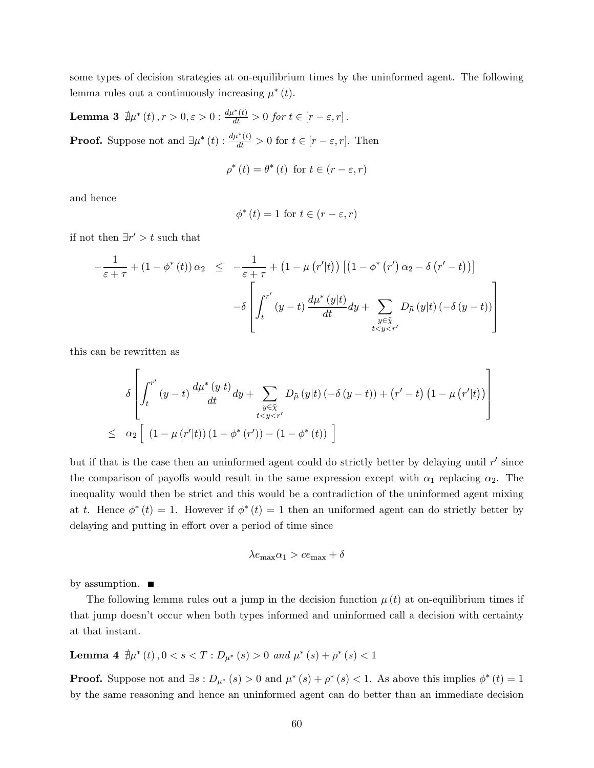some types of decision strategies at on-equilibrium times by the uninformed agent. The following lemma rules out a continuously increasing  $\mu^*(t)$ .

**Lemma 3**  $\sharp \mu^*(t)$ ,  $r > 0$ ,  $\varepsilon > 0$  :  $\frac{d\mu^*(t)}{dt} > 0$  for  $t \in [r - \varepsilon, r]$ . **Proof.** Suppose not and  $\exists \mu^*(t) : \frac{d\mu^*(t)}{dt} > 0$  for  $t \in [r - \varepsilon, r]$ . Then

$$
\rho^*(t) = \theta^*(t) \text{ for } t \in (r - \varepsilon, r)
$$

and hence

$$
\phi^*(t) = 1 \text{ for } t \in (r - \varepsilon, r)
$$

if not then  $\exists r' > t$  such that

$$
-\frac{1}{\varepsilon+\tau} + (1-\phi^*(t))\alpha_2 \le -\frac{1}{\varepsilon+\tau} + (1-\mu(r'|t)) \left[ (1-\phi^*(r')\alpha_2 - \delta(r'-t)) \right]
$$

$$
-\delta \left[ \int_t^{r'} (y-t) \frac{d\mu^*(y|t)}{dt} dy + \sum_{\substack{y \in \tilde{\chi} \\ t < y < r'}} D_{\tilde{\mu}}(y|t) \left( -\delta(y-t) \right) \right]
$$

this can be rewritten as

$$
\delta \left[ \int_{t}^{r'} (y-t) \frac{d\mu^*(y|t)}{dt} dy + \sum_{\substack{y \in \tilde{\chi} \\ t < y < r'}} D_{\tilde{\mu}}(y|t) \left( -\delta (y-t) \right) + \left( r' - t \right) \left( 1 - \mu (r'|t) \right) \right]
$$
  

$$
\leq \alpha_2 \left[ (1 - \mu (r'|t)) \left( 1 - \phi^*(r') \right) - (1 - \phi^*(t)) \right]
$$

but if that is the case then an uninformed agent could do strictly better by delaying until  $r'$  since the comparison of payoffs would result in the same expression except with  $\alpha_1$  replacing  $\alpha_2$ . The inequality would then be strict and this would be a contradiction of the uninformed agent mixing at t. Hence  $\phi^*(t) = 1$ . However if  $\phi^*(t) = 1$  then an uniformed agent can do strictly better by delaying and putting in effort over a period of time since

$$
\lambda e_{\max} \alpha_1 > c e_{\max} + \delta
$$

by assumption.  $\blacksquare$ 

The following lemma rules out a jump in the decision function  $\mu(t)$  at on-equilibrium times if that jump doesnít occur when both types informed and uninformed call a decision with certainty at that instant.

Lemma 4  $\exists \mu^*(t)$  ,  $0 < s < T : D_{\mu^*}(s) > 0$  and  $\mu^*(s) + \rho^*(s) < 1$ 

**Proof.** Suppose not and  $\exists s : D_{\mu^*}(s) > 0$  and  $\mu^*(s) + \rho^*(s) < 1$ . As above this implies  $\phi^*(t) = 1$ by the same reasoning and hence an uninformed agent can do better than an immediate decision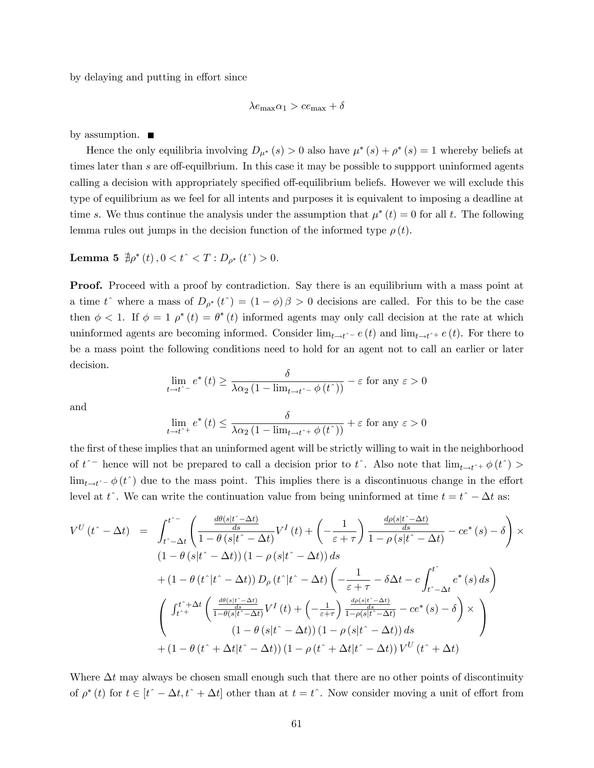by delaying and putting in effort since

$$
\lambda e_{\max} \alpha_1 > c e_{\max} + \delta
$$

by assumption.  $\blacksquare$ 

Hence the only equilibria involving  $D_{\mu^*}(s) > 0$  also have  $\mu^*(s) + \rho^*(s) = 1$  whereby beliefs at times later than s are off-equilbrium. In this case it may be possible to suppport uninformed agents calling a decision with appropriately specified off-equilibrium beliefs. However we will exclude this type of equilibrium as we feel for all intents and purposes it is equivalent to imposing a deadline at time s. We thus continue the analysis under the assumption that  $\mu^*(t) = 0$  for all t. The following lemma rules out jumps in the decision function of the informed type  $\rho(t)$ .

**Lemma 5**  $\exists \rho^*(t)$ ,  $0 < t^{\hat{ }} < T : D_{\rho^*}(t^{\hat{ }}) > 0.$ 

**Proof.** Proceed with a proof by contradiction. Say there is an equilibrium with a mass point at a time t<sup>o</sup> where a mass of  $D_{\rho^*}(t) = (1 - \phi) \beta > 0$  decisions are called. For this to be the case then  $\phi < 1$ . If  $\phi = 1$   $\rho^*(t) = \theta^*(t)$  informed agents may only call decision at the rate at which uninformed agents are becoming informed. Consider  $\lim_{t \to t^+} e (t)$  and  $\lim_{t \to t^+} e (t)$ . For there to be a mass point the following conditions need to hold for an agent not to call an earlier or later decision.

$$
\lim_{t \to t^{\hat{-}} } e^*(t) \ge \frac{\delta}{\lambda \alpha_2 (1 - \lim_{t \to t^{\hat{-}} } \phi(t^{\hat{-}}))} - \varepsilon \text{ for any } \varepsilon > 0
$$

and

$$
\lim_{t \to t^+} e^* (t) \le \frac{\delta}{\lambda \alpha_2 (1 - \lim_{t \to t^+} \phi(t^*))} + \varepsilon
$$
 for any  $\varepsilon > 0$ 

the first of these implies that an uninformed agent will be strictly willing to wait in the neighborhood of  $t^{\frown}$  hence will not be prepared to call a decision prior to  $t^{\frown}$ . Also note that  $\lim_{t \to t^{\frown} +} \phi(t^{\frown}) >$  $\lim_{t \to t^{\infty}} \phi(t^{\infty})$  due to the mass point. This implies there is a discontinuous change in the effort level at t<sup>o</sup>. We can write the continuation value from being uninformed at time  $t = t^* - \Delta t$  as:

$$
V^{U}(t^{*}-\Delta t) = \int_{t^{*}-\Delta t}^{t^{*}-} \left( \frac{\frac{d\theta(s|t^{*}-\Delta t)}{ds}}{1-\theta(s|t^{*}-\Delta t)} V^{I}(t) + \left( -\frac{1}{\varepsilon+\tau} \right) \frac{\frac{d\rho(s|t^{*}-\Delta t)}{ds}}{1-\rho(s|t^{*}-\Delta t)} - ce^{*}(s) - \delta \right) \times
$$
  
\n
$$
(1-\theta(s|t^{*}-\Delta t))(1-\rho(s|t^{*}-\Delta t)) ds
$$
  
\n
$$
+ (1-\theta(t^{*}|t^{*}-\Delta t)) D_{\rho}(t^{*}|t^{*}-\Delta t) \left( -\frac{1}{\varepsilon+\tau} - \delta \Delta t - c \int_{t^{*}-\Delta t}^{t^{*}} e^{*}(s) ds \right)
$$
  
\n
$$
\left( \int_{t^{*+}}^{t^{*}+\Delta t} \left( \frac{\frac{d\theta(s|t^{*}-\Delta t)}{ds}}{1-\theta(s|t^{*}-\Delta t)} V^{I}(t) + \left( -\frac{1}{\varepsilon+\tau} \right) \frac{\frac{d\rho(s|t^{*}-\Delta t)}{ds}}{1-\rho(s|t^{*}-\Delta t)} - ce^{*}(s) - \delta \right) \times
$$
  
\n
$$
(1-\theta(s|t^{*}-\Delta t))(1-\rho(s|t^{*}-\Delta t)) ds
$$
  
\n
$$
+ (1-\theta(t^{*}+\Delta t|t^{*}-\Delta t))(1-\rho(t^{*}+\Delta t|t^{*}-\Delta t)) V^{U}(t^{*}+\Delta t)
$$

Where  $\Delta t$  may always be chosen small enough such that there are no other points of discontinuity of  $\rho^*(t)$  for  $t \in [t^{\hat{-}} - \Delta t, t^{\hat{-}} + \Delta t]$  other than at  $t = t^{\hat{-}}$ . Now consider moving a unit of effort from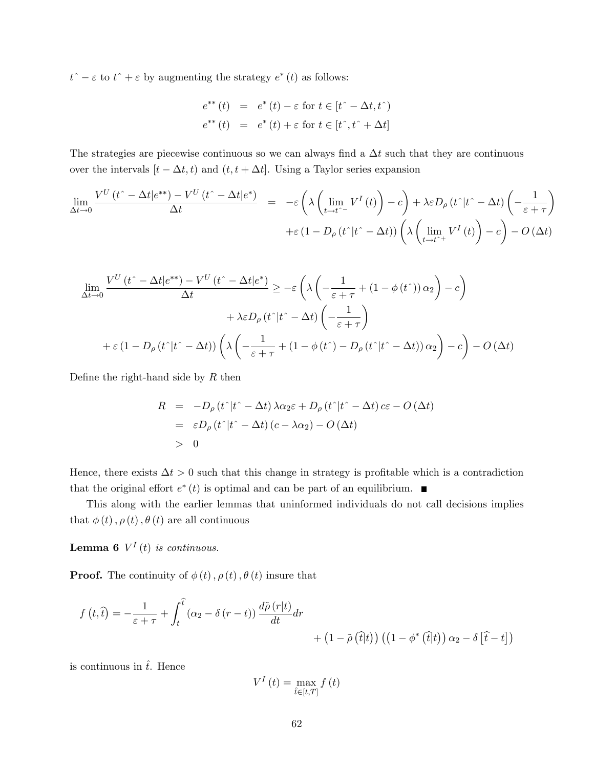$t^{\hat{-}} - \varepsilon$  to  $t^{\hat{-}} + \varepsilon$  by augmenting the strategy  $e^*(t)$  as follows:

$$
e^{**}(t) = e^*(t) - \varepsilon \text{ for } t \in [t^* - \Delta t, t^*)
$$
  

$$
e^{**}(t) = e^*(t) + \varepsilon \text{ for } t \in [t^*, t^* + \Delta t]
$$

The strategies are piecewise continuous so we can always find a  $\Delta t$  such that they are continuous over the intervals  $[t - \Delta t, t)$  and  $(t, t + \Delta t]$ . Using a Taylor series expansion

$$
\lim_{\Delta t \to 0} \frac{V^{U}(t^{\hat{ }} - \Delta t |e^{**}) - V^{U}(t^{\hat{ }} - \Delta t |e^{**})}{\Delta t} = -\varepsilon \left( \lambda \left( \lim_{t \to t^{\hat{ }} - V^{I} (t) \right) - c \right) + \lambda \varepsilon D_{\rho} (t^{\hat{ }} |t^{\hat{ }} - \Delta t) \left( - \frac{1}{\varepsilon + \tau} \right) + \varepsilon (1 - D_{\rho} (t^{\hat{ }} |t^{\hat{ }} - \Delta t)) \left( \lambda \left( \lim_{t \to t^{\hat{ }} + V^{I} (t) \right) - c \right) - O \left( \Delta t \right)
$$

$$
\lim_{\Delta t \to 0} \frac{V^{U}(t^{\hat{-}} - \Delta t | e^{**}) - V^{U}(t^{\hat{-}} - \Delta t | e^{*})}{\Delta t} \ge -\varepsilon \left( \lambda \left( -\frac{1}{\varepsilon + \tau} + (1 - \phi(t^{\hat{-}})) \alpha_{2} \right) - c \right) \n+ \lambda \varepsilon D_{\rho} (t^{\hat{-}} | t^{\hat{-}} - \Delta t) \left( -\frac{1}{\varepsilon + \tau} \right) \n+ \varepsilon (1 - D_{\rho} (t^{\hat{-}} | t^{\hat{-}} - \Delta t)) \left( \lambda \left( -\frac{1}{\varepsilon + \tau} + (1 - \phi(t^{\hat{-}}) - D_{\rho} (t^{\hat{-}} | t^{\hat{-}} - \Delta t)) \alpha_{2} \right) - c \right) - O \left( \Delta t \right)
$$

Define the right-hand side by  $R$  then

$$
R = -D_{\rho} (t^{\hat{ }} |t^{\hat{ }} - \Delta t) \lambda \alpha_2 \varepsilon + D_{\rho} (t^{\hat{ }} |t^{\hat{ }} - \Delta t) \, c\varepsilon - O \left( \Delta t \right)
$$
  
=  $\varepsilon D_{\rho} (t^{\hat{ }} |t^{\hat{ }} - \Delta t) (c - \lambda \alpha_2) - O \left( \Delta t \right)$   
> 0

Hence, there exists  $\Delta t > 0$  such that this change in strategy is profitable which is a contradiction that the original effort  $e^*(t)$  is optimal and can be part of an equilibrium.

This along with the earlier lemmas that uninformed individuals do not call decisions implies that  $\phi(t)$ ,  $\rho(t)$ ,  $\theta(t)$  are all continuous

**Lemma 6**  $V^I(t)$  is continuous.

**Proof.** The continuity of  $\phi(t)$ ,  $\rho(t)$ ,  $\theta(t)$  insure that

$$
f(t,\hat{t}) = -\frac{1}{\varepsilon + \tau} + \int_{t}^{\hat{t}} (\alpha_2 - \delta (r - t)) \frac{d\tilde{\rho}(r|t)}{dt} dr + (1 - \tilde{\rho}(\hat{t}|t)) ((1 - \phi^* (\hat{t}|t)) \alpha_2 - \delta [\hat{t} - t])
$$

is continuous in  $\hat{t}$ . Hence

$$
V^{I}\left(t\right)=\max_{\hat{t}\in\left[t,T\right]}f\left(t\right)
$$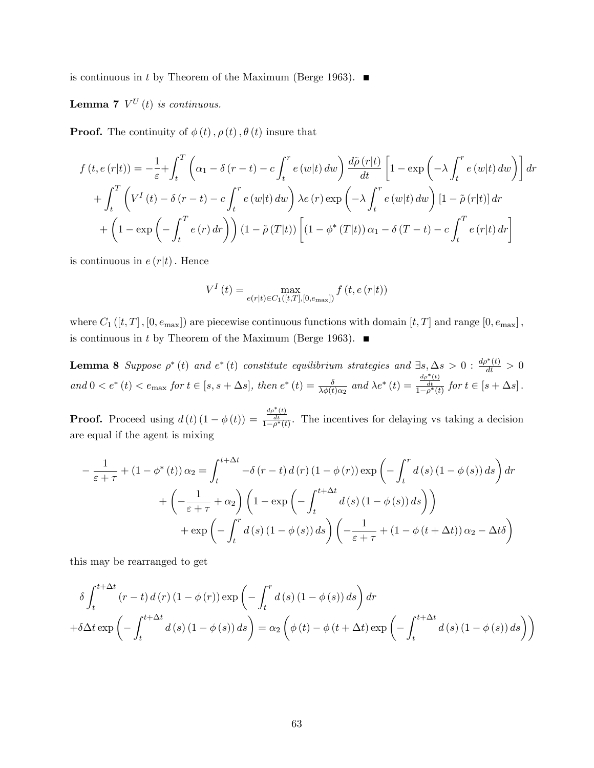is continuous in t by Theorem of the Maximum (Berge 1963).  $\blacksquare$ 

**Lemma 7**  $V^U(t)$  is continuous.

**Proof.** The continuity of  $\phi(t)$ ,  $\rho(t)$ ,  $\theta(t)$  insure that

$$
f(t, e(r|t)) = -\frac{1}{\varepsilon} + \int_{t}^{T} \left( \alpha_{1} - \delta(r - t) - c \int_{t}^{r} e(w|t) dw \right) \frac{d\tilde{\rho}(r|t)}{dt} \left[ 1 - \exp\left( -\lambda \int_{t}^{r} e(w|t) dw \right) \right] dr
$$

$$
+ \int_{t}^{T} \left( V^{I}(t) - \delta(r - t) - c \int_{t}^{r} e(w|t) dw \right) \lambda e(r) \exp\left( -\lambda \int_{t}^{r} e(w|t) dw \right) \left[ 1 - \tilde{\rho}(r|t) \right] dr
$$

$$
+ \left( 1 - \exp\left( -\int_{t}^{T} e(r) dr \right) \right) \left( 1 - \tilde{\rho}(T|t) \right) \left[ (1 - \phi^{*}(T|t)) \alpha_{1} - \delta(T - t) - c \int_{t}^{T} e(r|t) dr \right]
$$

is continuous in  $e(r|t)$ . Hence

$$
V^{I}(t) = \max_{e(r|t) \in C_{1}([t,T],[0,e_{\max}])} f(t,e(r|t))
$$

where  $C_1([t,T], [0, e_{\text{max}}])$  are piecewise continuous functions with domain  $[t, T]$  and range  $[0, e_{\text{max}}]$ , is continuous in t by Theorem of the Maximum (Berge 1963).  $\blacksquare$ 

**Lemma 8** Suppose  $\rho^*(t)$  and  $e^*(t)$  constitute equilibrium strategies and  $\exists s, \Delta s > 0 : \frac{d\rho^*(t)}{dt} > 0$ and  $0 < e^*(t) < e_{\text{max}}$  for  $t \in [s, s + \Delta s]$ , then  $e^*(t) = \frac{\delta}{\lambda \phi(t) \alpha_2}$  and  $\lambda e^*(t) = \frac{\frac{d\rho^*(t)}{dt}}{1 - \rho^*(t)}$  for  $t \in [s + \Delta s]$ .

**Proof.** Proceed using  $d(t)(1 - \phi(t)) = \frac{\frac{d\rho^*(t)}{dt}}{1 - \rho^*(t)}$ . The incentives for delaying vs taking a decision are equal if the agent is mixing

$$
-\frac{1}{\varepsilon+\tau} + (1-\phi^*(t))\alpha_2 = \int_t^{t+\Delta t} -\delta (r-t) d(r) (1-\phi(r)) \exp\left(-\int_t^r d(s) (1-\phi(s)) ds\right) dr
$$

$$
+ \left(-\frac{1}{\varepsilon+\tau} + \alpha_2\right) \left(1 - \exp\left(-\int_t^{t+\Delta t} d(s) (1-\phi(s)) ds\right)\right)
$$

$$
+ \exp\left(-\int_t^r d(s) (1-\phi(s)) ds\right) \left(-\frac{1}{\varepsilon+\tau} + (1-\phi(t+\Delta t)) \alpha_2 - \Delta t \delta\right)
$$

this may be rearranged to get

$$
\delta \int_{t}^{t + \Delta t} (r - t) d(r) (1 - \phi(r)) \exp \left(-\int_{t}^{r} d(s) (1 - \phi(s)) ds\right) dr
$$
  
+ 
$$
\delta \Delta t \exp \left(-\int_{t}^{t + \Delta t} d(s) (1 - \phi(s)) ds\right) = \alpha_{2} \left(\phi(t) - \phi(t + \Delta t) \exp \left(-\int_{t}^{t + \Delta t} d(s) (1 - \phi(s)) ds\right)\right)
$$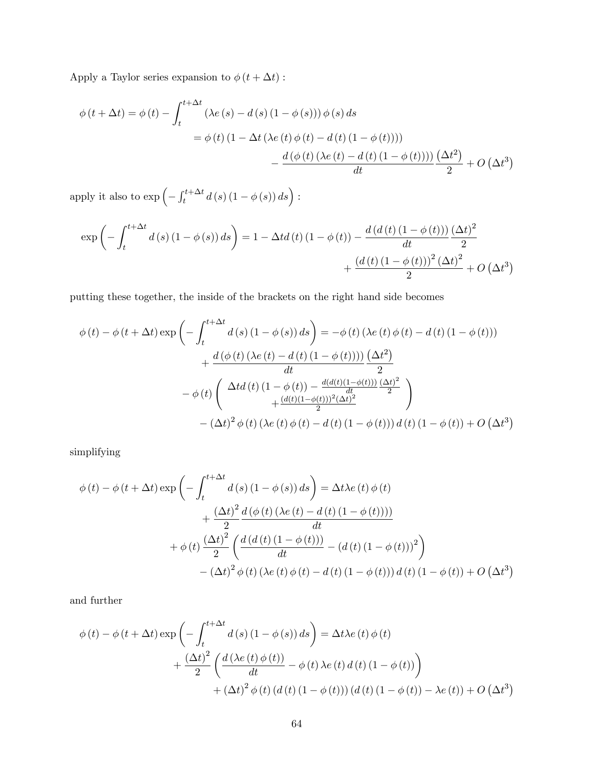Apply a Taylor series expansion to  $\phi\left(t+\Delta t\right)$  :

$$
\phi(t + \Delta t) = \phi(t) - \int_{t}^{t + \Delta t} (\lambda e(s) - d(s) (1 - \phi(s))) \phi(s) ds
$$
  

$$
= \phi(t) (1 - \Delta t (\lambda e(t) \phi(t) - d(t) (1 - \phi(t))))
$$
  

$$
- \frac{d(\phi(t) (\lambda e(t) - d(t) (1 - \phi(t)))) (\Delta t^{2})}{dt} + O(\Delta t^{3})
$$

apply it also to  $\exp\left(-\int_t^{t+\Delta t} d(s) (1-\phi(s)) ds\right)$ :

$$
\exp\left(-\int_{t}^{t+\Delta t} d(s) \left(1-\phi(s)\right) ds\right) = 1 - \Delta t d\left(t\right) \left(1-\phi\left(t\right)\right) - \frac{d\left(d\left(t\right) \left(1-\phi\left(t\right)\right)\right)}{dt} \frac{\left(\Delta t\right)^{2}}{2} + \frac{\left(d\left(t\right) \left(1-\phi\left(t\right)\right)\right)^{2} \left(\Delta t\right)^{2}}{2} + O\left(\Delta t^{3}\right)
$$

putting these together, the inside of the brackets on the right hand side becomes

$$
\phi(t) - \phi(t + \Delta t) \exp\left(-\int_{t}^{t + \Delta t} d(s) (1 - \phi(s)) ds\right) = -\phi(t) \left(\lambda e(t) \phi(t) - d(t) (1 - \phi(t))\right)
$$

$$
+ \frac{d(\phi(t) (\lambda e(t) - d(t) (1 - \phi(t))))}{dt} \frac{(\Delta t^{2})}{2}
$$

$$
- \phi(t) \left(\frac{\Delta t d(t) (1 - \phi(t)) - \frac{d(d(t) (1 - \phi(t))) (\Delta t)^{2}}{dt}}{+\frac{(d(t) (1 - \phi(t)))^{2} (\Delta t)^{2}}{2}}\right)
$$

$$
- (\Delta t)^{2} \phi(t) (\lambda e(t) \phi(t) - d(t) (1 - \phi(t))) d(t) (1 - \phi(t)) + O(\Delta t^{3})
$$

simplifying

$$
\phi(t) - \phi(t + \Delta t) \exp\left(-\int_{t}^{t + \Delta t} d(s) (1 - \phi(s)) ds\right) = \Delta t \lambda e(t) \phi(t)
$$

$$
+ \frac{(\Delta t)^{2}}{2} \frac{d(\phi(t) (\lambda e(t) - d(t) (1 - \phi(t))))}{dt}
$$

$$
+ \phi(t) \frac{(\Delta t)^{2}}{2} \left(\frac{d(d(t) (1 - \phi(t)))}{dt} - (d(t) (1 - \phi(t)))^{2}\right)
$$

$$
- (\Delta t)^{2} \phi(t) (\lambda e(t) \phi(t) - d(t) (1 - \phi(t))) d(t) (1 - \phi(t)) + O(\Delta t^{3})
$$

and further

$$
\phi(t) - \phi(t + \Delta t) \exp\left(-\int_{t}^{t + \Delta t} d(s) (1 - \phi(s)) ds\right) = \Delta t \lambda e(t) \phi(t)
$$

$$
+ \frac{(\Delta t)^{2}}{2} \left(\frac{d(\lambda e(t) \phi(t))}{dt} - \phi(t) \lambda e(t) d(t) (1 - \phi(t))\right)
$$

$$
+ (\Delta t)^{2} \phi(t) (d(t) (1 - \phi(t))) (d(t) (1 - \phi(t)) - \lambda e(t)) + O(\Delta t^{3})
$$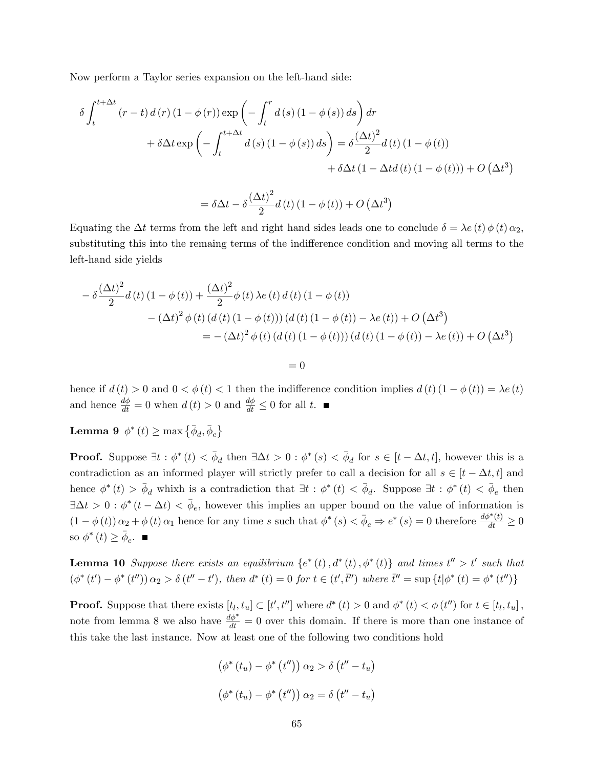Now perform a Taylor series expansion on the left-hand side:

$$
\delta \int_{t}^{t + \Delta t} (r - t) d(r) (1 - \phi(r)) \exp \left(-\int_{t}^{r} d(s) (1 - \phi(s)) ds\right) dr
$$
  
+ 
$$
\delta \Delta t \exp \left(-\int_{t}^{t + \Delta t} d(s) (1 - \phi(s)) ds\right) = \delta \frac{(\Delta t)^{2}}{2} d(t) (1 - \phi(t))
$$
  
+ 
$$
\delta \Delta t (1 - \Delta t d(t) (1 - \phi(t))) + O(\Delta t^{3})
$$

$$
= \delta \Delta t - \delta \frac{\left(\Delta t\right)^2}{2} d\left(t\right) \left(1 - \phi\left(t\right)\right) + O\left(\Delta t^3\right)
$$

Equating the  $\Delta t$  terms from the left and right hand sides leads one to conclude  $\delta = \lambda e(t) \phi(t) \alpha_2$ , substituting this into the remaing terms of the indifference condition and moving all terms to the left-hand side yields

$$
- \delta \frac{(\Delta t)^2}{2} d(t) (1 - \phi(t)) + \frac{(\Delta t)^2}{2} \phi(t) \lambda e(t) d(t) (1 - \phi(t))
$$
  

$$
- (\Delta t)^2 \phi(t) (d(t) (1 - \phi(t))) (d(t) (1 - \phi(t)) - \lambda e(t)) + O (\Delta t^3)
$$
  

$$
= - (\Delta t)^2 \phi(t) (d(t) (1 - \phi(t))) (d(t) (1 - \phi(t)) - \lambda e(t)) + O (\Delta t^3)
$$

 $= 0$ 

hence if  $d(t) > 0$  and  $0 < \phi(t) < 1$  then the indifference condition implies  $d(t)(1 - \phi(t)) = \lambda e(t)$ and hence  $\frac{d\phi}{dt} = 0$  when  $d(t) > 0$  and  $\frac{d\phi}{dt} \leq 0$  for all t.

Lemma 9  $\phi^*(t) \ge \max\left\{\bar{\phi}_d, \bar{\phi}_e\right\}$ 

**Proof.** Suppose  $\exists t : \phi^*(t) < \bar{\phi}_d$  then  $\exists \Delta t > 0 : \phi^*(s) < \bar{\phi}_d$  for  $s \in [t - \Delta t, t]$ , however this is a contradiction as an informed player will strictly prefer to call a decision for all  $s \in [t - \Delta t, t]$  and hence  $\phi^*(t) > \bar{\phi}_d$  whixh is a contradiction that  $\exists t : \phi^*(t) < \bar{\phi}_d$ . Suppose  $\exists t : \phi^*(t) < \bar{\phi}_e$  then  $\exists \Delta t > 0 : \phi^*(t - \Delta t) < \bar{\phi}_e$ , however this implies an upper bound on the value of information is  $(1 - \phi(t)) \alpha_2 + \phi(t) \alpha_1$  hence for any time s such that  $\phi^*(s) < \bar{\phi}_e \Rightarrow e^*(s) = 0$  therefore  $\frac{d\phi^*(t)}{dt} \ge 0$ so  $\phi^*(t) \geq \bar{\phi}_e$ .

**Lemma 10** Suppose there exists an equilibrium  $\{e^*(t), d^*(t), \phi^*(t)\}$  and times  $t'' > t'$  such that  $(\phi^*(t') - \phi^*(t'')) \alpha_2 > \delta(t'' - t')$ , then  $d^*(t) = 0$  for  $t \in (t', \bar{t}'')$  where  $\bar{t}'' = \sup \{t | \phi^*(t) = \phi^*(t'')\}$ 

**Proof.** Suppose that there exists  $[t_l, t_u] \subset [t', t'']$  where  $d^*(t) > 0$  and  $\phi^*(t) < \phi(t'')$  for  $t \in [t_l, t_u]$ , note from lemma 8 we also have  $\frac{d\phi^*}{dt} = 0$  over this domain. If there is more than one instance of this take the last instance. Now at least one of the following two conditions hold

$$
(\phi^*(t_u) - \phi^*(t'')) \alpha_2 > \delta(t'' - t_u)
$$

$$
(\phi^*(t_u) - \phi^*(t'')) \alpha_2 = \delta(t'' - t_u)
$$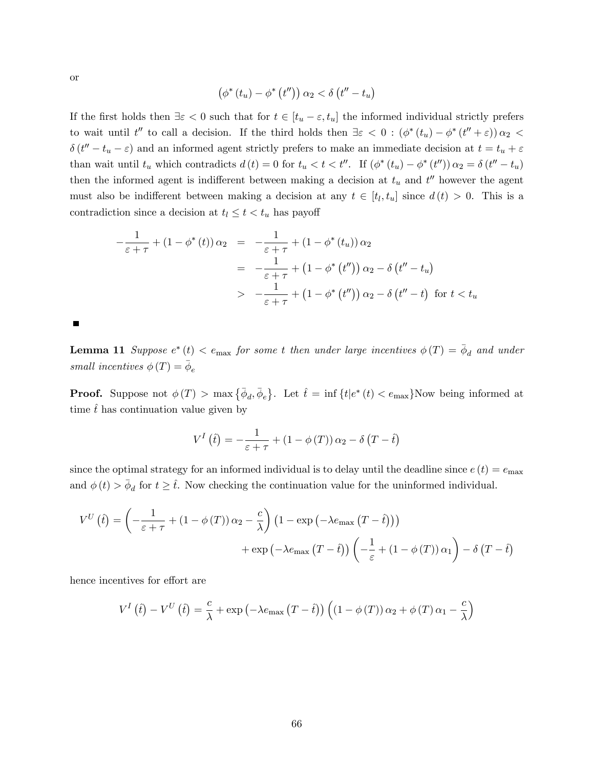or

$$
\left(\phi^*\left(t_u\right)-\phi^*\left(t''\right)\right)\alpha_2 < \delta\left(t''-t_u\right)
$$

If the first holds then  $\exists \varepsilon < 0$  such that for  $t \in [t_u - \varepsilon, t_u]$  the informed individual strictly prefers to wait until  $t''$  to call a decision. If the third holds then  $\exists \varepsilon < 0 : (\phi^*(t_u) - \phi^*(t'' + \varepsilon)) \alpha_2 <$  $\delta(t'' - t_u - \varepsilon)$  and an informed agent strictly prefers to make an immediate decision at  $t = t_u + \varepsilon$ than wait until  $t_u$  which contradicts  $d(t) = 0$  for  $t_u < t < t''$ . If  $(\phi^*(t_u) - \phi^*(t''))$   $\alpha_2 = \delta(t'' - t_u)$ then the informed agent is indifferent between making a decision at  $t_u$  and  $t''$  however the agent must also be indifferent between making a decision at any  $t \in [t_l, t_u]$  since  $d(t) > 0$ . This is a contradiction since a decision at  $t_l \leq t < t_u$  has payoff

$$
-\frac{1}{\varepsilon+\tau} + (1-\phi^*(t))\alpha_2 = -\frac{1}{\varepsilon+\tau} + (1-\phi^*(t_u))\alpha_2
$$
  

$$
= -\frac{1}{\varepsilon+\tau} + (1-\phi^*(t''))\alpha_2 - \delta(t'' - t_u)
$$
  

$$
> -\frac{1}{\varepsilon+\tau} + (1-\phi^*(t''))\alpha_2 - \delta(t'' - t) \text{ for } t < t_u
$$

П

**Lemma 11** Suppose  $e^*(t) < e_{\text{max}}$  for some t then under large incentives  $\phi(T) = \bar{\phi}_d$  and under small incentives  $\phi(T) = \bar{\phi}_e$ 

**Proof.** Suppose not  $\phi(T) > \max{\{\overline{\phi}_d, \overline{\phi}_e\}}$ . Let  $\hat{t} = \inf{\{t | e^*(t) < e_{\max}\}}$ Now being informed at time  $\hat{t}$  has continuation value given by

$$
V^{I}(\hat{t}) = -\frac{1}{\varepsilon + \tau} + (1 - \phi(T)) \alpha_2 - \delta(T - \hat{t})
$$

since the optimal strategy for an informed individual is to delay until the deadline since  $e(t) = e_{\text{max}}$ and  $\phi(t) > \bar{\phi}_d$  for  $t \geq \hat{t}$ . Now checking the continuation value for the uninformed individual.

$$
V^{U}(t) = \left(-\frac{1}{\varepsilon + \tau} + (1 - \phi(T))\alpha_{2} - \frac{c}{\lambda}\right) \left(1 - \exp\left(-\lambda e_{\max}\left(T - \hat{t}\right)\right)\right) + \exp\left(-\lambda e_{\max}\left(T - \hat{t}\right)\right) \left(-\frac{1}{\varepsilon} + (1 - \phi(T))\alpha_{1}\right) - \delta\left(T - \hat{t}\right)
$$

hence incentives for effort are

$$
V^{I}(\hat{t}) - V^{U}(\hat{t}) = \frac{c}{\lambda} + \exp(-\lambda e_{\max}(T - \hat{t})) ((1 - \phi(T)) \alpha_{2} + \phi(T) \alpha_{1} - \frac{c}{\lambda})
$$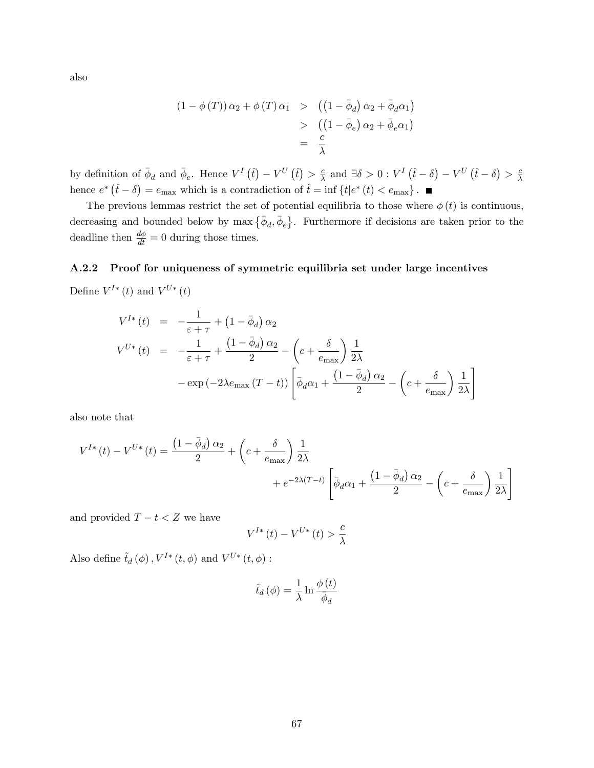also

$$
(1 - \phi(T)) \alpha_2 + \phi(T) \alpha_1 \geq ((1 - \bar{\phi}_d) \alpha_2 + \bar{\phi}_d \alpha_1)
$$
  
> 
$$
((1 - \bar{\phi}_e) \alpha_2 + \bar{\phi}_e \alpha_1)
$$
  
= 
$$
\frac{c}{\lambda}
$$

by definition of  $\bar{\phi}_d$  and  $\bar{\phi}_e$ . Hence  $V^I(\hat{t}) - V^U(\hat{t}) > \frac{c}{\lambda}$  $\frac{c}{\lambda}$  and  $\exists \delta > 0 : V^I(\hat{t} - \delta) - V^U(\hat{t} - \delta) > \frac{c}{\lambda}$  $\lambda$ hence  $e^*(\hat{t}-\delta) = e_{\text{max}}$  which is a contradiction of  $\hat{t} = \inf \{t | e^*(t) < e_{\text{max}}\}$ .

The previous lemmas restrict the set of potential equilibria to those where  $\phi(t)$  is continuous, decreasing and bounded below by  $\max\{\bar{\phi}_d, \bar{\phi}_e\}$ . Furthermore if decisions are taken prior to the deadline then  $\frac{d\phi}{dt} = 0$  during those times.

#### A.2.2 Proof for uniqueness of symmetric equilibria set under large incentives

Define  $V^{I*}(t)$  and  $V^{U*}(t)$ 

$$
V^{I*}(t) = -\frac{1}{\varepsilon + \tau} + (1 - \bar{\phi}_d) \alpha_2
$$
  

$$
V^{U*}(t) = -\frac{1}{\varepsilon + \tau} + \frac{(1 - \bar{\phi}_d) \alpha_2}{2} - \left(c + \frac{\delta}{e_{\text{max}}}\right) \frac{1}{2\lambda}
$$
  

$$
-\exp(-2\lambda e_{\text{max}}(T - t)) \left[\bar{\phi}_d \alpha_1 + \frac{(1 - \bar{\phi}_d) \alpha_2}{2} - \left(c + \frac{\delta}{e_{\text{max}}}\right) \frac{1}{2\lambda}\right]
$$

also note that

$$
V^{I*}(t) - V^{U*}(t) = \frac{\left(1 - \bar{\phi}_d\right)\alpha_2}{2} + \left(c + \frac{\delta}{e_{\text{max}}}\right)\frac{1}{2\lambda} + e^{-2\lambda(T-t)}\left[\bar{\phi}_d\alpha_1 + \frac{\left(1 - \bar{\phi}_d\right)\alpha_2}{2} - \left(c + \frac{\delta}{e_{\text{max}}}\right)\frac{1}{2\lambda}\right]
$$

and provided  $T - t < Z$  we have

$$
V^{I*}\left(t\right) - V^{U*}\left(t\right) > \frac{c}{\lambda}
$$

Also define  $\tilde{t}_d(\phi)$ ,  $V^{I*}(t,\phi)$  and  $V^{U*}(t,\phi)$ :

$$
\tilde{t}_d(\phi) = \frac{1}{\lambda} \ln \frac{\phi(t)}{\bar{\phi}_d}
$$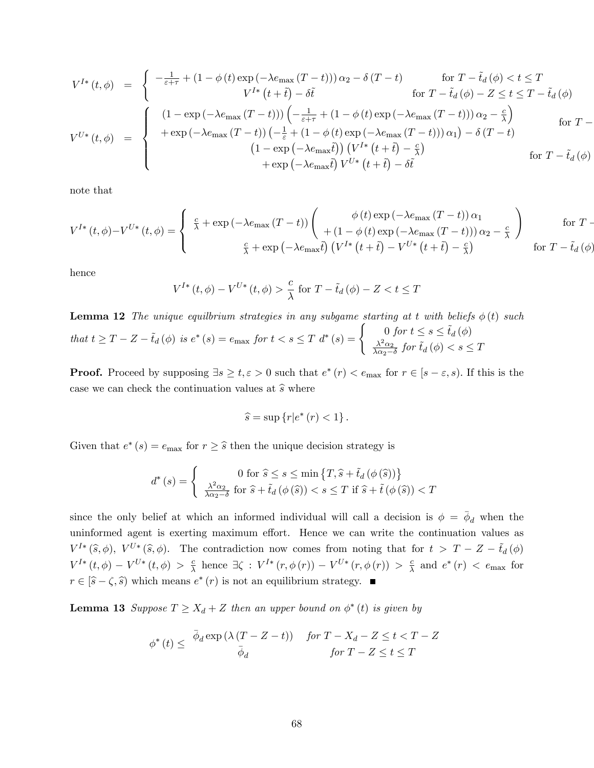$$
V^{I*}(t, \phi) = \begin{cases} -\frac{1}{\varepsilon + \tau} + (1 - \phi(t) \exp(-\lambda e_{\max}(T - t))) \alpha_2 - \delta(T - t) & \text{for } T - \tilde{t}_d(\phi) < t \le T \\ V^{I*}(t + \tilde{t}) - \delta \tilde{t} & \text{for } T - \tilde{t}_d(\phi) - Z \le t \le T - \tilde{t}_d(\phi) \\ (1 - \exp(-\lambda e_{\max}(T - t))) \left( -\frac{1}{\varepsilon + \tau} + (1 - \phi(t) \exp(-\lambda e_{\max}(T - t))) \alpha_2 - \frac{c}{\lambda} \right) & \text{for } T - \frac{1}{\varepsilon + \tau} \end{cases}
$$
  
\n
$$
V^{U*}(t, \phi) = \begin{cases} (1 - \exp(-\lambda e_{\max}(T - t))) \left( -\frac{1}{\varepsilon} + (1 - \phi(t) \exp(-\lambda e_{\max}(T - t))) \alpha_1 \right) - \delta(T - t) \\ (1 - \exp(-\lambda e_{\max} \tilde{t})) \left( V^{I*}(t + \tilde{t}) - \frac{c}{\lambda} \right) & \text{for } T - \tilde{t}_d(\phi) \\ + \exp(-\lambda e_{\max} \tilde{t}) \left( V^{U*}(t + \tilde{t}) - \delta \tilde{t} \right) & \text{for } T - \tilde{t}_d(\phi) \end{cases}
$$

note that

$$
V^{I*}(t, \phi) - V^{U*}(t, \phi) = \begin{cases} \frac{c}{\lambda} + \exp(-\lambda e_{\max}(T - t)) \begin{pmatrix} \phi(t) \exp(-\lambda e_{\max}(T - t)) \alpha_1 \\ + (1 - \phi(t) \exp(-\lambda e_{\max}(T - t))) \alpha_2 - \frac{c}{\lambda} \end{pmatrix} & \text{for } T - \frac{c}{\lambda} + \exp(-\lambda e_{\max} \tilde{t}) \left( V^{I*}(t + \tilde{t}) - V^{U*}(t + \tilde{t}) - \frac{c}{\lambda} \right) & \text{for } T - \tilde{t}_d(\phi) \end{cases}
$$

hence

$$
V^{I*}(t, \phi) - V^{U*}(t, \phi) > \frac{c}{\lambda} \text{ for } T - \tilde{t}_d(\phi) - Z < t \le T
$$

**Lemma 12** The unique equilityium strategies in any subgame starting at t with beliefs  $\phi(t)$  such that  $t \geq T - Z - \tilde{t}_d(\phi)$  is  $e^*(s) = e_{\text{max}}$  for  $t < s \leq T$   $d^*(s) = \begin{cases} 0 \text{ for } t \leq s \leq \tilde{t}_d(\phi) \\ \frac{\lambda^2 \alpha_2}{\sigma^2} \text{ for } \tilde{t}_d(\phi) < s \leq T \end{cases}$  $\frac{\lambda^2 \alpha_2}{\lambda \alpha_2 - \delta}$  for  $\tilde{t}_d(\phi) < s \leq T$ 

**Proof.** Proceed by supposing  $\exists s \geq t, \varepsilon > 0$  such that  $e^*(r) < e_{\max}$  for  $r \in [s - \varepsilon, s)$ . If this is the case we can check the continuation values at  $\hat{s}$  where

$$
\widehat{s} = \sup \left\{ r \middle| e^* \left( r \right) < 1 \right\}.
$$

Given that  $e^*(s) = e_{\text{max}}$  for  $r \geq \widehat{s}$  then the unique decision strategy is

$$
d^*(s) = \begin{cases} 0 \text{ for } \hat{s} \le s \le \min\left\{T, \hat{s} + \tilde{t}_d\left(\phi\left(\hat{s}\right)\right)\right\} \\ \frac{\lambda^2 \alpha_2}{\lambda \alpha_2 - \delta} \text{ for } \hat{s} + \tilde{t}_d\left(\phi\left(\hat{s}\right)\right) < s \le T \text{ if } \hat{s} + \tilde{t}\left(\phi\left(\hat{s}\right)\right) < T \end{cases}
$$

since the only belief at which an informed individual will call a decision is  $\phi = \bar{\phi}_d$  when the uninformed agent is exerting maximum effort. Hence we can write the continuation values as  $V^{I*}(\hat{s},\phi)$ ,  $V^{U*}(\hat{s},\phi)$ . The contradiction now comes from noting that for  $t > T - Z - \tilde{t}_d(\phi)$  $V^{I*}\left( t,\phi \right) -V^{U*}\left( t,\phi \right) >\frac{c}{\lambda }$  $\frac{c}{\lambda}$  hence  $\exists \zeta : V^{I*}(r, \phi(r)) - V^{U*}(r, \phi(r)) > \frac{c}{\lambda}$  $\frac{c}{\lambda}$  and  $e^*(r) < e_{\text{max}}$  for  $r \in [\hat{s} - \zeta, \hat{s})$  which means  $e^*(r)$  is not an equilibrium strategy.

**Lemma 13** Suppose  $T \ge X_d + Z$  then an upper bound on  $\phi^*(t)$  is given by

$$
\phi^*(t) \leq \frac{\bar{\phi}_d \exp\left(\lambda \left(T - Z - t\right)\right)}{\bar{\phi}_d} \quad \text{for } T - X_d - Z \leq t < T - Z
$$
\n
$$
\text{for } T - Z \leq t \leq T
$$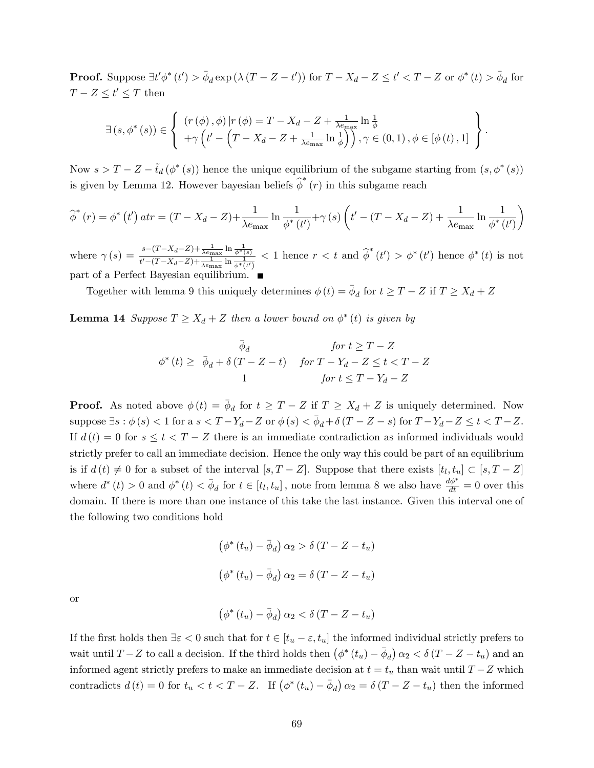**Proof.** Suppose  $\exists t' \phi^*(t') > \bar{\phi}_d \exp\left(\lambda (T - Z - t')\right)$  for  $T - X_d - Z \leq t' < T - Z$  or  $\phi^*(t) > \bar{\phi}_d$  for  $T - Z \leq t' \leq T$  then

$$
\exists (s, \phi^*(s)) \in \left\{ \begin{array}{l} (r(\phi), \phi) | r(\phi) = T - X_d - Z + \frac{1}{\lambda e_{\max}} \ln \frac{1}{\phi} \\ + \gamma \left( t' - \left( T - X_d - Z + \frac{1}{\lambda e_{\max}} \ln \frac{1}{\phi} \right) \right), \gamma \in (0, 1), \phi \in [\phi(t), 1] \end{array} \right\}.
$$

Now  $s > T - Z - \tilde{t}_d (\phi^*(s))$  hence the unique equilibrium of the subgame starting from  $(s, \phi^*(s))$ is given by Lemma 12. However bayesian beliefs  $\hat{\phi}^*(r)$  in this subgame reach

$$
\widehat{\phi}^*(r) = \phi^*(t') \, str = (T - X_d - Z) + \frac{1}{\lambda e_{\text{max}}} \ln \frac{1}{\phi^*(t')} + \gamma(s) \left( t' - (T - X_d - Z) + \frac{1}{\lambda e_{\text{max}}} \ln \frac{1}{\phi^*(t')} \right)
$$

where  $\gamma(s) = \frac{s-(T-X_d-Z)+\frac{1}{\lambda e_{\max}}\ln \frac{1}{\phi^*(s)}}{\frac{H}{s}(T-X_d-Z)+\frac{1}{\lambda e_{\max}}\ln \frac{1}{\phi^*(s)}}$  $\frac{s-(1-\lambda_d-2)+\frac{1}{\lambda e_{\max}}\ln\frac{1}{\phi^*(s)}}{t'-(T-\lambda_d-2)+\frac{1}{\lambda e_{\max}}\ln\frac{1}{\phi^*(t')}} < 1$  hence  $r < t$  and  $\widehat{\phi}^*(t') > \phi^*(t')$  hence  $\phi^*(t)$  is not part of a Perfect Bayesian equilibrium.

Together with lemma 9 this uniquely determines  $\phi(t) = \bar{\phi}_d$  for  $t \ge T - Z$  if  $T \ge X_d + Z$ 

**Lemma 14** Suppose  $T \ge X_d + Z$  then a lower bound on  $\phi^*(t)$  is given by

$$
\bar{\phi}_d \qquad \text{for } t \geq T - Z
$$
\n
$$
\phi^*(t) \geq \bar{\phi}_d + \delta (T - Z - t) \qquad \text{for } T - Y_d - Z \leq t < T - Z
$$
\n
$$
\qquad \qquad 1 \qquad \qquad \text{for } t \leq T - Y_d - Z
$$

**Proof.** As noted above  $\phi(t) = \bar{\phi}_d$  for  $t \geq T - Z$  if  $T \geq X_d + Z$  is uniquely determined. Now suppose  $\exists s : \phi(s) < 1$  for  $a s < T - Y_d - Z$  or  $\phi(s) < \overline{\phi}_d + \delta (T - Z - s)$  for  $T - Y_d - Z \le t < T - Z$ . If  $d(t) = 0$  for  $s \le t < T - Z$  there is an immediate contradiction as informed individuals would strictly prefer to call an immediate decision. Hence the only way this could be part of an equilibrium is if  $d(t) \neq 0$  for a subset of the interval  $[s, T - Z]$ . Suppose that there exists  $[t_l, t_u] \subset [s, T - Z]$ where  $d^*(t) > 0$  and  $\phi^*(t) < \bar{\phi}_d$  for  $t \in [t_l, t_u]$ , note from lemma 8 we also have  $\frac{d\phi^*}{dt} = 0$  over this domain. If there is more than one instance of this take the last instance. Given this interval one of the following two conditions hold

$$
(\phi^*(t_u) - \bar{\phi}_d) \alpha_2 > \delta (T - Z - t_u)
$$

$$
(\phi^*(t_u) - \bar{\phi}_d) \alpha_2 = \delta (T - Z - t_u)
$$

or

$$
\left(\phi^*\left(t_u\right)-\bar{\phi}_d\right)\alpha_2<\delta\left(T-Z-t_u\right)
$$

If the first holds then  $\exists \varepsilon < 0$  such that for  $t \in [t_u - \varepsilon, t_u]$  the informed individual strictly prefers to wait until  $T - Z$  to call a decision. If the third holds then  $(\phi^*(t_u) - \bar{\phi}_d) \alpha_2 < \delta (T - Z - t_u)$  and an informed agent strictly prefers to make an immediate decision at  $t = t_u$  than wait until  $T - Z$  which contradicts  $d(t) = 0$  for  $t_u < t < T - Z$ . If  $(\phi^*(t_u) - \bar{\phi}_d) \alpha_2 = \delta(T - Z - t_u)$  then the informed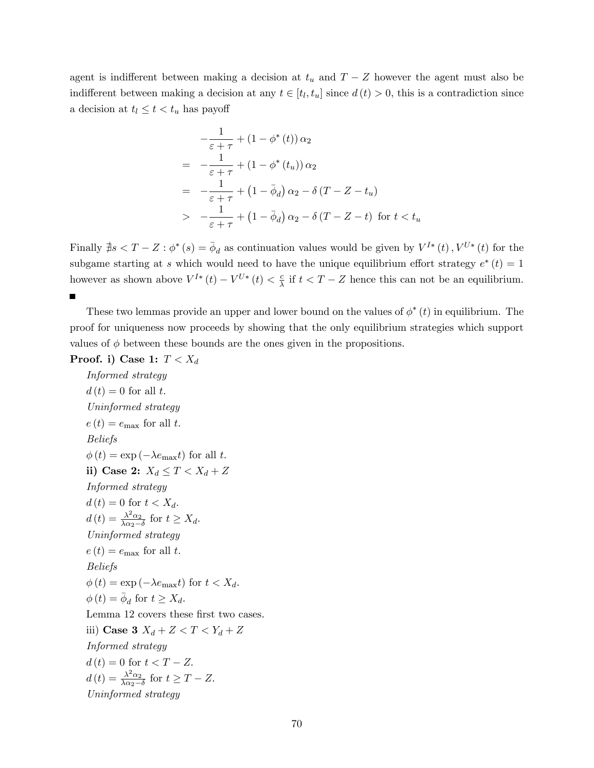agent is indifferent between making a decision at  $t_u$  and  $T - Z$  however the agent must also be indifferent between making a decision at any  $t \in [t_l, t_u]$  since  $d(t) > 0$ , this is a contradiction since a decision at  $t_l \leq t < t_u$  has payoff

$$
-\frac{1}{\varepsilon + \tau} + (1 - \phi^*(t)) \alpha_2
$$
  
= 
$$
-\frac{1}{\varepsilon + \tau} + (1 - \phi^*(t_u)) \alpha_2
$$
  
= 
$$
-\frac{1}{\varepsilon + \tau} + (1 - \bar{\phi}_d) \alpha_2 - \delta (T - Z - t_u)
$$
  
> 
$$
-\frac{1}{\varepsilon + \tau} + (1 - \bar{\phi}_d) \alpha_2 - \delta (T - Z - t) \text{ for } t < t_u
$$

Finally  $\sharp s < T - Z : \phi^*(s) = \bar{\phi}_d$  as continuation values would be given by  $V^{I*}(t)$ ,  $V^{U*}(t)$  for the subgame starting at s which would need to have the unique equilibrium effort strategy  $e^*(t) = 1$ however as shown above  $V^{I*}(t) - V^{U*}(t) < \frac{c}{\lambda}$  $\frac{c}{\lambda}$  if  $t < T - Z$  hence this can not be an equilibrium. П

These two lemmas provide an upper and lower bound on the values of  $\phi^*(t)$  in equilibrium. The proof for uniqueness now proceeds by showing that the only equilibrium strategies which support values of  $\phi$  between these bounds are the ones given in the propositions.

Proof. i) Case 1:  $T < X_d$ 

Informed strategy  $d(t) = 0$  for all t. Uninformed strategy  $e(t) = e_{\text{max}}$  for all t. Beliefs  $\phi(t) = \exp(-\lambda e_{\text{max}}t)$  for all t. ii) Case 2:  $X_d \leq T < X_d + Z$ Informed strategy  $d(t) = 0$  for  $t < X_d$ .  $d(t) = \frac{\lambda^2 \alpha_2}{\lambda \alpha_2 - t}$  $\frac{\lambda^2 \alpha_2}{\lambda \alpha_2 - \delta}$  for  $t \geq X_d$ . Uninformed strategy  $e(t) = e_{\text{max}}$  for all t. Beliefs  $\phi(t) = \exp(-\lambda e_{\text{max}}t)$  for  $t < X_d$ .  $\phi(t) = \bar{\phi}_d$  for  $t \geq X_d$ . Lemma 12 covers these first two cases. iii) Case 3  $X_d + Z < T < Y_d + Z$ Informed strategy  $d(t) = 0$  for  $t < T - Z$ .  $d(t) = \frac{\lambda^2 \alpha_2}{\lambda \alpha_2 - t}$  $\frac{\lambda^2 \alpha_2}{\lambda \alpha_2 - \delta}$  for  $t \geq T - Z$ . Uninformed strategy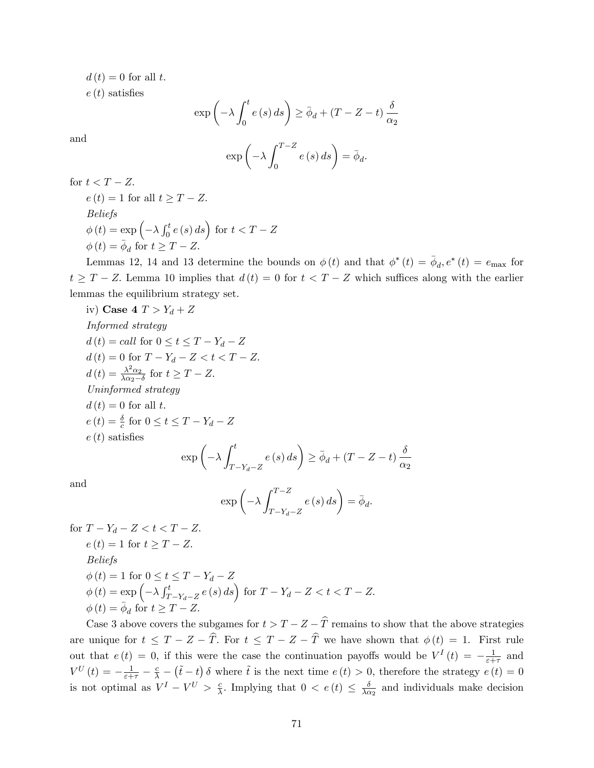$d(t) = 0$  for all t.

 $e(t)$  satisfies

$$
\exp\left(-\lambda \int_0^t e(s) \, ds\right) \ge \bar{\phi}_d + (T - Z - t) \frac{\delta}{\alpha_2}
$$

and

$$
\exp\left(-\lambda \int_0^{T-Z} e(s) \, ds\right) = \bar{\phi}_d.
$$

for  $t < T - Z$ .

$$
e(t) = 1 \text{ for all } t \geq T - Z.
$$
  
Beliefs  

$$
\phi(t) = \exp\left(-\lambda \int_0^t e(s) ds\right) \text{ for } t < T - Z
$$
  

$$
\phi(t) = \bar{\phi}_d \text{ for } t \geq T - Z.
$$

Lemmas 12, 14 and 13 determine the bounds on  $\phi(t)$  and that  $\phi^*(t) = \bar{\phi}_d e^*(t) = e_{\text{max}}$  for  $t \geq T - Z$ . Lemma 10 implies that  $d(t) = 0$  for  $t < T - Z$  which suffices along with the earlier lemmas the equilibrium strategy set.

iv) Case 4 
$$
T > Y_d + Z
$$
  
\n*Informed strategy*  
\n $d(t) = call \text{ for } 0 \le t \le T - Y_d - Z$   
\n $d(t) = 0 \text{ for } T - Y_d - Z < t < T - Z$ .  
\n $d(t) = \frac{\lambda^2 \alpha_2}{\lambda \alpha_2 - \delta}$  for  $t \ge T - Z$ .  
\n*Uninformed strategy*  
\n $d(t) = 0$  for all  $t$ .  
\n $e(t) = \frac{\delta}{c}$  for  $0 \le t \le T - Y_d - Z$   
\n $e(t)$  satisfies  
\n
$$
\exp\left(-\lambda \int_{T - Y_d - Z}^{t} e(s) ds\right) \ge \bar{\phi}_d + (T - Z - t) \frac{\delta}{\alpha_2}
$$

and

$$
\exp\left(-\lambda \int_{T-Y_d-Z}^{T-Z} e(s) \, ds\right) = \bar{\phi}_d.
$$

 $\delta$ 

for  $T - Y_d - Z < t < T - Z$ .  $e(t) = 1$  for  $t \geq T - Z$ . Beliefs  $\phi(t) = 1$  for  $0 \le t \le T - Y_d - Z$  $\phi(t) = \exp\left(-\lambda \int_T^t$  $\int_{T-Y_d-Z}^{t} e(s) ds \, ds$  for  $T - Y_d - Z < t < T - Z$ .  $\phi(t) = \overline{\phi}_d$  for  $t \geq T - Z$ .

Case 3 above covers the subgames for  $t > T - Z - \widehat{T}$  remains to show that the above strategies are unique for  $t \leq T - Z - \hat{T}$ . For  $t \leq T - Z - \hat{T}$  we have shown that  $\phi(t) = 1$ . First rule out that  $e(t) = 0$ , if this were the case the continuation payoffs would be  $V<sup>I</sup>(t) = -\frac{1}{\varepsilon + 1}$  $\frac{1}{\varepsilon+\tau}$  and  $V^{U}(t) = -\frac{1}{\varepsilon + \tau} - \frac{c}{\lambda} - (\tilde{t} - t) \delta$  where  $\tilde{t}$  is the next time  $e(t) > 0$ , therefore the strategy  $e(t) = 0$ is not optimal as  $V^I - V^U > \frac{c}{\lambda}$  $\frac{c}{\lambda}$ . Implying that  $0 < e(t) \leq \frac{\delta}{\lambda}$  $\frac{\delta}{\lambda \alpha_2}$  and individuals make decision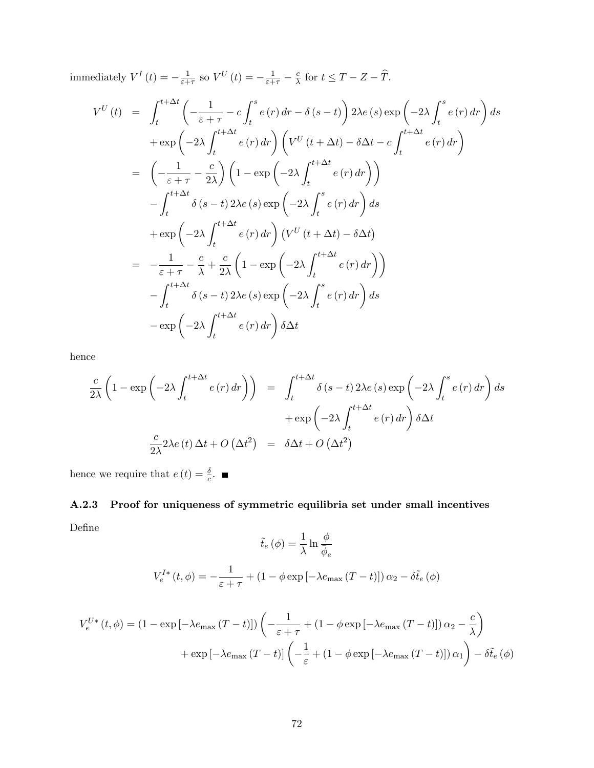immediately  $V^I(t) = -\frac{1}{\varepsilon + 1}$  $\frac{1}{\varepsilon+\tau}$  so  $V^U(t) = -\frac{1}{\varepsilon+\tau} - \frac{c}{\lambda}$  $\frac{c}{\lambda}$  for  $t \leq T - Z - T$ .

$$
V^{U}(t) = \int_{t}^{t+\Delta t} \left( -\frac{1}{\varepsilon + \tau} - c \int_{t}^{s} e(r) dr - \delta (s - t) \right) 2\lambda e(s) \exp \left( -2\lambda \int_{t}^{s} e(r) dr \right) ds
$$
  
\n
$$
+ \exp \left( -2\lambda \int_{t}^{t+\Delta t} e(r) dr \right) \left( V^{U}(t + \Delta t) - \delta \Delta t - c \int_{t}^{t+\Delta t} e(r) dr \right)
$$
  
\n
$$
= \left( -\frac{1}{\varepsilon + \tau} - \frac{c}{2\lambda} \right) \left( 1 - \exp \left( -2\lambda \int_{t}^{t+\Delta t} e(r) dr \right) \right)
$$
  
\n
$$
- \int_{t}^{t+\Delta t} \delta (s - t) 2\lambda e(s) \exp \left( -2\lambda \int_{t}^{s} e(r) dr \right) ds
$$
  
\n
$$
+ \exp \left( -2\lambda \int_{t}^{t+\Delta t} e(r) dr \right) \left( V^{U}(t + \Delta t) - \delta \Delta t \right)
$$
  
\n
$$
= -\frac{1}{\varepsilon + \tau} - \frac{c}{\lambda} + \frac{c}{2\lambda} \left( 1 - \exp \left( -2\lambda \int_{t}^{t+\Delta t} e(r) dr \right) \right)
$$
  
\n
$$
- \int_{t}^{t+\Delta t} \delta (s - t) 2\lambda e(s) \exp \left( -2\lambda \int_{t}^{s} e(r) dr \right) ds
$$
  
\n
$$
- \exp \left( -2\lambda \int_{t}^{t+\Delta t} e(r) dr \right) \delta \Delta t
$$

hence

$$
\frac{c}{2\lambda} \left( 1 - \exp\left( -2\lambda \int_t^{t + \Delta t} e(r) dr \right) \right) = \int_t^{t + \Delta t} \delta(s - t) 2\lambda e(s) \exp\left( -2\lambda \int_t^s e(r) dr \right) ds
$$

$$
+ \exp\left( -2\lambda \int_t^{t + \Delta t} e(r) dr \right) \delta \Delta t
$$

$$
\frac{c}{2\lambda} 2\lambda e(t) \Delta t + O\left( \Delta t^2 \right) = \delta \Delta t + O\left( \Delta t^2 \right)
$$

hence we require that  $e(t) = \frac{\delta}{c}$ .

## A.2.3 Proof for uniqueness of symmetric equilibria set under small incentives DeÖne  $1\quad\quad\quad\quad$

$$
\tilde{t}_e(\phi) = \frac{1}{\lambda} \ln \frac{\phi}{\overline{\phi}_e}
$$

$$
V_e^{I*}(t, \phi) = -\frac{1}{\varepsilon + \tau} + (1 - \phi \exp\left[-\lambda e_{\text{max}} (T - t)\right]) \alpha_2 - \delta \tilde{t}_e(\phi)
$$

$$
V_e^{U*}(t, \phi) = (1 - \exp[-\lambda e_{\max}(T - t)]) \left( -\frac{1}{\varepsilon + \tau} + (1 - \phi \exp[-\lambda e_{\max}(T - t)]) \alpha_2 - \frac{c}{\lambda} \right)
$$

$$
+ \exp[-\lambda e_{\max}(T - t)] \left( -\frac{1}{\varepsilon} + (1 - \phi \exp[-\lambda e_{\max}(T - t)]) \alpha_1 \right) - \delta \tilde{t}_e(\phi)
$$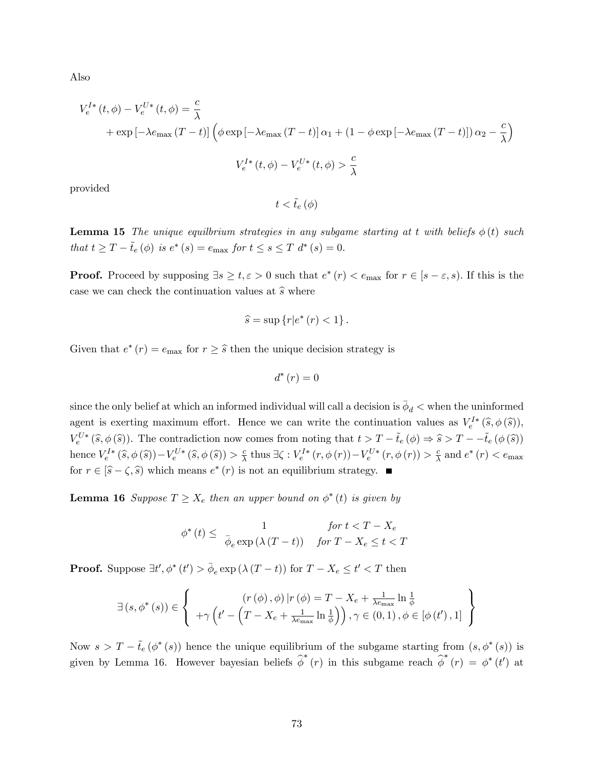Also

$$
V_e^{I*}(t, \phi) - V_e^{U*}(t, \phi) = \frac{c}{\lambda}
$$
  
+  $\exp\left[-\lambda e_{\text{max}}(T-t)\right] \left(\phi \exp\left[-\lambda e_{\text{max}}(T-t)\right] \alpha_1 + (1 - \phi \exp\left[-\lambda e_{\text{max}}(T-t)\right]) \alpha_2 - \frac{c}{\lambda}\right)$   

$$
V_e^{I*}(t, \phi) - V_e^{U*}(t, \phi) > \frac{c}{\lambda}
$$

provided

 $t < \tilde{t}_e(\phi)$ 

**Lemma 15** The unique equility in strategies in any subgame starting at t with beliefs  $\phi(t)$  such that  $t \ge T - \tilde{t}_e(\phi)$  is  $e^* (s) = e_{\text{max}}$  for  $t \le s \le T$   $d^* (s) = 0$ .

**Proof.** Proceed by supposing  $\exists s \geq t, \varepsilon > 0$  such that  $e^*(r) < e_{\max}$  for  $r \in [s - \varepsilon, s)$ . If this is the case we can check the continuation values at  $\hat{s}$  where

$$
\widehat{s} = \sup \left\{ r \middle| e^* \left( r \right) < 1 \right\}.
$$

Given that  $e^*(r) = e_{\text{max}}$  for  $r \geq \widehat{s}$  then the unique decision strategy is

$$
d^*\left(r\right) = 0
$$

since the only belief at which an informed individual will call a decision is  $\bar{\phi}_d <$  when the uninformed agent is exerting maximum effort. Hence we can write the continuation values as  $V_e^{I*}(\hat{s}, \phi(\hat{s}))$ ,  $V_e^{U*}(\widehat{s}, \phi(\widehat{s}))$ . The contradiction now comes from noting that  $t > T - \tilde{t}_e (\phi) \Rightarrow \widehat{s} > T - -\tilde{t}_e (\phi(\widehat{s}))$ hence  $V_e^{I*}(\widehat{s}, \phi(\widehat{s})) - V_e^{U*}(\widehat{s}, \phi(\widehat{s})) > \frac{c}{\lambda}$  $\frac{c}{\lambda}$  thus  $\exists \zeta : V_e^{I*}(r, \phi(r)) - V_e^{U*}(r, \phi(r)) > \frac{c}{\lambda}$  $\frac{c}{\lambda}$  and  $e^*(r) < e_{\text{max}}$ for  $r \in [\hat{s} - \zeta, \hat{s})$  which means  $e^*(r)$  is not an equilibrium strategy.

**Lemma 16** Suppose  $T \ge X_e$  then an upper bound on  $\phi^*(t)$  is given by

$$
\phi^*(t) \leq \frac{1}{\bar{\phi}_e \exp(\lambda(T-t))} \quad \text{for } T - X_e \leq t < T
$$

**Proof.** Suppose  $\exists t', \phi^*(t') > \bar{\phi}_e \exp(\lambda(T-t))$  for  $T - X_e \leq t' < T$  then

$$
\exists (s, \phi^*(s)) \in \left\{ \begin{array}{c} (r(\phi), \phi) | r(\phi) = T - X_e + \frac{1}{\lambda e_{\max}} \ln \frac{1}{\phi} \\ + \gamma \left( t' - \left( T - X_e + \frac{1}{\lambda e_{\max}} \ln \frac{1}{\phi} \right) \right), \gamma \in (0, 1), \phi \in [\phi(t'), 1] \end{array} \right\}
$$

Now  $s > T - \tilde{t}_e(\phi^*(s))$  hence the unique equilibrium of the subgame starting from  $(s, \phi^*(s))$  is given by Lemma 16. However bayesian beliefs  $\hat{\phi}^*(r)$  in this subgame reach  $\hat{\phi}^*(r) = \phi^*(t')$  at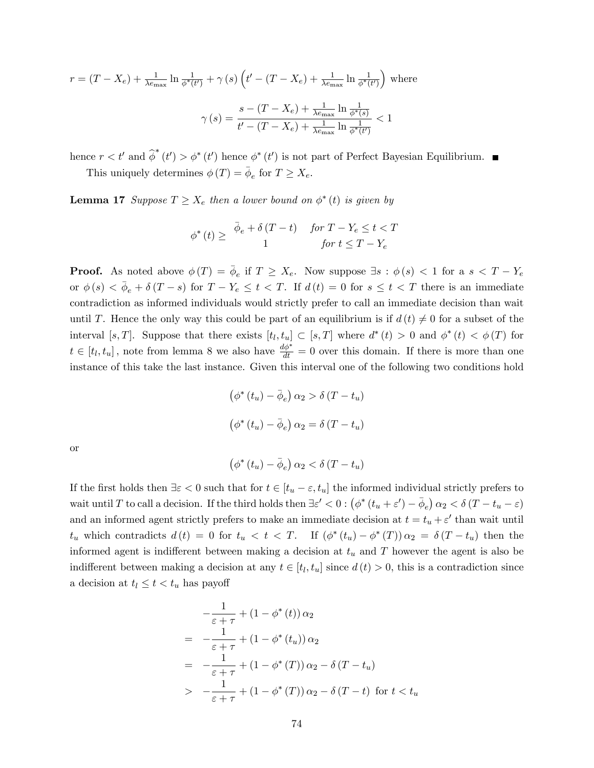$$
r = (T - X_e) + \frac{1}{\lambda e_{\text{max}}} \ln \frac{1}{\phi^*(t')} + \gamma(s) \left( t' - (T - X_e) + \frac{1}{\lambda e_{\text{max}}} \ln \frac{1}{\phi^*(t')} \right) \text{ where}
$$

$$
\gamma(s) = \frac{s - (T - X_e) + \frac{1}{\lambda e_{\text{max}}} \ln \frac{1}{\phi^*(s)}}{t' - (T - X_e) + \frac{1}{\lambda e_{\text{max}}} \ln \frac{1}{\phi^*(t')}} < 1
$$

hence  $r < t'$  and  $\hat{\phi}^*(t') > \phi^*(t')$  hence  $\phi^*(t')$  is not part of Perfect Bayesian Equilibrium. This uniquely determines  $\phi(T) = \bar{\phi}_e$  for  $T \ge X_e$ .

**Lemma 17** Suppose  $T \ge X_e$  then a lower bound on  $\phi^*(t)$  is given by

$$
\phi^*(t) \geq \begin{array}{cc} \bar{\phi}_e + \delta (T - t) & \text{for } T - Y_e \leq t < T \\ 1 & \text{for } t \leq T - Y_e \end{array}
$$

**Proof.** As noted above  $\phi(T) = \overline{\phi}_e$  if  $T \ge X_e$ . Now suppose  $\exists s : \phi(s) < 1$  for a  $s < T - Y_e$ or  $\phi(s) < \bar{\phi}_e + \delta(T - s)$  for  $T - Y_e \le t < T$ . If  $d(t) = 0$  for  $s \le t < T$  there is an immediate contradiction as informed individuals would strictly prefer to call an immediate decision than wait until T. Hence the only way this could be part of an equilibrium is if  $d(t) \neq 0$  for a subset of the interval [s, T]. Suppose that there exists  $[t_l, t_u] \subset [s, T]$  where  $d^*(t) > 0$  and  $\phi^*(t) < \phi(T)$  for  $t \in [t_l, t_u]$ , note from lemma 8 we also have  $\frac{d\phi^*}{dt} = 0$  over this domain. If there is more than one instance of this take the last instance. Given this interval one of the following two conditions hold

$$
\left(\phi^*(t_u) - \bar{\phi}_e\right) \alpha_2 > \delta(T - t_u)
$$

$$
\left(\phi^*(t_u) - \bar{\phi}_e\right) \alpha_2 = \delta(T - t_u)
$$

or

$$
\left(\phi^*\left(t_u\right)-\bar{\phi}_e\right)\alpha_2 < \delta\left(T-t_u\right)
$$

If the first holds then  $\exists \varepsilon < 0$  such that for  $t \in [t_u - \varepsilon, t_u]$  the informed individual strictly prefers to wait until T to call a decision. If the third holds then  $\exists \varepsilon' < 0 : (\phi^*(t_u + \varepsilon') - \overline{\phi}_e) \alpha_2 < \delta (T - t_u - \varepsilon)$ and an informed agent strictly prefers to make an immediate decision at  $t = t_u + \varepsilon'$  than wait until  $t_u$  which contradicts  $d(t) = 0$  for  $t_u < t < T$ . If  $(\phi^*(t_u) - \phi^*(T)) \alpha_2 = \delta(T - t_u)$  then the informed agent is indifferent between making a decision at  $t<sub>u</sub>$  and T however the agent is also be indifferent between making a decision at any  $t \in [t_l, t_u]$  since  $d(t) > 0$ , this is a contradiction since a decision at  $t_l \leq t < t_u$  has payoff

$$
-\frac{1}{\varepsilon+\tau} + (1 - \phi^*(t)) \alpha_2
$$
  
= 
$$
-\frac{1}{\varepsilon+\tau} + (1 - \phi^*(t_u)) \alpha_2
$$
  
= 
$$
-\frac{1}{\varepsilon+\tau} + (1 - \phi^*(T)) \alpha_2 - \delta (T - t_u)
$$
  
> 
$$
-\frac{1}{\varepsilon+\tau} + (1 - \phi^*(T)) \alpha_2 - \delta (T - t) \text{ for } t < t_u
$$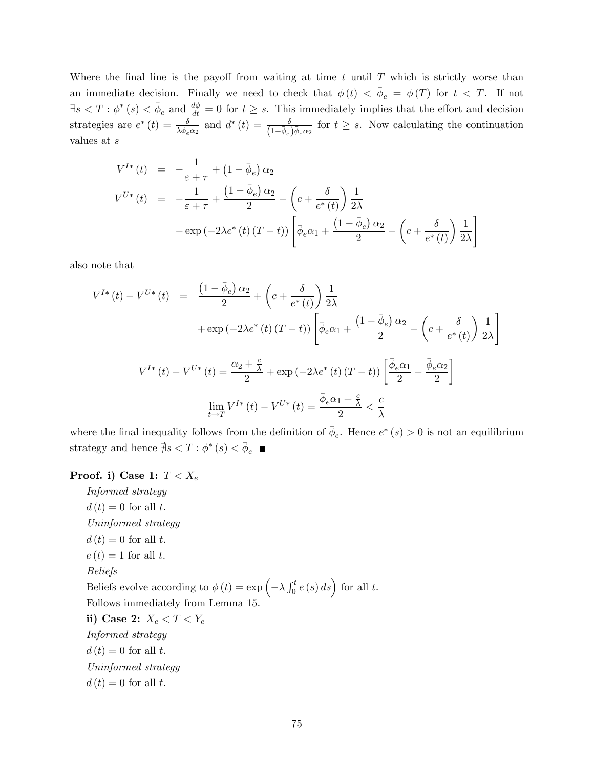Where the final line is the payoff from waiting at time  $t$  until  $T$  which is strictly worse than an immediate decision. Finally we need to check that  $\phi(t) < \bar{\phi}_e = \phi(T)$  for  $t < T$ . If not  $\exists s < T : \phi^*(s) < \bar{\phi}_e$  and  $\frac{d\phi}{dt} = 0$  for  $t \geq s$ . This immediately implies that the effort and decision strategies are  $e^*(t) = \frac{\delta}{\lambda \overline{\phi}_e \alpha_2}$  and  $d^*(t) = \frac{\delta}{(1 - \overline{\phi}_e)\overline{\phi}_e \alpha_2}$  for  $t \geq s$ . Now calculating the continuation values at s

$$
V^{I*}(t) = -\frac{1}{\varepsilon + \tau} + (1 - \bar{\phi}_e) \alpha_2
$$
  
\n
$$
V^{U*}(t) = -\frac{1}{\varepsilon + \tau} + \frac{(1 - \bar{\phi}_e) \alpha_2}{2} - \left(c + \frac{\delta}{e^*(t)}\right) \frac{1}{2\lambda}
$$
  
\n
$$
-\exp(-2\lambda e^*(t) (T - t)) \left[\bar{\phi}_e \alpha_1 + \frac{(1 - \bar{\phi}_e) \alpha_2}{2} - \left(c + \frac{\delta}{e^*(t)}\right) \frac{1}{2\lambda}\right]
$$

also note that

$$
V^{I*}(t) - V^{U*}(t) = \frac{\left(1 - \bar{\phi}_e\right)\alpha_2}{2} + \left(c + \frac{\delta}{e^*(t)}\right)\frac{1}{2\lambda}
$$

$$
+ \exp\left(-2\lambda e^*(t)\left(T - t\right)\right) \left[\bar{\phi}_e\alpha_1 + \frac{\left(1 - \bar{\phi}_e\right)\alpha_2}{2} - \left(c + \frac{\delta}{e^*(t)}\right)\frac{1}{2\lambda}\right]
$$

$$
V^{I*}(t) - V^{U*}(t) = \frac{\alpha_2 + \frac{c}{\lambda}}{2} + \exp\left(-2\lambda e^*(t)\left(T - t\right)\right) \left[\frac{\bar{\phi}_e\alpha_1}{2} - \frac{\bar{\phi}_e\alpha_2}{2}\right]
$$

$$
\lim_{t \to T} V^{I*}(t) - V^{U*}(t) = \frac{\bar{\phi}_e\alpha_1 + \frac{c}{\lambda}}{2} < \frac{c}{\lambda}
$$

where the final inequality follows from the definition of  $\bar{\phi}_e$ . Hence  $e^*(s) > 0$  is not an equilibrium strategy and hence  $\frac{4}{7}s < T$ :  $\phi^*(s) < \bar{\phi}_e$ 

## Proof. i) Case 1:  $T < X_e$

Informed strategy  $d(t) = 0$  for all t. Uninformed strategy  $d(t) = 0$  for all t.  $e(t) = 1$  for all t. Beliefs Beliefs evolve according to  $\phi(t) = \exp\left(-\lambda \int_0^t e(s) \, ds\right)$  for all t. Follows immediately from Lemma 15. ii) Case 2:  $X_e < T < Y_e$ Informed strategy  $d(t) = 0$  for all t. Uninformed strategy  $d(t) = 0$  for all t.